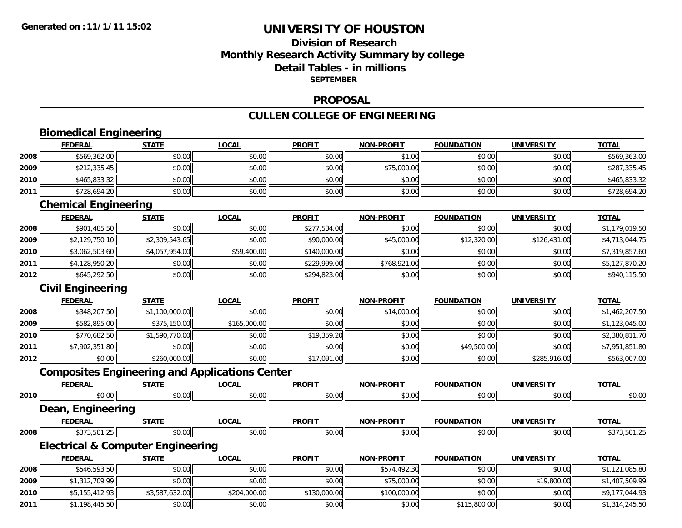## **Division of Research Monthly Research Activity Summary by college Detail Tables - in millions SEPTEMBER**

#### **PROPOSAL**

## **CULLEN COLLEGE OF ENGINEERING**

|      | <b>Biomedical Engineering</b>                         |                |              |               |                   |                   |                   |                |  |  |  |  |
|------|-------------------------------------------------------|----------------|--------------|---------------|-------------------|-------------------|-------------------|----------------|--|--|--|--|
|      | <b>FEDERAL</b>                                        | <b>STATE</b>   | <b>LOCAL</b> | <b>PROFIT</b> | <b>NON-PROFIT</b> | <b>FOUNDATION</b> | <b>UNIVERSITY</b> | <b>TOTAL</b>   |  |  |  |  |
| 2008 | \$569,362.00                                          | \$0.00         | \$0.00       | \$0.00        | \$1.00            | \$0.00            | \$0.00            | \$569,363.00   |  |  |  |  |
| 2009 | \$212,335.45                                          | \$0.00         | \$0.00       | \$0.00        | \$75,000.00       | \$0.00            | \$0.00            | \$287,335.45   |  |  |  |  |
| 2010 | \$465,833.32                                          | \$0.00         | \$0.00       | \$0.00        | \$0.00            | \$0.00            | \$0.00            | \$465,833.32   |  |  |  |  |
| 2011 | \$728,694.20                                          | \$0.00         | \$0.00       | \$0.00        | \$0.00            | \$0.00            | \$0.00            | \$728,694.20   |  |  |  |  |
|      | <b>Chemical Engineering</b>                           |                |              |               |                   |                   |                   |                |  |  |  |  |
|      | <b>FEDERAL</b>                                        | <b>STATE</b>   | <b>LOCAL</b> | <b>PROFIT</b> | <b>NON-PROFIT</b> | <b>FOUNDATION</b> | <b>UNIVERSITY</b> | <b>TOTAL</b>   |  |  |  |  |
| 2008 | \$901,485.50                                          | \$0.00         | \$0.00       | \$277,534.00  | \$0.00            | \$0.00            | \$0.00            | \$1,179,019.50 |  |  |  |  |
| 2009 | \$2,129,750.10                                        | \$2,309,543.65 | \$0.00       | \$90,000.00   | \$45,000.00       | \$12,320.00       | \$126,431.00      | \$4,713,044.75 |  |  |  |  |
| 2010 | \$3,062,503.60                                        | \$4,057,954.00 | \$59,400.00  | \$140,000.00  | \$0.00            | \$0.00            | \$0.00            | \$7,319,857.60 |  |  |  |  |
| 2011 | \$4,128,950.20                                        | \$0.00         | \$0.00       | \$229,999.00  | \$768,921.00      | \$0.00            | \$0.00            | \$5,127,870.20 |  |  |  |  |
| 2012 | \$645,292.50                                          | \$0.00         | \$0.00       | \$294,823.00  | \$0.00            | \$0.00            | \$0.00            | \$940,115.50   |  |  |  |  |
|      | <b>Civil Engineering</b>                              |                |              |               |                   |                   |                   |                |  |  |  |  |
|      | <b>FEDERAL</b>                                        | <b>STATE</b>   | <b>LOCAL</b> | <b>PROFIT</b> | <b>NON-PROFIT</b> | <b>FOUNDATION</b> | <b>UNIVERSITY</b> | <b>TOTAL</b>   |  |  |  |  |
| 2008 | \$348,207.50                                          | \$1,100,000.00 | \$0.00       | \$0.00        | \$14,000.00       | \$0.00            | \$0.00            | \$1,462,207.50 |  |  |  |  |
| 2009 | \$582,895.00                                          | \$375,150.00   | \$165,000.00 | \$0.00        | \$0.00            | \$0.00            | \$0.00            | \$1,123,045.00 |  |  |  |  |
| 2010 | \$770,682.50                                          | \$1,590,770.00 | \$0.00       | \$19,359.20   | \$0.00            | \$0.00            | \$0.00            | \$2,380,811.70 |  |  |  |  |
| 2011 | \$7,902,351.80                                        | \$0.00         | \$0.00       | \$0.00        | \$0.00            | \$49,500.00       | \$0.00            | \$7,951,851.80 |  |  |  |  |
| 2012 | \$0.00                                                | \$260,000.00   | \$0.00       | \$17,091.00   | \$0.00            | \$0.00            | \$285,916.00      | \$563,007.00   |  |  |  |  |
|      | <b>Composites Engineering and Applications Center</b> |                |              |               |                   |                   |                   |                |  |  |  |  |
|      | <b>FEDERAL</b>                                        | <b>STATE</b>   | <b>LOCAL</b> | <b>PROFIT</b> | <b>NON-PROFIT</b> | <b>FOUNDATION</b> | <b>UNIVERSITY</b> | <b>TOTAL</b>   |  |  |  |  |
| 2010 | \$0.00                                                | \$0.00         | \$0.00       | \$0.00        | \$0.00            | \$0.00            | \$0.00            | \$0.00         |  |  |  |  |
|      | <b>Dean, Engineering</b>                              |                |              |               |                   |                   |                   |                |  |  |  |  |
|      | <b>FEDERAL</b>                                        | <b>STATE</b>   | <b>LOCAL</b> | <b>PROFIT</b> | <b>NON-PROFIT</b> | <b>FOUNDATION</b> | <b>UNIVERSITY</b> | <b>TOTAL</b>   |  |  |  |  |
| 2008 | \$373,501.25                                          | \$0.00         | \$0.00       | \$0.00        | \$0.00            | \$0.00            | \$0.00            | \$373,501.25   |  |  |  |  |
|      | <b>Electrical &amp; Computer Engineering</b>          |                |              |               |                   |                   |                   |                |  |  |  |  |
|      | <b>FEDERAL</b>                                        | <b>STATE</b>   | <b>LOCAL</b> | <b>PROFIT</b> | <b>NON-PROFIT</b> | <b>FOUNDATION</b> | <b>UNIVERSITY</b> | <b>TOTAL</b>   |  |  |  |  |
| 2008 | \$546,593.50                                          | \$0.00         | \$0.00       | \$0.00        | \$574,492.30      | \$0.00            | \$0.00            | \$1,121,085.80 |  |  |  |  |
| 2009 | \$1,312,709.99                                        | \$0.00         | \$0.00       | \$0.00        | \$75,000.00       | \$0.00            | \$19,800.00       | \$1,407,509.99 |  |  |  |  |
| 2010 | \$5,155,412.93                                        | \$3,587,632.00 | \$204,000.00 | \$130,000.00  | \$100,000.00      | \$0.00            | \$0.00            | \$9,177,044.93 |  |  |  |  |
| 2011 | \$1,198,445.50                                        | \$0.00         | \$0.00       | \$0.00        | \$0.00            | \$115,800.00      | \$0.00            | \$1,314,245.50 |  |  |  |  |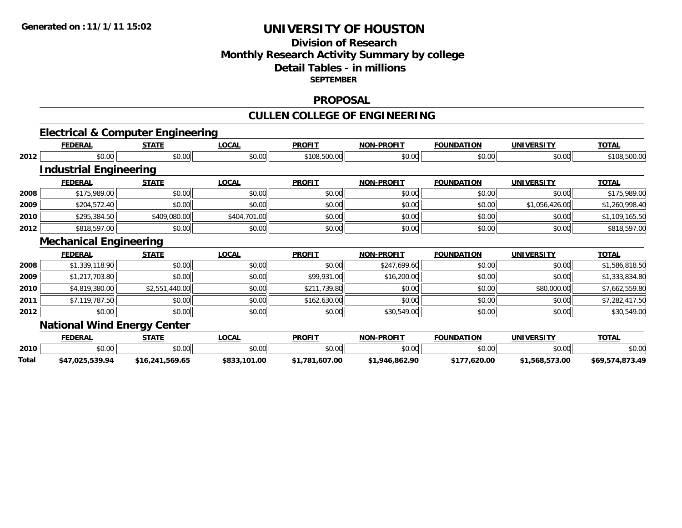### **Division of Research Monthly Research Activity Summary by college Detail Tables - in millions SEPTEMBER**

#### **PROPOSAL**

#### **CULLEN COLLEGE OF ENGINEERING**

#### **Electrical & Computer Engineering FEDERAL STATE LOCAL PROFIT NON-PROFIT FOUNDATION UNIVERSITY TOTAL 2012** $\textbf{2} \mid \textbf{3} \mid \text{5} \mid \text{5} \mid \text{6} \mid \text{6} \mid \text{7} \mid \text{8} \mid \text{10} \mid \text{10} \mid \text{10} \mid \text{10} \mid \text{10} \mid \text{10} \mid \text{10} \mid \text{10} \mid \text{10} \mid \text{10} \mid \text{10} \mid \text{10} \mid \text{10} \mid \text{10} \mid \text{10} \mid \text{10} \mid \text{10} \mid \text{10} \mid \text{10} \mid \text{10} \mid \text$ **Industrial Engineering FEDERAL STATE LOCAL PROFIT NON-PROFIT FOUNDATION UNIVERSITY TOTAL 20088** \$175,989.00 \$0.00 \$0.00 \$0.00 \$0.00 \$0.00 \$0.00 \$0.00 \$0.00 \$0.00 \$175,989.00 \$175,989.00 **20099** \$204,572.40 \$0.00 \$0.00 \$0.00 \$0.00 \$0.00 \$0.00 \$0.00 \$0.00 \$0.00 \$1,056,426.00 \$1,260,998.40 **2010** $\textsf{\textbf{0}}$  \$295,384.50 \$0.00 \$109,080.00 \$404,701.00 \$0.00 \$0.00 \$0.00 \$0.00 \$0.00 \$0.00 \$0.00 \$1,109,165.50 **2012**2 \$818,597.00| \$0.00| \$0.00| \$0.00| \$0.00| \$0.00| \$818,597.00| \$818,597 **Mechanical Engineering FEDERAL STATE LOCAL PROFIT NON-PROFIT FOUNDATION UNIVERSITY TOTAL 20088** \$1,339,118.90 \$0.00 \$0.00 \$0.00 \$0.00 \$0.00 \$0.00 \$0.00 \$247,699.60 \$0.00 \$0.00 \$0.00 \$1,586,818.50 **20099** \$1,217,703.80| \$0.00| \$0.00| \$0.00| \$99,931.00| \$16,200.00| \$1.217,703.80| \$1,333,834.80| \$0.00| \$1,333,834.80 **20100** \$4,819,380.00| \$2,551,440.00| \$0.00| \$0.00| \$211,739.80| \$0.00| \$0.00| \$0.00| \$80,000.00| \$7,662,559.80| **2011** $\textbf{1} \hspace{12mm} \text{$57,119,787.50$} \hspace{20mm} \text{$50.00$} \hspace{20mm} \text{$50.00$} \hspace{20mm} \text{$50.00$} \hspace{20mm} \text{$50.00$} \hspace{20mm} \text{$50.00$} \hspace{20mm} \text{$50.00$} \hspace{20mm} \text{$50.00$} \hspace{20mm} \text{$50.00$} \hspace{20mm} \text{$50.00$} \hspace{20mm} \text{$50.0$ **2012** $\textbf{2} \hspace{15mm} |\hspace{15mm} 80.00| \hspace{15mm} |\hspace{15mm} 80.00| \hspace{15mm} |\hspace{15mm} 80.00| \hspace{15mm} |\hspace{15mm} 80.00| \hspace{15mm} |\hspace{15mm} 80.00| \hspace{15mm} |\hspace{15mm} 80.00| \hspace{15mm} |\hspace{15mm} 80.00| \hspace{15mm} |\hspace{15mm} 80.00| \hspace{15mm} |\hspace{15mm} 80.00| \hspace{15mm$ **National Wind Energy Center FEDERAL STATE LOCAL PROFIT NON-PROFIT FOUNDATION UNIVERSITY TOTAL 2010** \$0.00 \$0.00 \$0.00 \$0.00 \$0.00 \$0.00 \$0.00 \$0.00 **Total\$47,025,539.94 \$16,241,569.65 \$833,101.00 \$1,781,607.00 \$1,946,862.90 \$177,620.00 \$1,568,573.00 \$69,574,873.49**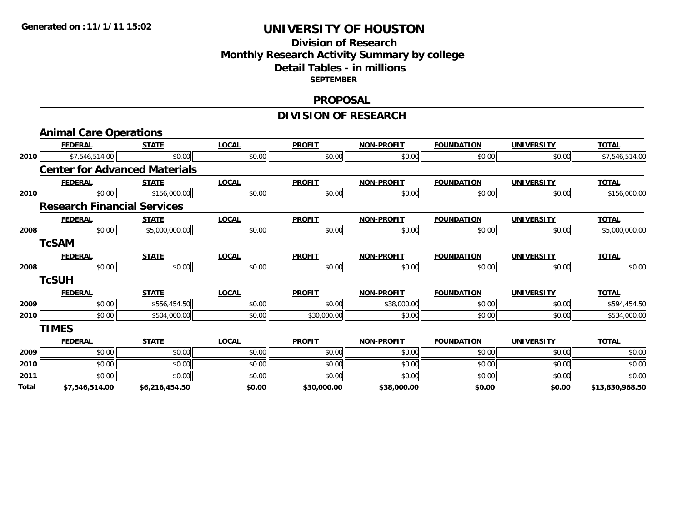#### **Division of Research Monthly Research Activity Summary by college Detail Tables - in millions SEPTEMBER**

#### **PROPOSAL**

## **DIVISION OF RESEARCH**

|       | <b>Animal Care Operations</b>        |                |              |               |                   |                   |                   |                 |
|-------|--------------------------------------|----------------|--------------|---------------|-------------------|-------------------|-------------------|-----------------|
|       | <b>FEDERAL</b>                       | <b>STATE</b>   | <b>LOCAL</b> | <b>PROFIT</b> | <b>NON-PROFIT</b> | <b>FOUNDATION</b> | <b>UNIVERSITY</b> | <b>TOTAL</b>    |
| 2010  | \$7,546,514.00                       | \$0.00         | \$0.00       | \$0.00        | \$0.00            | \$0.00            | \$0.00            | \$7,546,514.00  |
|       | <b>Center for Advanced Materials</b> |                |              |               |                   |                   |                   |                 |
|       | <b>FEDERAL</b>                       | <b>STATE</b>   | <b>LOCAL</b> | <b>PROFIT</b> | <b>NON-PROFIT</b> | <b>FOUNDATION</b> | <b>UNIVERSITY</b> | <b>TOTAL</b>    |
| 2010  | \$0.00                               | \$156,000.00   | \$0.00       | \$0.00        | \$0.00            | \$0.00            | \$0.00            | \$156,000.00    |
|       | <b>Research Financial Services</b>   |                |              |               |                   |                   |                   |                 |
|       | <b>FEDERAL</b>                       | <b>STATE</b>   | <b>LOCAL</b> | <b>PROFIT</b> | <b>NON-PROFIT</b> | <b>FOUNDATION</b> | <b>UNIVERSITY</b> | <b>TOTAL</b>    |
| 2008  | \$0.00                               | \$5,000,000.00 | \$0.00       | \$0.00        | \$0.00            | \$0.00            | \$0.00            | \$5,000,000.00  |
|       | <b>TcSAM</b>                         |                |              |               |                   |                   |                   |                 |
|       | <b>FEDERAL</b>                       | <b>STATE</b>   | <b>LOCAL</b> | <b>PROFIT</b> | <b>NON-PROFIT</b> | <b>FOUNDATION</b> | <b>UNIVERSITY</b> | <b>TOTAL</b>    |
| 2008  | \$0.00                               | \$0.00         | \$0.00       | \$0.00        | \$0.00            | \$0.00            | \$0.00            | \$0.00          |
|       | <b>TcSUH</b>                         |                |              |               |                   |                   |                   |                 |
|       | <b>FEDERAL</b>                       | <b>STATE</b>   | <b>LOCAL</b> | <b>PROFIT</b> | <b>NON-PROFIT</b> | <b>FOUNDATION</b> | <b>UNIVERSITY</b> | <b>TOTAL</b>    |
| 2009  | \$0.00                               | \$556,454.50   | \$0.00       | \$0.00        | \$38,000.00       | \$0.00            | \$0.00            | \$594,454.50    |
| 2010  | \$0.00                               | \$504,000.00   | \$0.00       | \$30,000.00   | \$0.00            | \$0.00            | \$0.00            | \$534,000.00    |
|       | <b>TIMES</b>                         |                |              |               |                   |                   |                   |                 |
|       | <b>FEDERAL</b>                       | <b>STATE</b>   | <b>LOCAL</b> | <b>PROFIT</b> | <b>NON-PROFIT</b> | <b>FOUNDATION</b> | <b>UNIVERSITY</b> | <b>TOTAL</b>    |
| 2009  | \$0.00                               | \$0.00         | \$0.00       | \$0.00        | \$0.00            | \$0.00            | \$0.00            | \$0.00          |
| 2010  | \$0.00                               | \$0.00         | \$0.00       | \$0.00        | \$0.00            | \$0.00            | \$0.00            | \$0.00          |
| 2011  | \$0.00                               | \$0.00         | \$0.00       | \$0.00        | \$0.00            | \$0.00            | \$0.00            | \$0.00          |
| Total | \$7,546,514.00                       | \$6,216,454.50 | \$0.00       | \$30,000.00   | \$38,000.00       | \$0.00            | \$0.00            | \$13,830,968.50 |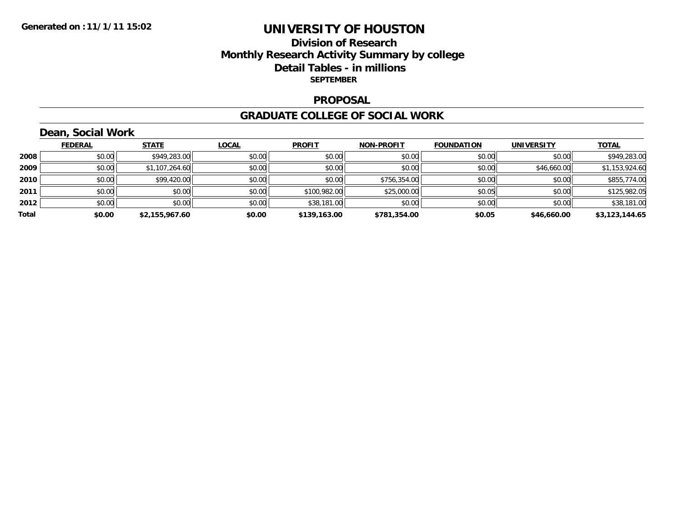### **Division of Research Monthly Research Activity Summary by college Detail Tables - in millions SEPTEMBER**

#### **PROPOSAL**

#### **GRADUATE COLLEGE OF SOCIAL WORK**

## **Dean, Social Work**

|       | <b>FEDERAL</b> | <b>STATE</b>   | <b>LOCAL</b> | <b>PROFIT</b> | <b>NON-PROFIT</b> | <b>FOUNDATION</b> | <b>UNIVERSITY</b> | <b>TOTAL</b>   |
|-------|----------------|----------------|--------------|---------------|-------------------|-------------------|-------------------|----------------|
| 2008  | \$0.00         | \$949,283.00   | \$0.00       | \$0.00        | \$0.00            | \$0.00            | \$0.00            | \$949,283.00   |
| 2009  | \$0.00         | \$1,107,264.60 | \$0.00       | \$0.00        | \$0.00            | \$0.00            | \$46,660.00       | \$1,153,924.60 |
| 2010  | \$0.00         | \$99,420.00    | \$0.00       | \$0.00        | \$756,354.00      | \$0.00            | \$0.00            | \$855,774.00   |
| 2011  | \$0.00         | \$0.00         | \$0.00       | \$100,982.00  | \$25,000.00       | \$0.05            | \$0.00            | \$125,982.05   |
| 2012  | \$0.00         | \$0.00         | \$0.00       | \$38,181.00   | \$0.00            | \$0.00            | \$0.00            | \$38,181.00    |
| Total | \$0.00         | \$2,155,967.60 | \$0.00       | \$139,163.00  | \$781,354.00      | \$0.05            | \$46,660.00       | \$3,123,144.65 |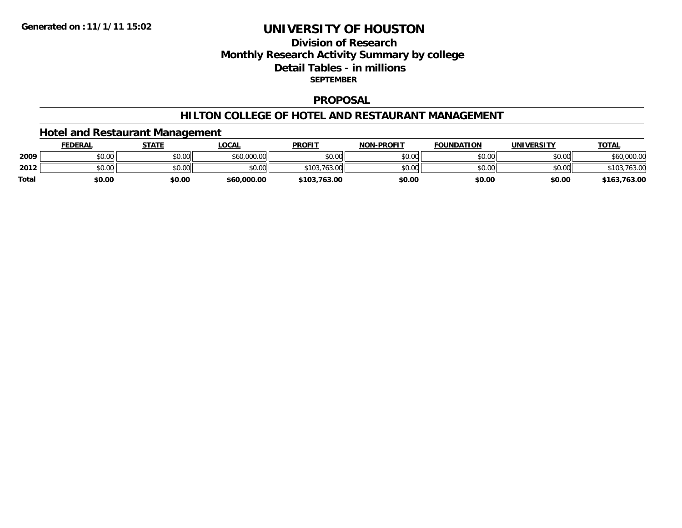### **Division of Research Monthly Research Activity Summary by college Detail Tables - in millions SEPTEMBER**

#### **PROPOSAL**

#### **HILTON COLLEGE OF HOTEL AND RESTAURANT MANAGEMENT**

## **Hotel and Restaurant Management**

|              | <b>FEDERAL</b> | <b>STATE</b> | <b>LOCAL</b> | <b>PROFIT</b>     | <b>NON-PROFIT</b> | <b>FOUNDATION</b> | <b>UNIVERSITY</b> | <b>TOTAL</b>   |
|--------------|----------------|--------------|--------------|-------------------|-------------------|-------------------|-------------------|----------------|
| 2009         | \$0.00         | \$0.00       | \$60,000.00  | \$0.00            | \$0.00            | \$0.00            | \$0.00            | \$60,000.00    |
| 2012         | \$0.00         | \$0.00       | \$0.00       | .763.00<br>\$103. | \$0.00            | \$0.00            | \$0.00            | 103ء<br>703.UU |
| <b>Total</b> | \$0.00         | \$0.00       | \$60,000,00  | \$103,763.00      | \$0.00            | \$0.00            | \$0.00            | \$163,763.00   |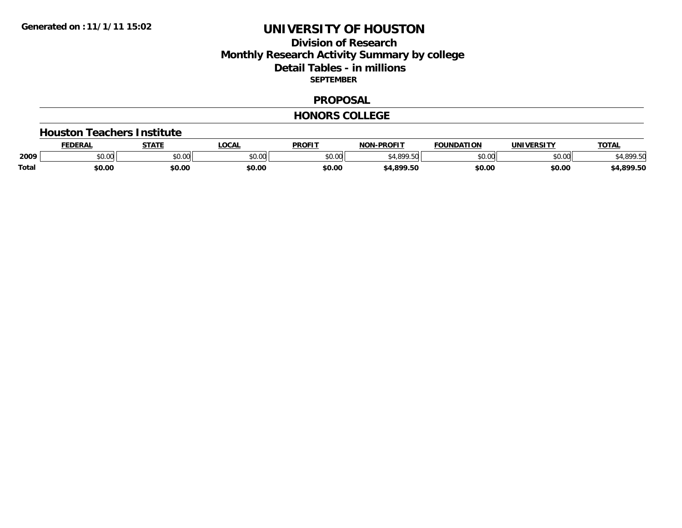### **Division of Research Monthly Research Activity Summary by college Detail Tables - in millions SEPTEMBER**

#### **PROPOSAL**

#### **HONORS COLLEGE**

#### **Houston Teachers Institute**

|              | <b>EDERAI</b> | <b>STATE</b> | <b>LOCAL</b>  | <b>PROFIT</b> | <b>NON-PROFIT</b> | <b>FOUNDATION</b>  | <b>IINITVEDCTTV</b> | TOTA.         |
|--------------|---------------|--------------|---------------|---------------|-------------------|--------------------|---------------------|---------------|
| 2009         | \$0.00        | JU.UU        | 0000<br>JU.UU | 0000<br>DU.UU |                   | $\sim$ 00<br>JU.UU | 0.00<br>וטט.טע      | $.$ 000 $F^*$ |
| <b>Total</b> | \$0.00        | \$0.00       | \$0.00        | \$0.00        | \$4,899.50        | \$0.00             | \$0.00              | 4,899.50      |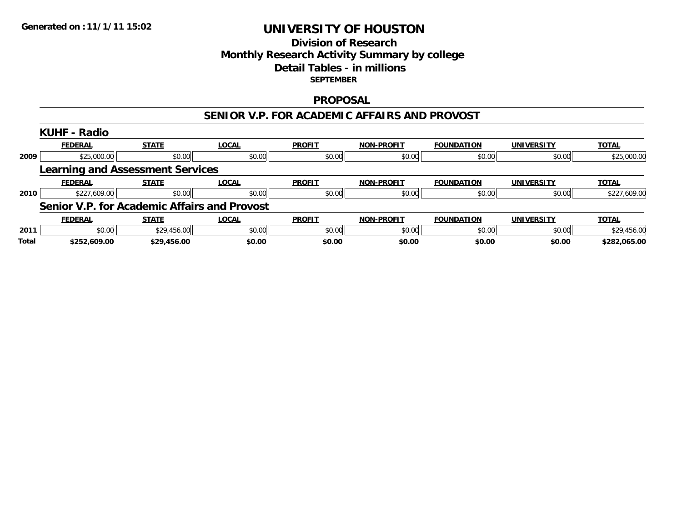#### **Division of Research Monthly Research Activity Summary by college Detail Tables - in millions SEPTEMBER**

#### **PROPOSAL**

#### **SENIOR V.P. FOR ACADEMIC AFFAIRS AND PROVOST**

|              | <b>KUHF - Radio</b>                                 |              |              |               |                   |                   |                   |              |
|--------------|-----------------------------------------------------|--------------|--------------|---------------|-------------------|-------------------|-------------------|--------------|
|              | <b>FEDERAL</b>                                      | <b>STATE</b> | <b>LOCAL</b> | <b>PROFIT</b> | <b>NON-PROFIT</b> | <b>FOUNDATION</b> | <b>UNIVERSITY</b> | <b>TOTAL</b> |
| 2009         | \$25,000.00                                         | \$0.00       | \$0.00       | \$0.00        | \$0.00            | \$0.00            | \$0.00            | \$25,000.00  |
|              | <b>Learning and Assessment Services</b>             |              |              |               |                   |                   |                   |              |
|              | <b>FEDERAL</b>                                      | <b>STATE</b> | <b>LOCAL</b> | <b>PROFIT</b> | <b>NON-PROFIT</b> | <b>FOUNDATION</b> | <b>UNIVERSITY</b> | <b>TOTAL</b> |
| 2010         | \$227,609.00                                        | \$0.00       | \$0.00       | \$0.00        | \$0.00            | \$0.00            | \$0.00            | \$227,609.00 |
|              | <b>Senior V.P. for Academic Affairs and Provost</b> |              |              |               |                   |                   |                   |              |
|              | <b>FEDERAL</b>                                      | <b>STATE</b> | <b>LOCAL</b> | <b>PROFIT</b> | <b>NON-PROFIT</b> | <b>FOUNDATION</b> | <b>UNIVERSITY</b> | <b>TOTAL</b> |
| 2011         | \$0.00                                              | \$29,456.00  | \$0.00       | \$0.00        | \$0.00            | \$0.00            | \$0.00            | \$29,456.00  |
| <b>Total</b> | \$252,609.00                                        | \$29,456.00  | \$0.00       | \$0.00        | \$0.00            | \$0.00            | \$0.00            | \$282,065.00 |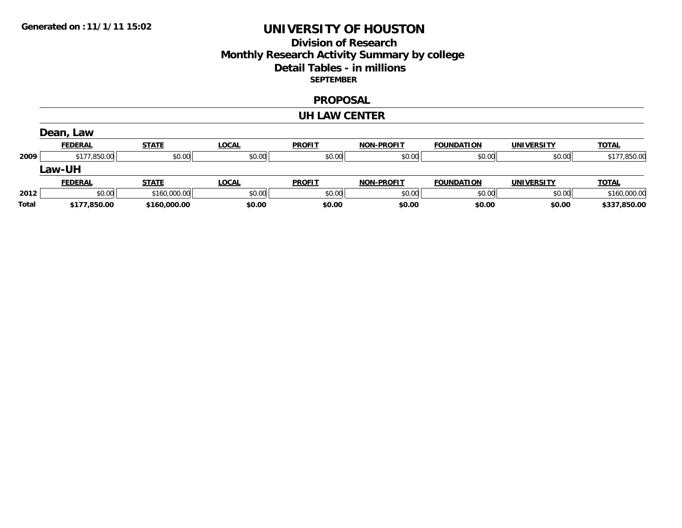### **Division of Research Monthly Research Activity Summary by college Detail Tables - in millions SEPTEMBER**

#### **PROPOSAL**

#### **UH LAW CENTER**

|              | Dean, Law      |              |              |               |                   |                   |                   |              |
|--------------|----------------|--------------|--------------|---------------|-------------------|-------------------|-------------------|--------------|
|              | <b>FEDERAL</b> | <b>STATE</b> | <b>LOCAL</b> | <b>PROFIT</b> | <b>NON-PROFIT</b> | <b>FOUNDATION</b> | <b>UNIVERSITY</b> | <b>TOTAL</b> |
| 2009         | \$177,850.00   | \$0.00       | \$0.00       | \$0.00        | \$0.00            | \$0.00            | \$0.00            | \$177,850.00 |
|              | Law-UH         |              |              |               |                   |                   |                   |              |
|              | <b>FEDERAL</b> | <b>STATE</b> | <b>LOCAL</b> | <b>PROFIT</b> | <b>NON-PROFIT</b> | <b>FOUNDATION</b> | <b>UNIVERSITY</b> | <b>TOTAL</b> |
| 2012         | \$0.00         | \$160,000.00 | \$0.00       | \$0.00        | \$0.00            | \$0.00            | \$0.00            | \$160,000.00 |
| <b>Total</b> | \$177,850.00   | \$160,000,00 | \$0.00       | \$0.00        | \$0.00            | \$0.00            | \$0.00            | \$337,850.00 |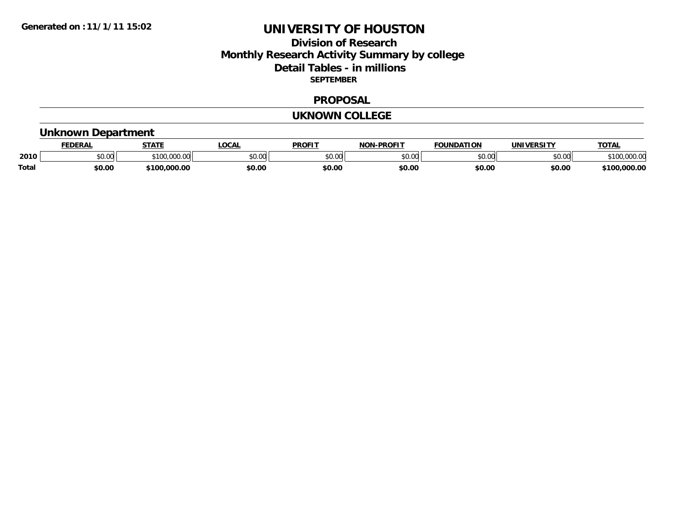#### **Division of Research Monthly Research Activity Summary by college Detail Tables - in millions SEPTEMBER**

#### **PROPOSAL**

#### **UKNOWN COLLEGE**

## **Unknown Department**

|              | <b>FEDERAI</b>     | <b>STATE</b>     | <b>' OCAL</b>  | <b>PROFIT</b> | <b>I-PROFIT</b><br><b>NON</b> | <b>FOUNDATION</b> | <b>IINTVEDCTTV</b> | TOTA.              |
|--------------|--------------------|------------------|----------------|---------------|-------------------------------|-------------------|--------------------|--------------------|
| 2010         | $\sim$ 00<br>DU.UU | $\sim$<br>.uu.uu | ቁስ ስስ<br>JU.UU | 0000<br>JU.UU | \$0.00                        | $\sim$ 00         | mn na              | ,,,,,,,            |
| <b>Total</b> | \$0.00             | 000.00.(<br>100  | \$0.00         | \$0.00        | \$0.00                        | \$0.00            | \$0.00             | J,000.00<br>\$100. |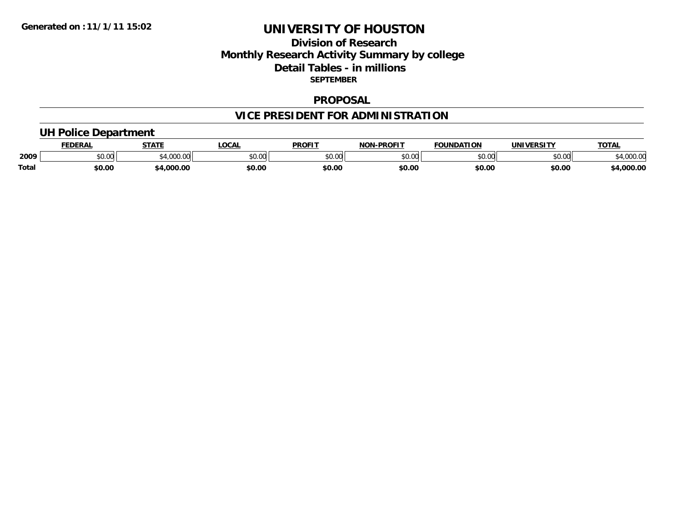### **Division of ResearchMonthly Research Activity Summary by college Detail Tables - in millions SEPTEMBER**

#### **PROPOSAL**

## **VICE PRESIDENT FOR ADMINISTRATION**

## **UH Police Department**

|              | <b>EDERAL</b> | <b>STATE</b>    | <b>LOCAL</b>  | <b>PROFIT</b>            | <b>NON-PROFIT</b> | <b>FOUNDATION</b> | <b>IINTVEDCTTV</b> | <b>TOTAL</b> |
|--------------|---------------|-----------------|---------------|--------------------------|-------------------|-------------------|--------------------|--------------|
| 2009         | \$0.00        | 1.000C<br>uuu.u | 0000<br>JU.UU | $n \cap \Omega$<br>DU.UU | \$0.00            | ልስ ሰሰ<br>טט.טע    | 0000<br>DU.U¢      | +,UUU.U      |
| <b>Total</b> | 50.00         | 1,000.00        | \$0.00        | \$0.00                   | \$0.00            | \$0.00            | \$0.00             | 00.00.44     |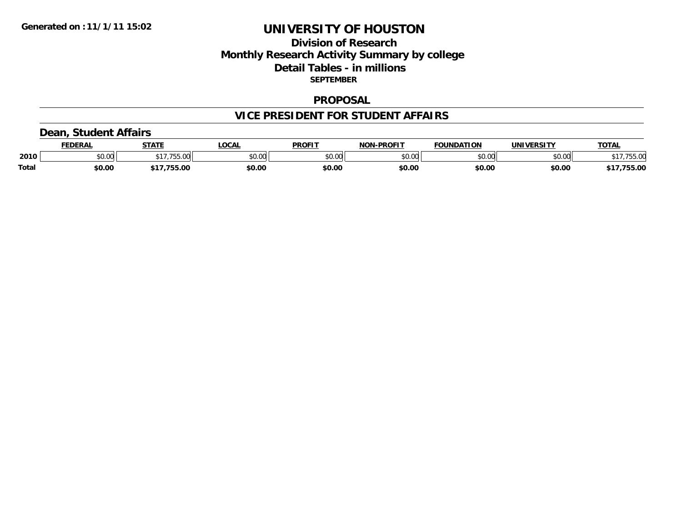### **Division of ResearchMonthly Research Activity Summary by college Detail Tables - in millions SEPTEMBER**

#### **PROPOSAL**

#### **VICE PRESIDENT FOR STUDENT AFFAIRS**

## **Dean, Student Affairs**

|              | <b>FEDERAI</b> | CTATE     | <b>LOCAL</b> | <b>PROFIT</b> | -PROFTT<br>NIANI | <b>FOUNDATION</b>                          | <b>UNIVERSITY</b> | <b>TOTAL</b> |
|--------------|----------------|-----------|--------------|---------------|------------------|--------------------------------------------|-------------------|--------------|
| 2010         | 0.00<br>vv.vv  | $- - - -$ | \$0.00       | 0000<br>JU.UU | 0.00<br>ט.טע     | $\mathfrak{c}\cap\mathfrak{a}\cap$<br>u.uu | \$0.00            | $\sim$       |
| <b>Total</b> | \$0.00         | 17.755.00 | \$0.00       | \$0.00        | \$0.00           | \$0.00                                     | \$0.00            | 755.00       |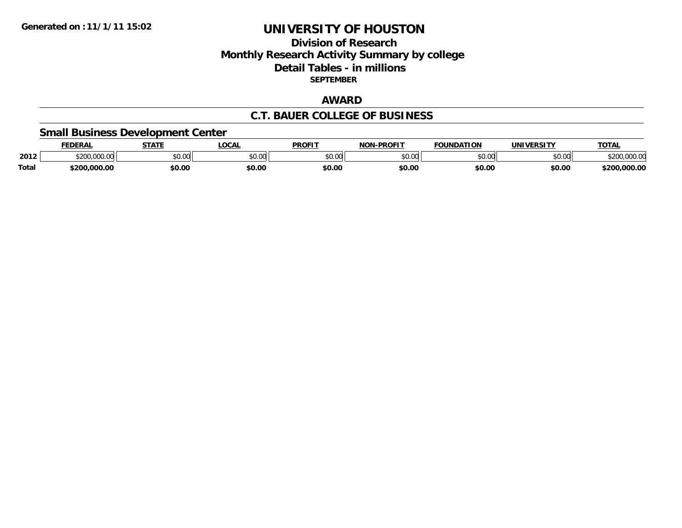### **Division of ResearchMonthly Research Activity Summary by college Detail Tables - in millions SEPTEMBER**

## **AWARD**

#### **C.T. BAUER COLLEGE OF BUSINESS**

## **Small Business Development Center**

|              | <b>EDERAL</b>          | <b>STATE</b> | LOCAI         | <b>PROFIT</b> | <b>NON-PROFIT</b> | <b>FOUNDATION</b> | <b>IINIWEDCTTV</b> | <b>TOTAL</b> |
|--------------|------------------------|--------------|---------------|---------------|-------------------|-------------------|--------------------|--------------|
| 2012         | 0.0000000<br>, UUU. UU | \$0.00       | 0000<br>טע.טע | \$0.00        | mn na             | \$0.00            | ልስ ሰሰ<br>JU.UU     | t onr<br>╱い  |
| <b>Total</b> | \$200,000.00           | \$0.00       | \$0.00        | \$0.00        | \$0.00            | \$0.00            | \$0.00             | \$200,000.00 |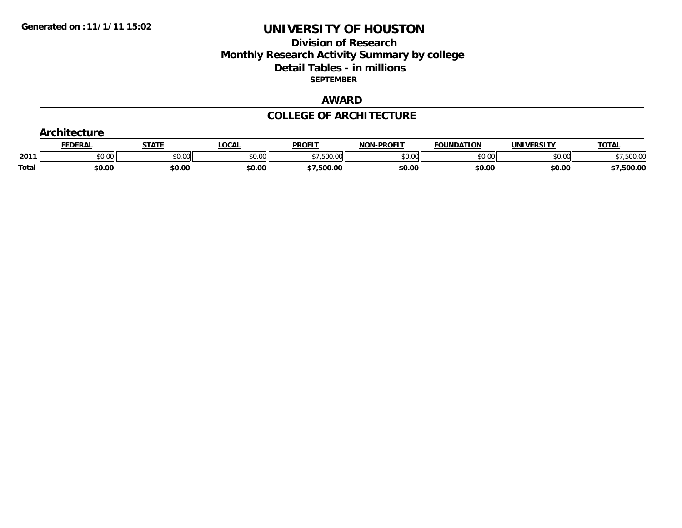#### **Division of Research Monthly Research Activity Summary by college Detail Tables - in millions SEPTEMBER**

## **AWARD**

#### **COLLEGE OF ARCHITECTURE**

|              | ( rehitaetura  |              |              |               |                   |                   |                   |              |
|--------------|----------------|--------------|--------------|---------------|-------------------|-------------------|-------------------|--------------|
|              | <b>FEDERAL</b> | <u>STATI</u> | <b>LOCAL</b> | <b>PROFIT</b> | <b>NON-PROFIT</b> | <b>FOUNDATION</b> | <b>UNIVERSITY</b> | <b>TOTAL</b> |
| 2011         | \$0.00         | \$0.00       | \$0.00       | \$7,500.00    | \$0.00            | \$0.00            | \$0.00            | 500.00       |
| <b>Total</b> | \$0.00         | \$0.00       | \$0.00       | \$7,500.00    | \$0.00            | \$0.00            | \$0.00            | \$7,500.00   |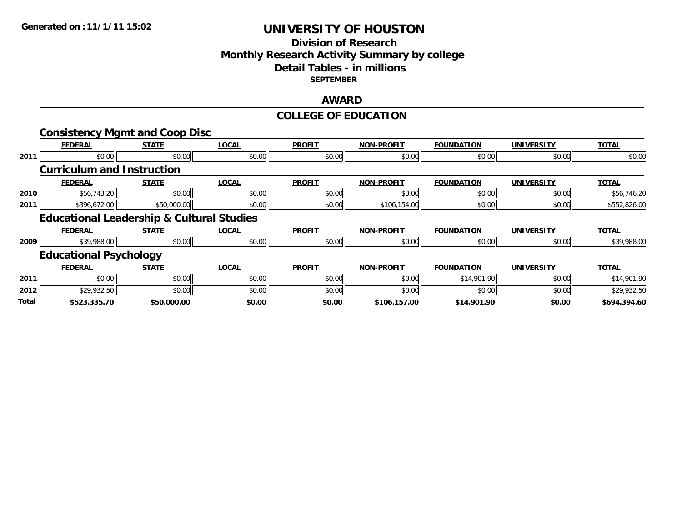### **Division of Research Monthly Research Activity Summary by college Detail Tables - in millions SEPTEMBER**

#### **AWARD**

## **COLLEGE OF EDUCATION**

|       | <b>Consistency Mgmt and Coop Disc</b>                |              |              |               |                   |                   |                   |              |
|-------|------------------------------------------------------|--------------|--------------|---------------|-------------------|-------------------|-------------------|--------------|
|       | <b>FEDERAL</b>                                       | <b>STATE</b> | <b>LOCAL</b> | <b>PROFIT</b> | <b>NON-PROFIT</b> | <b>FOUNDATION</b> | <b>UNIVERSITY</b> | <b>TOTAL</b> |
| 2011  | \$0.00                                               | \$0.00       | \$0.00       | \$0.00        | \$0.00            | \$0.00            | \$0.00            | \$0.00       |
|       | <b>Curriculum and Instruction</b>                    |              |              |               |                   |                   |                   |              |
|       | <b>FEDERAL</b>                                       | <b>STATE</b> | <b>LOCAL</b> | <b>PROFIT</b> | <b>NON-PROFIT</b> | <b>FOUNDATION</b> | <b>UNIVERSITY</b> | <b>TOTAL</b> |
| 2010  | \$56,743.20                                          | \$0.00       | \$0.00       | \$0.00        | \$3.00            | \$0.00            | \$0.00            | \$56,746.20  |
| 2011  | \$396,672.00                                         | \$50,000.00  | \$0.00       | \$0.00        | \$106,154.00      | \$0.00            | \$0.00            | \$552,826.00 |
|       | <b>Educational Leadership &amp; Cultural Studies</b> |              |              |               |                   |                   |                   |              |
|       | <b>FEDERAL</b>                                       | <b>STATE</b> | <b>LOCAL</b> | <b>PROFIT</b> | <b>NON-PROFIT</b> | <b>FOUNDATION</b> | <b>UNIVERSITY</b> | <b>TOTAL</b> |
| 2009  | \$39,988.00                                          | \$0.00       | \$0.00       | \$0.00        | \$0.00            | \$0.00            | \$0.00            | \$39,988.00  |
|       | <b>Educational Psychology</b>                        |              |              |               |                   |                   |                   |              |
|       | <b>FEDERAL</b>                                       | <b>STATE</b> | <b>LOCAL</b> | <b>PROFIT</b> | <b>NON-PROFIT</b> | <b>FOUNDATION</b> | <b>UNIVERSITY</b> | <b>TOTAL</b> |
| 2011  | \$0.00                                               | \$0.00       | \$0.00       | \$0.00        | \$0.00            | \$14,901.90       | \$0.00            | \$14,901.90  |
| 2012  | \$29,932.50                                          | \$0.00       | \$0.00       | \$0.00        | \$0.00            | \$0.00            | \$0.00            | \$29,932.50  |
| Total | \$523,335.70                                         | \$50,000.00  | \$0.00       | \$0.00        | \$106,157.00      | \$14,901.90       | \$0.00            | \$694,394.60 |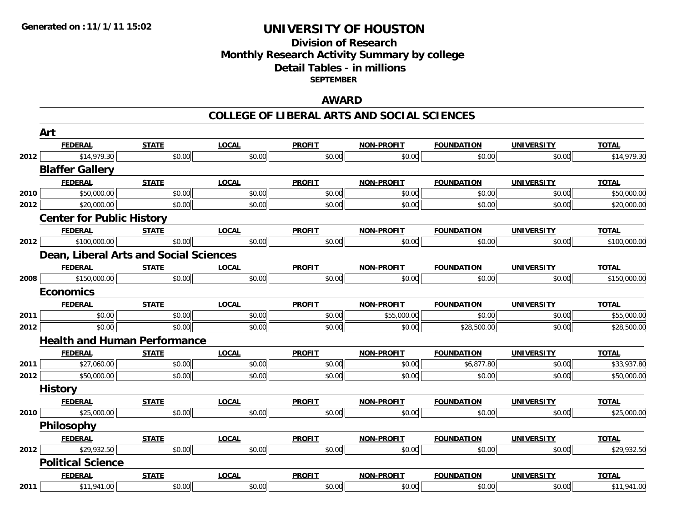#### **Division of Research Monthly Research Activity Summary by college Detail Tables - in millions SEPTEMBER**

### **AWARD**

#### **COLLEGE OF LIBERAL ARTS AND SOCIAL SCIENCES**

|      | Art                                           |              |              |               |                   |                   |                   |              |  |  |
|------|-----------------------------------------------|--------------|--------------|---------------|-------------------|-------------------|-------------------|--------------|--|--|
|      | <b>FEDERAL</b>                                | <b>STATE</b> | <b>LOCAL</b> | <b>PROFIT</b> | <b>NON-PROFIT</b> | <b>FOUNDATION</b> | <b>UNIVERSITY</b> | <b>TOTAL</b> |  |  |
| 2012 | \$14,979.30                                   | \$0.00       | \$0.00       | \$0.00        | \$0.00            | \$0.00            | \$0.00            | \$14,979.30  |  |  |
|      | <b>Blaffer Gallery</b>                        |              |              |               |                   |                   |                   |              |  |  |
|      | <b>FEDERAL</b>                                | <b>STATE</b> | <b>LOCAL</b> | <b>PROFIT</b> | <b>NON-PROFIT</b> | <b>FOUNDATION</b> | <b>UNIVERSITY</b> | <b>TOTAL</b> |  |  |
| 2010 | \$50,000.00                                   | \$0.00       | \$0.00       | \$0.00        | \$0.00            | \$0.00            | \$0.00            | \$50,000.00  |  |  |
| 2012 | \$20,000.00                                   | \$0.00       | \$0.00       | \$0.00        | \$0.00            | \$0.00            | \$0.00            | \$20,000.00  |  |  |
|      | <b>Center for Public History</b>              |              |              |               |                   |                   |                   |              |  |  |
|      | <b>FEDERAL</b>                                | <b>STATE</b> | <b>LOCAL</b> | <b>PROFIT</b> | <b>NON-PROFIT</b> | <b>FOUNDATION</b> | <b>UNIVERSITY</b> | <b>TOTAL</b> |  |  |
| 2012 | \$100,000.00                                  | \$0.00       | \$0.00       | \$0.00        | \$0.00            | \$0.00            | \$0.00            | \$100,000.00 |  |  |
|      | <b>Dean, Liberal Arts and Social Sciences</b> |              |              |               |                   |                   |                   |              |  |  |
|      | <b>FEDERAL</b>                                | <b>STATE</b> | <b>LOCAL</b> | <b>PROFIT</b> | <b>NON-PROFIT</b> | <b>FOUNDATION</b> | <b>UNIVERSITY</b> | <b>TOTAL</b> |  |  |
| 2008 | \$150,000.00                                  | \$0.00       | \$0.00       | \$0.00        | \$0.00            | \$0.00            | \$0.00            | \$150,000.00 |  |  |
|      | <b>Economics</b>                              |              |              |               |                   |                   |                   |              |  |  |
|      | <b>FEDERAL</b>                                | <b>STATE</b> | <b>LOCAL</b> | <b>PROFIT</b> | <b>NON-PROFIT</b> | <b>FOUNDATION</b> | <b>UNIVERSITY</b> | <b>TOTAL</b> |  |  |
| 2011 | \$0.00                                        | \$0.00       | \$0.00       | \$0.00        | \$55,000.00       | \$0.00            | \$0.00            | \$55,000.00  |  |  |
| 2012 | \$0.00                                        | \$0.00       | \$0.00       | \$0.00        | \$0.00            | \$28,500.00       | \$0.00            | \$28,500.00  |  |  |
|      | <b>Health and Human Performance</b>           |              |              |               |                   |                   |                   |              |  |  |
|      | <b>FEDERAL</b>                                | <b>STATE</b> | <b>LOCAL</b> | <b>PROFIT</b> | <b>NON-PROFIT</b> | <b>FOUNDATION</b> | <b>UNIVERSITY</b> | <b>TOTAL</b> |  |  |
| 2011 | \$27,060.00                                   | \$0.00       | \$0.00       | \$0.00        | \$0.00            | \$6,877.80        | \$0.00            | \$33,937.80  |  |  |
| 2012 | \$50,000.00                                   | \$0.00       | \$0.00       | \$0.00        | \$0.00            | \$0.00            | \$0.00            | \$50,000.00  |  |  |
|      | <b>History</b>                                |              |              |               |                   |                   |                   |              |  |  |
|      | <b>FEDERAL</b>                                | <b>STATE</b> | <b>LOCAL</b> | <b>PROFIT</b> | <b>NON-PROFIT</b> | <b>FOUNDATION</b> | <b>UNIVERSITY</b> | <b>TOTAL</b> |  |  |
| 2010 | \$25,000.00                                   | \$0.00       | \$0.00       | \$0.00        | \$0.00            | \$0.00            | \$0.00            | \$25,000.00  |  |  |
|      | <b>Philosophy</b>                             |              |              |               |                   |                   |                   |              |  |  |
|      | <b>FEDERAL</b>                                | <b>STATE</b> | <b>LOCAL</b> | <b>PROFIT</b> | <b>NON-PROFIT</b> | <b>FOUNDATION</b> | <b>UNIVERSITY</b> | <b>TOTAL</b> |  |  |
| 2012 | \$29,932.50                                   | \$0.00       | \$0.00       | \$0.00        | \$0.00            | \$0.00            | \$0.00            | \$29,932.50  |  |  |
|      | <b>Political Science</b>                      |              |              |               |                   |                   |                   |              |  |  |
|      | <b>FEDERAL</b>                                | <b>STATE</b> | <b>LOCAL</b> | <b>PROFIT</b> | <b>NON-PROFIT</b> | <b>FOUNDATION</b> | <b>UNIVERSITY</b> | <b>TOTAL</b> |  |  |
| 2011 | \$11,941.00                                   | \$0.00       | \$0.00       | \$0.00        | \$0.00            | \$0.00            | \$0.00            | \$11,941.00  |  |  |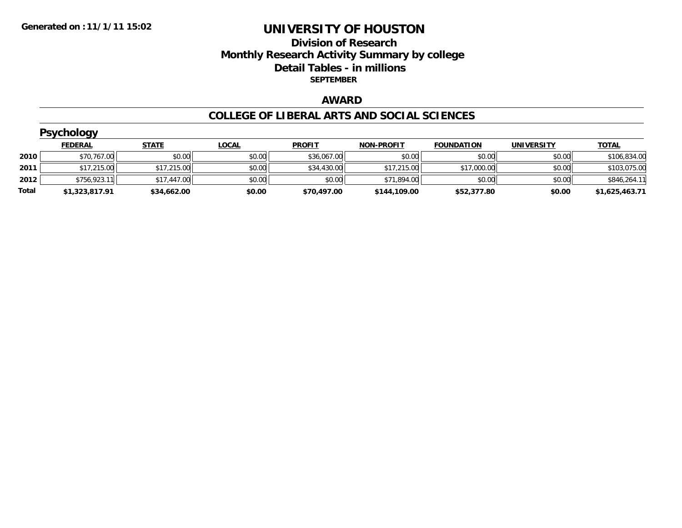### **Division of Research Monthly Research Activity Summary by college Detail Tables - in millions SEPTEMBER**

## **AWARD**

#### **COLLEGE OF LIBERAL ARTS AND SOCIAL SCIENCES**

|       | <b>Psychology</b> |              |              |               |                   |                   |                   |                |  |  |  |  |
|-------|-------------------|--------------|--------------|---------------|-------------------|-------------------|-------------------|----------------|--|--|--|--|
|       | <b>FEDERAL</b>    | <b>STATE</b> | <b>LOCAL</b> | <b>PROFIT</b> | <b>NON-PROFIT</b> | <b>FOUNDATION</b> | <b>UNIVERSITY</b> | <b>TOTAL</b>   |  |  |  |  |
| 2010  | \$70,767.00       | \$0.00       | \$0.00       | \$36,067.00   | \$0.00            | \$0.00            | \$0.00            | \$106,834.00   |  |  |  |  |
| 2011  | \$17,215.00       | \$17,215.00  | \$0.00       | \$34,430.00   | \$17,215.00       | \$17,000.00       | \$0.00            | \$103,075.00   |  |  |  |  |
| 2012  | \$756,923.11      | \$17,447.00  | \$0.00       | \$0.00        | \$71,894.00       | \$0.00            | \$0.00            | \$846,264.11   |  |  |  |  |
| Total | \$1,323,817.91    | \$34,662.00  | \$0.00       | \$70,497.00   | \$144,109.00      | \$52,377.80       | \$0.00            | \$1,625,463.71 |  |  |  |  |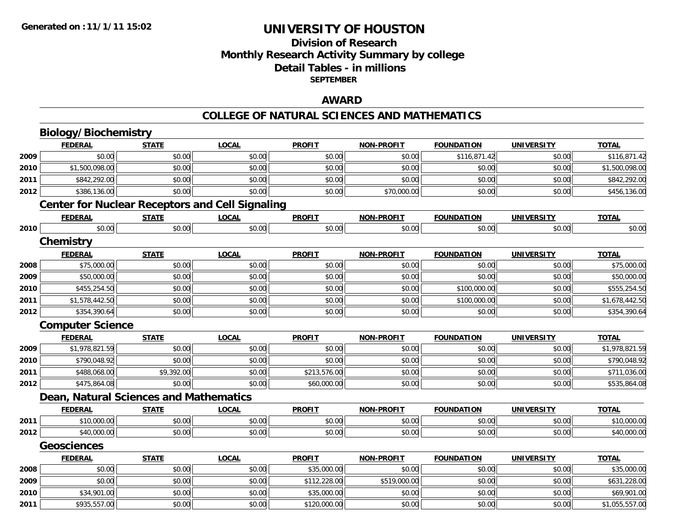### **Division of ResearchMonthly Research Activity Summary by college Detail Tables - in millions SEPTEMBER**

#### **AWARD**

## **COLLEGE OF NATURAL SCIENCES AND MATHEMATICS**

|      | <b>Biology/Biochemistry</b>                            |              |              |               |                   |                   |                   |                |  |  |  |  |
|------|--------------------------------------------------------|--------------|--------------|---------------|-------------------|-------------------|-------------------|----------------|--|--|--|--|
|      | <b>FEDERAL</b>                                         | <b>STATE</b> | <b>LOCAL</b> | <b>PROFIT</b> | <b>NON-PROFIT</b> | <b>FOUNDATION</b> | <b>UNIVERSITY</b> | <b>TOTAL</b>   |  |  |  |  |
| 2009 | \$0.00                                                 | \$0.00       | \$0.00       | \$0.00        | \$0.00            | \$116,871.42      | \$0.00            | \$116,871.42   |  |  |  |  |
| 2010 | \$1,500,098.00                                         | \$0.00       | \$0.00       | \$0.00        | \$0.00            | \$0.00            | \$0.00            | \$1,500,098.00 |  |  |  |  |
| 2011 | \$842,292.00                                           | \$0.00       | \$0.00       | \$0.00        | \$0.00            | \$0.00            | \$0.00            | \$842,292.00   |  |  |  |  |
| 2012 | \$386,136.00                                           | \$0.00       | \$0.00       | \$0.00        | \$70,000.00       | \$0.00            | \$0.00            | \$456,136.00   |  |  |  |  |
|      | <b>Center for Nuclear Receptors and Cell Signaling</b> |              |              |               |                   |                   |                   |                |  |  |  |  |
|      | <b>FEDERAL</b>                                         | <b>STATE</b> | <b>LOCAL</b> | <b>PROFIT</b> | <b>NON-PROFIT</b> | <b>FOUNDATION</b> | <b>UNIVERSITY</b> | <b>TOTAL</b>   |  |  |  |  |
| 2010 | \$0.00                                                 | \$0.00       | \$0.00       | \$0.00        | \$0.00            | \$0.00            | \$0.00            | \$0.00         |  |  |  |  |
|      | <b>Chemistry</b>                                       |              |              |               |                   |                   |                   |                |  |  |  |  |
|      | <b>FEDERAL</b>                                         | <b>STATE</b> | <b>LOCAL</b> | <b>PROFIT</b> | <b>NON-PROFIT</b> | <b>FOUNDATION</b> | <b>UNIVERSITY</b> | <b>TOTAL</b>   |  |  |  |  |
| 2008 | \$75,000.00                                            | \$0.00       | \$0.00       | \$0.00        | \$0.00            | \$0.00            | \$0.00            | \$75,000.00    |  |  |  |  |
| 2009 | \$50,000.00                                            | \$0.00       | \$0.00       | \$0.00        | \$0.00            | \$0.00            | \$0.00            | \$50,000.00    |  |  |  |  |
| 2010 | \$455,254.50                                           | \$0.00       | \$0.00       | \$0.00        | \$0.00            | \$100,000.00      | \$0.00            | \$555,254.50   |  |  |  |  |
| 2011 | \$1,578,442.50                                         | \$0.00       | \$0.00       | \$0.00        | \$0.00            | \$100,000.00      | \$0.00            | \$1,678,442.50 |  |  |  |  |
| 2012 | \$354,390.64                                           | \$0.00       | \$0.00       | \$0.00        | \$0.00            | \$0.00            | \$0.00            | \$354,390.64   |  |  |  |  |
|      | <b>Computer Science</b>                                |              |              |               |                   |                   |                   |                |  |  |  |  |
|      | <b>FEDERAL</b>                                         | <b>STATE</b> | <b>LOCAL</b> | <b>PROFIT</b> | <b>NON-PROFIT</b> | <b>FOUNDATION</b> | <b>UNIVERSITY</b> | <b>TOTAL</b>   |  |  |  |  |
| 2009 | \$1,978,821.59                                         | \$0.00       | \$0.00       | \$0.00        | \$0.00            | \$0.00            | \$0.00            | \$1,978,821.59 |  |  |  |  |
| 2010 | \$790,048.92                                           | \$0.00       | \$0.00       | \$0.00        | \$0.00            | \$0.00            | \$0.00            | \$790,048.92   |  |  |  |  |
| 2011 | \$488,068.00                                           | \$9,392.00   | \$0.00       | \$213,576.00  | \$0.00            | \$0.00            | \$0.00            | \$711,036.00   |  |  |  |  |
| 2012 | \$475,864.08                                           | \$0.00       | \$0.00       | \$60,000.00   | \$0.00            | \$0.00            | \$0.00            | \$535,864.08   |  |  |  |  |
|      | <b>Dean, Natural Sciences and Mathematics</b>          |              |              |               |                   |                   |                   |                |  |  |  |  |
|      | <b>FEDERAL</b>                                         | <b>STATE</b> | <b>LOCAL</b> | <b>PROFIT</b> | <b>NON-PROFIT</b> | <b>FOUNDATION</b> | <b>UNIVERSITY</b> | <b>TOTAL</b>   |  |  |  |  |
| 2011 | \$10,000.00                                            | \$0.00       | \$0.00       | \$0.00        | \$0.00            | \$0.00            | \$0.00            | \$10,000.00    |  |  |  |  |
| 2012 | \$40,000.00                                            | \$0.00       | \$0.00       | \$0.00        | \$0.00            | \$0.00            | \$0.00            | \$40,000.00    |  |  |  |  |
|      | <b>Geosciences</b>                                     |              |              |               |                   |                   |                   |                |  |  |  |  |
|      | <b>FEDERAL</b>                                         | <b>STATE</b> | <b>LOCAL</b> | <b>PROFIT</b> | <b>NON-PROFIT</b> | <b>FOUNDATION</b> | <b>UNIVERSITY</b> | <b>TOTAL</b>   |  |  |  |  |
| 2008 | \$0.00                                                 | \$0.00       | \$0.00       | \$35,000.00   | \$0.00            | \$0.00            | \$0.00            | \$35,000.00    |  |  |  |  |
| 2009 | \$0.00                                                 | \$0.00       | \$0.00       | \$112,228.00  | \$519,000.00      | \$0.00            | \$0.00            | \$631,228.00   |  |  |  |  |
| 2010 | \$34,901.00                                            | \$0.00       | \$0.00       | \$35,000.00   | \$0.00            | \$0.00            | \$0.00            | \$69,901.00    |  |  |  |  |
| 2011 | \$935,557.00                                           | \$0.00       | \$0.00       | \$120,000.00  | \$0.00            | \$0.00            | \$0.00            | \$1,055,557.00 |  |  |  |  |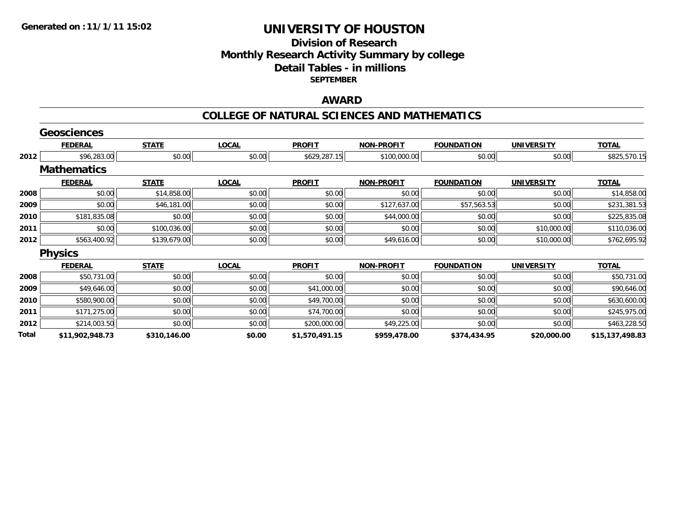#### **Division of Research Monthly Research Activity Summary by college Detail Tables - in millions SEPTEMBER**

### **AWARD**

#### **COLLEGE OF NATURAL SCIENCES AND MATHEMATICS**

|       | <b>Geosciences</b> |              |              |                |                   |                   |                   |                 |
|-------|--------------------|--------------|--------------|----------------|-------------------|-------------------|-------------------|-----------------|
|       | <b>FEDERAL</b>     | <b>STATE</b> | <b>LOCAL</b> | <b>PROFIT</b>  | <b>NON-PROFIT</b> | <b>FOUNDATION</b> | <b>UNIVERSITY</b> | <b>TOTAL</b>    |
| 2012  | \$96,283.00        | \$0.00       | \$0.00       | \$629,287.15   | \$100,000.00      | \$0.00            | \$0.00            | \$825,570.15    |
|       | <b>Mathematics</b> |              |              |                |                   |                   |                   |                 |
|       | <b>FEDERAL</b>     | <b>STATE</b> | <b>LOCAL</b> | <b>PROFIT</b>  | <b>NON-PROFIT</b> | <b>FOUNDATION</b> | <b>UNIVERSITY</b> | <b>TOTAL</b>    |
| 2008  | \$0.00             | \$14,858.00  | \$0.00       | \$0.00         | \$0.00            | \$0.00            | \$0.00            | \$14,858.00     |
| 2009  | \$0.00             | \$46,181.00  | \$0.00       | \$0.00         | \$127,637.00      | \$57,563.53       | \$0.00            | \$231,381.53    |
| 2010  | \$181,835.08       | \$0.00       | \$0.00       | \$0.00         | \$44,000.00       | \$0.00            | \$0.00            | \$225,835.08    |
| 2011  | \$0.00             | \$100,036.00 | \$0.00       | \$0.00         | \$0.00            | \$0.00            | \$10,000.00       | \$110,036.00    |
| 2012  | \$563,400.92       | \$139,679.00 | \$0.00       | \$0.00         | \$49,616.00       | \$0.00            | \$10,000.00       | \$762,695.92    |
|       | <b>Physics</b>     |              |              |                |                   |                   |                   |                 |
|       | <b>FEDERAL</b>     | <b>STATE</b> | <b>LOCAL</b> | <b>PROFIT</b>  | <b>NON-PROFIT</b> | <b>FOUNDATION</b> | <b>UNIVERSITY</b> | <b>TOTAL</b>    |
| 2008  | \$50,731.00        | \$0.00       | \$0.00       | \$0.00         | \$0.00            | \$0.00            | \$0.00            | \$50,731.00     |
| 2009  | \$49,646.00        | \$0.00       | \$0.00       | \$41,000.00    | \$0.00            | \$0.00            | \$0.00            | \$90,646.00     |
| 2010  | \$580,900.00       | \$0.00       | \$0.00       | \$49,700.00    | \$0.00            | \$0.00            | \$0.00            | \$630,600.00    |
| 2011  | \$171,275.00       | \$0.00       | \$0.00       | \$74,700.00    | \$0.00            | \$0.00            | \$0.00            | \$245,975.00    |
| 2012  | \$214,003.50       | \$0.00       | \$0.00       | \$200,000.00   | \$49,225.00       | \$0.00            | \$0.00            | \$463,228.50    |
| Total | \$11,902,948.73    | \$310,146.00 | \$0.00       | \$1,570,491.15 | \$959,478.00      | \$374,434.95      | \$20,000.00       | \$15,137,498.83 |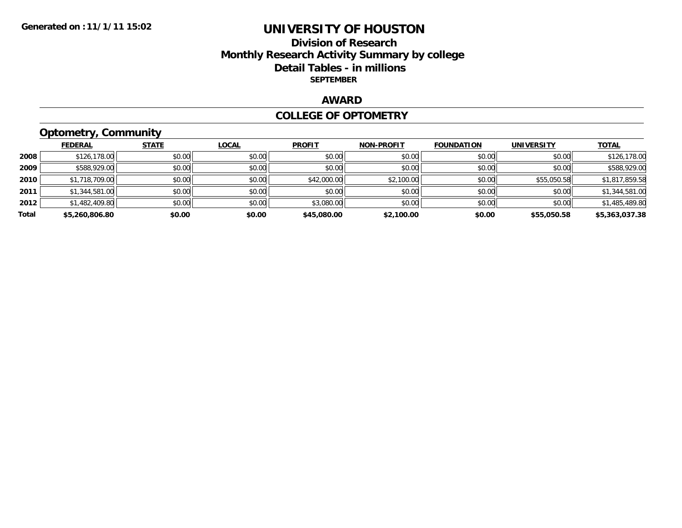#### **Division of Research Monthly Research Activity Summary by college Detail Tables - in millions SEPTEMBER**

### **AWARD**

#### **COLLEGE OF OPTOMETRY**

## **Optometry, Community**

|       | <b>FEDERAL</b> | <b>STATE</b> | <b>LOCAL</b> | <b>PROFIT</b> | <b>NON-PROFIT</b> | <b>FOUNDATION</b> | <b>UNIVERSITY</b> | <b>TOTAL</b>   |
|-------|----------------|--------------|--------------|---------------|-------------------|-------------------|-------------------|----------------|
|       |                |              |              |               |                   |                   |                   |                |
| 2008  | \$126,178.00   | \$0.00       | \$0.00       | \$0.00        | \$0.00            | \$0.00            | \$0.00            | \$126,178.00   |
| 2009  | \$588,929.00   | \$0.00       | \$0.00       | \$0.00        | \$0.00            | \$0.00            | \$0.00            | \$588,929.00   |
| 2010  | \$1,718,709.00 | \$0.00       | \$0.00       | \$42,000.00   | \$2,100.00        | \$0.00            | \$55,050.58       | \$1,817,859.58 |
| 2011  | \$1,344,581.00 | \$0.00       | \$0.00       | \$0.00        | \$0.00            | \$0.00            | \$0.00            | \$1,344,581.00 |
| 2012  | \$1,482,409.80 | \$0.00       | \$0.00       | \$3,080.00    | \$0.00            | \$0.00            | \$0.00            | \$1,485,489.80 |
| Total | \$5,260,806.80 | \$0.00       | \$0.00       | \$45,080.00   | \$2,100.00        | \$0.00            | \$55,050.58       | \$5,363,037.38 |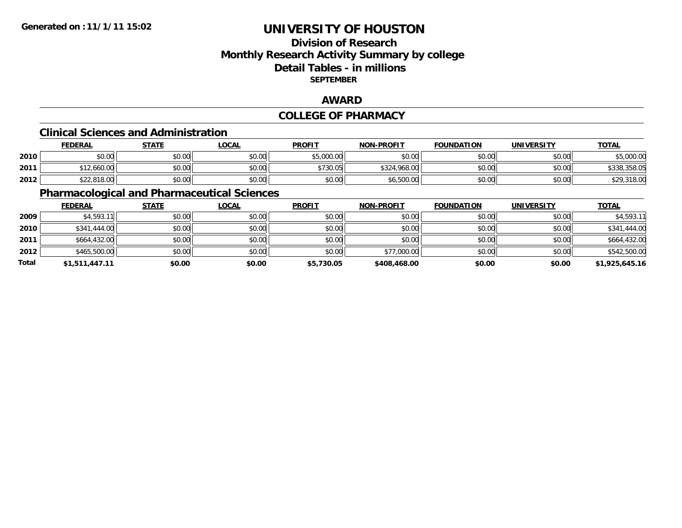### **Division of ResearchMonthly Research Activity Summary by college Detail Tables - in millions SEPTEMBER**

#### **AWARD**

#### **COLLEGE OF PHARMACY**

#### **Clinical Sciences and Administration**

|      | <b>FEDERAL</b>         | <b>STATE</b> | <u>LOCAL</u> | <b>PROFIT</b> | <b>NON-PROFIT</b> | <b>FOUNDATION</b> | <b>UNIVERSITY</b> | <b>TOTAL</b> |
|------|------------------------|--------------|--------------|---------------|-------------------|-------------------|-------------------|--------------|
| 2010 | ልስ ሰሰ<br>DU.UU         | \$0.00       | \$0.00       | \$5,000.00    | \$0.00            | \$0.00            | \$0.00            | 5,000.00     |
| 2011 | 12,660.00              | \$0.00       | \$0.00       | \$730.05      | \$324.968.00      | \$0.00            | \$0.00            | \$338,358.05 |
| 2012 | 0.01000<br>\$22,818.00 | \$0.00       | \$0.00       | \$0.00        | \$6,500.00        | \$0.00            | \$0.00            | \$29,318.00  |

## **Pharmacological and Pharmaceutical Sciences**

|       | <b>FEDERAL</b> | <b>STATE</b> | <b>LOCAL</b> | <b>PROFIT</b> | <b>NON-PROFIT</b> | <b>FOUNDATION</b> | <b>UNIVERSITY</b> | <b>TOTAL</b>   |
|-------|----------------|--------------|--------------|---------------|-------------------|-------------------|-------------------|----------------|
| 2009  | \$4,593.11     | \$0.00       | \$0.00       | \$0.00        | \$0.00            | \$0.00            | \$0.00            | \$4,593.11     |
| 2010  | \$341,444.00   | \$0.00       | \$0.00       | \$0.00        | \$0.00            | \$0.00            | \$0.00            | \$341,444.00   |
| 2011  | \$664,432.00   | \$0.00       | \$0.00       | \$0.00        | \$0.00            | \$0.00            | \$0.00            | \$664,432.00   |
| 2012  | \$465,500.00   | \$0.00       | \$0.00       | \$0.00        | \$77,000.00       | \$0.00            | \$0.00            | \$542,500.00   |
| Total | \$1,511,447.11 | \$0.00       | \$0.00       | \$5,730.05    | \$408,468.00      | \$0.00            | \$0.00            | \$1,925,645.16 |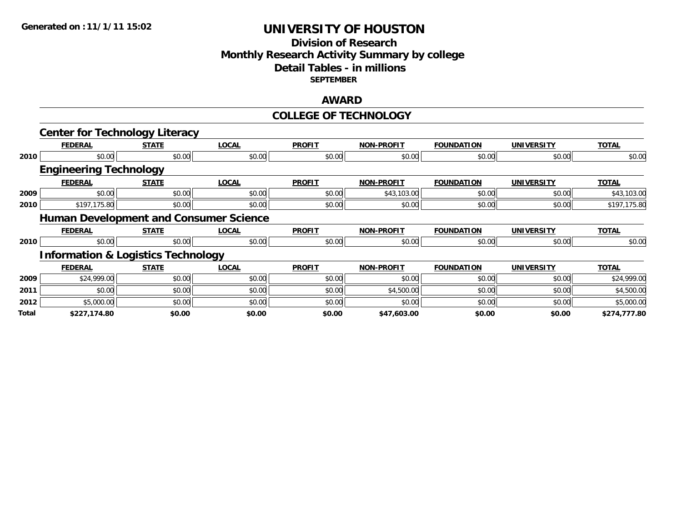### **Division of Research Monthly Research Activity Summary by college Detail Tables - in millions SEPTEMBER**

#### **AWARD**

#### **COLLEGE OF TECHNOLOGY**

|       | <b>Center for Technology Literacy</b>         |              |              |               |                   |                   |                   |              |
|-------|-----------------------------------------------|--------------|--------------|---------------|-------------------|-------------------|-------------------|--------------|
|       | <b>FEDERAL</b>                                | <b>STATE</b> | <b>LOCAL</b> | <b>PROFIT</b> | <b>NON-PROFIT</b> | <b>FOUNDATION</b> | <b>UNIVERSITY</b> | <b>TOTAL</b> |
| 2010  | \$0.00                                        | \$0.00       | \$0.00       | \$0.00        | \$0.00            | \$0.00            | \$0.00            | \$0.00       |
|       | <b>Engineering Technology</b>                 |              |              |               |                   |                   |                   |              |
|       | <b>FEDERAL</b>                                | <b>STATE</b> | <b>LOCAL</b> | <b>PROFIT</b> | <b>NON-PROFIT</b> | <b>FOUNDATION</b> | <b>UNIVERSITY</b> | <b>TOTAL</b> |
| 2009  | \$0.00                                        | \$0.00       | \$0.00       | \$0.00        | \$43,103.00       | \$0.00            | \$0.00            | \$43,103.00  |
| 2010  | \$197,175.80                                  | \$0.00       | \$0.00       | \$0.00        | \$0.00            | \$0.00            | \$0.00            | \$197,175.80 |
|       | <b>Human Development and Consumer Science</b> |              |              |               |                   |                   |                   |              |
|       | <b>FEDERAL</b>                                | <b>STATE</b> | <b>LOCAL</b> | <b>PROFIT</b> | <b>NON-PROFIT</b> | <b>FOUNDATION</b> | <b>UNIVERSITY</b> | <b>TOTAL</b> |
| 2010  | \$0.00                                        | \$0.00       | \$0.00       | \$0.00        | \$0.00            | \$0.00            | \$0.00            | \$0.00       |
|       | <b>Information &amp; Logistics Technology</b> |              |              |               |                   |                   |                   |              |
|       | <b>FEDERAL</b>                                | <b>STATE</b> | <b>LOCAL</b> | <b>PROFIT</b> | <b>NON-PROFIT</b> | <b>FOUNDATION</b> | <b>UNIVERSITY</b> | <b>TOTAL</b> |
| 2009  | \$24,999.00                                   | \$0.00       | \$0.00       | \$0.00        | \$0.00            | \$0.00            | \$0.00            | \$24,999.00  |
| 2011  | \$0.00                                        | \$0.00       | \$0.00       | \$0.00        | \$4,500.00        | \$0.00            | \$0.00            | \$4,500.00   |
| 2012  | \$5,000.00                                    | \$0.00       | \$0.00       | \$0.00        | \$0.00            | \$0.00            | \$0.00            | \$5,000.00   |
| Total | \$227,174.80                                  | \$0.00       | \$0.00       | \$0.00        | \$47,603.00       | \$0.00            | \$0.00            | \$274,777.80 |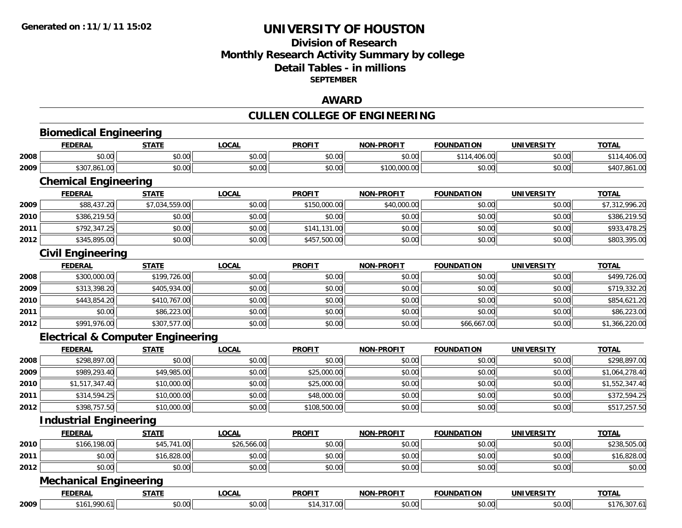#### **Division of Research Monthly Research Activity Summary by college Detail Tables - in millions SEPTEMBER**

### **AWARD**

## **CULLEN COLLEGE OF ENGINEERING**

|      | <b>Biomedical Engineering</b>                |                |              |               |                   |                   |                   |                |
|------|----------------------------------------------|----------------|--------------|---------------|-------------------|-------------------|-------------------|----------------|
|      | <b>FEDERAL</b>                               | <b>STATE</b>   | <b>LOCAL</b> | <b>PROFIT</b> | <b>NON-PROFIT</b> | <b>FOUNDATION</b> | <b>UNIVERSITY</b> | <b>TOTAL</b>   |
| 2008 | \$0.00                                       | \$0.00         | \$0.00       | \$0.00        | \$0.00            | \$114,406.00      | \$0.00            | \$114,406.00   |
| 2009 | \$307,861.00                                 | \$0.00         | \$0.00       | \$0.00        | \$100,000.00      | \$0.00            | \$0.00            | \$407,861.00   |
|      | <b>Chemical Engineering</b>                  |                |              |               |                   |                   |                   |                |
|      | <b>FEDERAL</b>                               | <b>STATE</b>   | <b>LOCAL</b> | <b>PROFIT</b> | <b>NON-PROFIT</b> | <b>FOUNDATION</b> | <b>UNIVERSITY</b> | <b>TOTAL</b>   |
| 2009 | \$88,437.20                                  | \$7,034,559.00 | \$0.00       | \$150,000.00  | \$40,000.00       | \$0.00            | \$0.00            | \$7,312,996.20 |
| 2010 | \$386,219.50                                 | \$0.00         | \$0.00       | \$0.00        | \$0.00            | \$0.00            | \$0.00            | \$386,219.50   |
| 2011 | \$792,347.25                                 | \$0.00         | \$0.00       | \$141,131.00  | \$0.00            | \$0.00            | \$0.00            | \$933,478.25   |
| 2012 | \$345,895.00                                 | \$0.00         | \$0.00       | \$457,500.00  | \$0.00            | \$0.00            | \$0.00            | \$803,395.00   |
|      | <b>Civil Engineering</b>                     |                |              |               |                   |                   |                   |                |
|      | <b>FEDERAL</b>                               | <b>STATE</b>   | <b>LOCAL</b> | <b>PROFIT</b> | <b>NON-PROFIT</b> | <b>FOUNDATION</b> | <b>UNIVERSITY</b> | <b>TOTAL</b>   |
| 2008 | \$300,000.00                                 | \$199,726.00   | \$0.00       | \$0.00        | \$0.00            | \$0.00            | \$0.00            | \$499,726.00   |
| 2009 | \$313,398.20                                 | \$405,934.00   | \$0.00       | \$0.00        | \$0.00            | \$0.00            | \$0.00            | \$719,332.20   |
| 2010 | \$443,854.20                                 | \$410,767.00   | \$0.00       | \$0.00        | \$0.00            | \$0.00            | \$0.00            | \$854,621.20   |
| 2011 | \$0.00                                       | \$86,223.00    | \$0.00       | \$0.00        | \$0.00            | \$0.00            | \$0.00            | \$86,223.00    |
| 2012 | \$991,976.00                                 | \$307,577.00   | \$0.00       | \$0.00        | \$0.00            | \$66,667.00       | \$0.00            | \$1,366,220.00 |
|      | <b>Electrical &amp; Computer Engineering</b> |                |              |               |                   |                   |                   |                |
|      | <b>FEDERAL</b>                               | <b>STATE</b>   | <b>LOCAL</b> | <b>PROFIT</b> | <b>NON-PROFIT</b> | <b>FOUNDATION</b> | <b>UNIVERSITY</b> | <b>TOTAL</b>   |
| 2008 | \$298,897.00                                 | \$0.00         | \$0.00       | \$0.00        | \$0.00            | \$0.00            | \$0.00            | \$298,897.00   |
| 2009 | \$989,293.40                                 | \$49,985.00    | \$0.00       | \$25,000.00   | \$0.00            | \$0.00            | \$0.00            | \$1,064,278.40 |
| 2010 | \$1,517,347.40                               | \$10,000.00    | \$0.00       | \$25,000.00   | \$0.00            | \$0.00            | \$0.00            | \$1,552,347.40 |
| 2011 | \$314,594.25                                 | \$10,000.00    | \$0.00       | \$48,000.00   | \$0.00            | \$0.00            | \$0.00            | \$372,594.25   |
| 2012 | \$398,757.50                                 | \$10,000.00    | \$0.00       | \$108,500.00  | \$0.00            | \$0.00            | \$0.00            | \$517,257.50   |
|      | <b>Industrial Engineering</b>                |                |              |               |                   |                   |                   |                |
|      | <b>FEDERAL</b>                               | <b>STATE</b>   | <b>LOCAL</b> | <b>PROFIT</b> | <b>NON-PROFIT</b> | <b>FOUNDATION</b> | <b>UNIVERSITY</b> | <b>TOTAL</b>   |
| 2010 | \$166,198.00                                 | \$45,741.00    | \$26,566.00  | \$0.00        | \$0.00            | \$0.00            | \$0.00            | \$238,505.00   |
| 2011 | \$0.00                                       | \$16,828.00    | \$0.00       | \$0.00        | \$0.00            | \$0.00            | \$0.00            | \$16,828.00    |
| 2012 | \$0.00                                       | \$0.00         | \$0.00       | \$0.00        | \$0.00            | \$0.00            | \$0.00            | \$0.00         |
|      | <b>Mechanical Engineering</b>                |                |              |               |                   |                   |                   |                |
|      | <b>FEDERAL</b>                               | <b>STATE</b>   | <b>LOCAL</b> | <b>PROFIT</b> | <b>NON-PROFIT</b> | <b>FOUNDATION</b> | <b>UNIVERSITY</b> | <b>TOTAL</b>   |
| 2009 | \$161,990.61                                 | \$0.00         | \$0.00       | \$14,317.00   | \$0.00            | \$0.00            | \$0.00            | \$176,307.61   |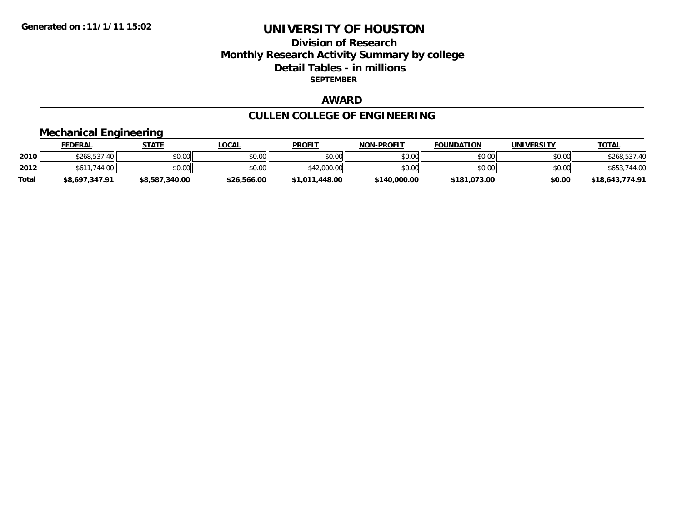#### **Division of Research Monthly Research Activity Summary by college Detail Tables - in millions SEPTEMBER**

## **AWARD**

## **CULLEN COLLEGE OF ENGINEERING**

# **Mechanical Engineering**

|       | <b>FEDERAL</b> | <b>STATE</b>   | <u>LOCAL</u> | <b>PROFIT</b>  | <b>NON-PROFIT</b> | <b>FOUNDATION</b> | <b>UNIVERSITY</b> | <b>TOTAL</b>    |
|-------|----------------|----------------|--------------|----------------|-------------------|-------------------|-------------------|-----------------|
| 2010  | \$268,537.40   | \$0.00         | \$0.00       | \$0.00         | \$0.00            | \$0.00            | \$0.00            | \$268,537.40    |
| 2012  | \$611,744,00   | \$0.00         | \$0.00       | \$42,000.00    | \$0.00            | \$0.00            | \$0.00            | 744.00<br>\$653 |
| Total | \$8,697,347.91 | \$8,587,340.00 | \$26,566.00  | \$1,011,448.00 | \$140,000.00      | \$181,073.00      | \$0.00            | \$18,643,774.91 |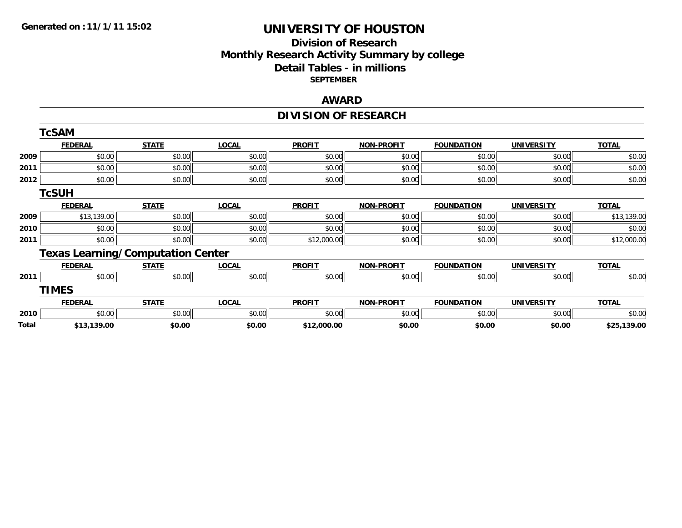### **Division of Research Monthly Research Activity Summary by college Detail Tables - in millions SEPTEMBER**

#### **AWARD**

## **DIVISION OF RESEARCH**

|       | <b>TcSAM</b>                             |              |              |               |                   |                   |                   |              |
|-------|------------------------------------------|--------------|--------------|---------------|-------------------|-------------------|-------------------|--------------|
|       | <b>FEDERAL</b>                           | <b>STATE</b> | <b>LOCAL</b> | <b>PROFIT</b> | <b>NON-PROFIT</b> | <b>FOUNDATION</b> | <b>UNIVERSITY</b> | <b>TOTAL</b> |
| 2009  | \$0.00                                   | \$0.00       | \$0.00       | \$0.00        | \$0.00            | \$0.00            | \$0.00            | \$0.00       |
| 2011  | \$0.00                                   | \$0.00       | \$0.00       | \$0.00        | \$0.00            | \$0.00            | \$0.00            | \$0.00       |
| 2012  | \$0.00                                   | \$0.00       | \$0.00       | \$0.00        | \$0.00            | \$0.00            | \$0.00            | \$0.00       |
|       | <b>TcSUH</b>                             |              |              |               |                   |                   |                   |              |
|       | <b>FEDERAL</b>                           | <b>STATE</b> | <b>LOCAL</b> | <b>PROFIT</b> | <b>NON-PROFIT</b> | <b>FOUNDATION</b> | <b>UNIVERSITY</b> | <b>TOTAL</b> |
| 2009  | \$13,139.00                              | \$0.00       | \$0.00       | \$0.00        | \$0.00            | \$0.00            | \$0.00            | \$13,139.00  |
| 2010  | \$0.00                                   | \$0.00       | \$0.00       | \$0.00        | \$0.00            | \$0.00            | \$0.00            | \$0.00       |
| 2011  | \$0.00                                   | \$0.00       | \$0.00       | \$12,000.00   | \$0.00            | \$0.00            | \$0.00            | \$12,000.00  |
|       | <b>Texas Learning/Computation Center</b> |              |              |               |                   |                   |                   |              |
|       | <b>FEDERAL</b>                           | <b>STATE</b> | <b>LOCAL</b> | <b>PROFIT</b> | <b>NON-PROFIT</b> | <b>FOUNDATION</b> | <b>UNIVERSITY</b> | <b>TOTAL</b> |
| 2011  | \$0.00                                   | \$0.00       | \$0.00       | \$0.00        | \$0.00            | \$0.00            | \$0.00            | \$0.00       |
|       | <b>TIMES</b>                             |              |              |               |                   |                   |                   |              |
|       | <b>FEDERAL</b>                           | <b>STATE</b> | <b>LOCAL</b> | <b>PROFIT</b> | <b>NON-PROFIT</b> | <b>FOUNDATION</b> | <b>UNIVERSITY</b> | <b>TOTAL</b> |
| 2010  | \$0.00                                   | \$0.00       | \$0.00       | \$0.00        | \$0.00            | \$0.00            | \$0.00            | \$0.00       |
| Total | \$13,139.00                              | \$0.00       | \$0.00       | \$12,000.00   | \$0.00            | \$0.00            | \$0.00            | \$25,139.00  |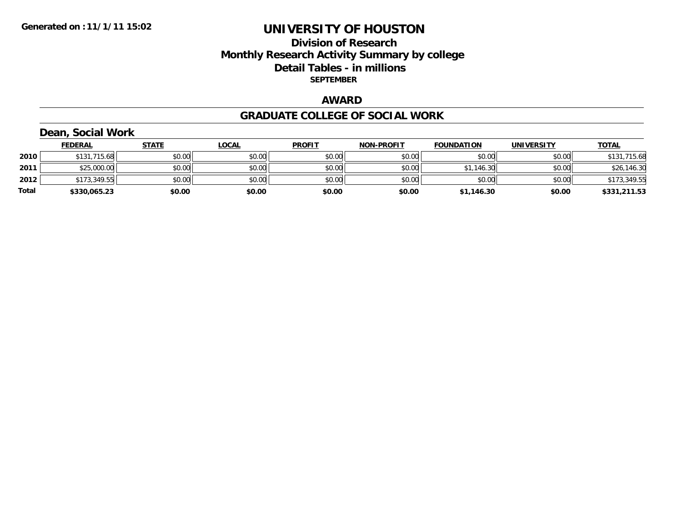#### **Division of Research Monthly Research Activity Summary by college Detail Tables - in millions SEPTEMBER**

### **AWARD**

#### **GRADUATE COLLEGE OF SOCIAL WORK**

## **Dean, Social Work**

|       | <b>FEDERAL</b> | <b>STATE</b> | <b>LOCAL</b> | <b>PROFIT</b> | <b>NON-PROFIT</b> | <b>FOUNDATION</b> | <b>UNIVERSITY</b> | <b>TOTAL</b>      |
|-------|----------------|--------------|--------------|---------------|-------------------|-------------------|-------------------|-------------------|
| 2010  | \$131,715.68   | \$0.00       | \$0.00       | \$0.00        | \$0.00            | \$0.00            | \$0.00            | ,715.68<br>\$131, |
| 2011  | \$25,000.00    | \$0.00       | \$0.00       | \$0.00        | \$0.00            | \$1,146.30        | \$0.00            | \$26,146.30       |
| 2012  | \$173,349.55   | \$0.00       | \$0.00       | \$0.00        | \$0.00            | \$0.00            | \$0.00            | \$173,349.55      |
| Total | \$330,065.23   | \$0.00       | \$0.00       | \$0.00        | \$0.00            | \$1,146.30        | \$0.00            | \$331,211.53      |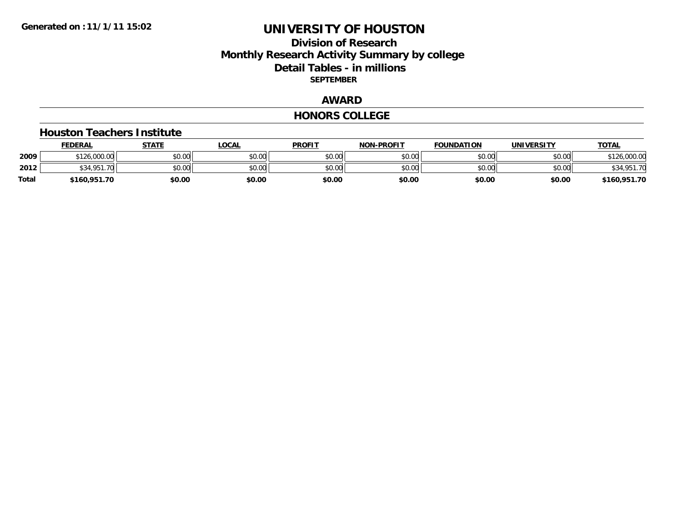### **Division of ResearchMonthly Research Activity Summary by college Detail Tables - in millions SEPTEMBER**

## **AWARD**

#### **HONORS COLLEGE**

#### **Houston Teachers Institute**

|       | <b>FEDERAL</b> | <b>STATE</b> | LOCAL  | <b>PROFIT</b> | <b>NON-PROFIT</b> | <b>FOUNDATION</b> | <b>UNIVERSITY</b> | <b>TOTAL</b> |
|-------|----------------|--------------|--------|---------------|-------------------|-------------------|-------------------|--------------|
| 2009  | \$126,000.00   | \$0.00       | \$0.00 | \$0.00        | \$0.00            | \$0.00            | \$0.00            | 126,000.00   |
| 2012  | <b>434 Q51</b> | \$0.00       | \$0.00 | \$0.00        | \$0.00            | \$0.00            | \$0.00            |              |
| Total | \$160,951.70   | \$0.00       | \$0.00 | \$0.00        | \$0.00            | \$0.00            | \$0.00            | \$160,951.70 |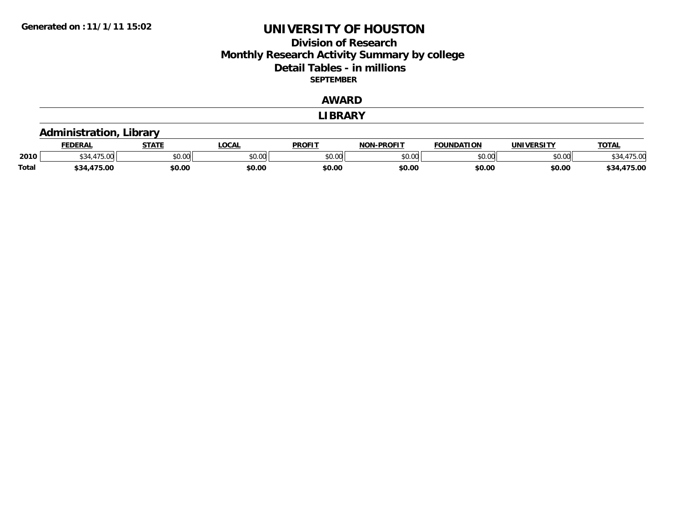#### **Division of Research Monthly Research Activity Summary by college Detail Tables - in millions SEPTEMBER**

#### **AWARD**

**LIBRARY**

|              | Administration, Library |              |              |               |                   |                   |                   |              |  |  |  |  |
|--------------|-------------------------|--------------|--------------|---------------|-------------------|-------------------|-------------------|--------------|--|--|--|--|
|              | <b>FEDERAL</b>          | <b>STATE</b> | <u>LOCAL</u> | <b>PROFIT</b> | <b>NON-PROFIT</b> | <b>FOUNDATION</b> | <b>UNIVERSITY</b> | <b>TOTAL</b> |  |  |  |  |
| 2010         | <b>A75</b><br>\$34.4    | \$0.00       | \$0.00       | \$0.00        | \$0.00            | \$0.00            | \$0.00            | \$34,475.00  |  |  |  |  |
| <b>Total</b> | \$34,475.00             | \$0.00       | \$0.00       | \$0.00        | \$0.00            | \$0.00            | \$0.00            | \$34,475.00  |  |  |  |  |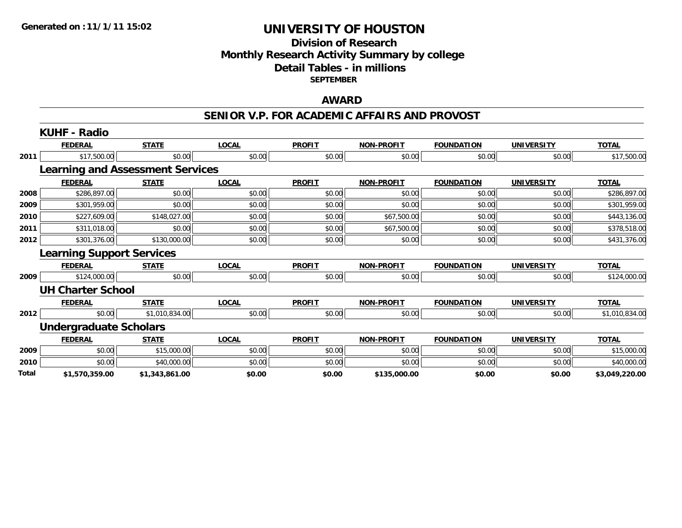#### **Division of Research Monthly Research Activity Summary by college Detail Tables - in millions SEPTEMBER**

#### **AWARD**

#### **SENIOR V.P. FOR ACADEMIC AFFAIRS AND PROVOST**

|       | <b>KUHF - Radio</b>                     |                |              |               |                   |                   |                   |                |
|-------|-----------------------------------------|----------------|--------------|---------------|-------------------|-------------------|-------------------|----------------|
|       | <b>FEDERAL</b>                          | <b>STATE</b>   | <b>LOCAL</b> | <b>PROFIT</b> | <b>NON-PROFIT</b> | <b>FOUNDATION</b> | <b>UNIVERSITY</b> | <b>TOTAL</b>   |
| 2011  | \$17,500.00                             | \$0.00         | \$0.00       | \$0.00        | \$0.00            | \$0.00            | \$0.00            | \$17,500.00    |
|       | <b>Learning and Assessment Services</b> |                |              |               |                   |                   |                   |                |
|       | <b>FEDERAL</b>                          | <b>STATE</b>   | <b>LOCAL</b> | <b>PROFIT</b> | <b>NON-PROFIT</b> | <b>FOUNDATION</b> | <b>UNIVERSITY</b> | <b>TOTAL</b>   |
| 2008  | \$286,897.00                            | \$0.00         | \$0.00       | \$0.00        | \$0.00            | \$0.00            | \$0.00            | \$286,897.00   |
| 2009  | \$301,959.00                            | \$0.00         | \$0.00       | \$0.00        | \$0.00            | \$0.00            | \$0.00            | \$301,959.00   |
| 2010  | \$227,609.00                            | \$148,027.00   | \$0.00       | \$0.00        | \$67,500.00       | \$0.00            | \$0.00            | \$443,136.00   |
| 2011  | \$311,018.00                            | \$0.00         | \$0.00       | \$0.00        | \$67,500.00       | \$0.00            | \$0.00            | \$378,518.00   |
| 2012  | \$301,376.00                            | \$130,000.00   | \$0.00       | \$0.00        | \$0.00            | \$0.00            | \$0.00            | \$431,376.00   |
|       | <b>Learning Support Services</b>        |                |              |               |                   |                   |                   |                |
|       | <b>FEDERAL</b>                          | <b>STATE</b>   | <b>LOCAL</b> | <b>PROFIT</b> | <b>NON-PROFIT</b> | <b>FOUNDATION</b> | <b>UNIVERSITY</b> | <b>TOTAL</b>   |
| 2009  | \$124,000.00                            | \$0.00         | \$0.00       | \$0.00        | \$0.00            | \$0.00            | \$0.00            | \$124,000.00   |
|       | <b>UH Charter School</b>                |                |              |               |                   |                   |                   |                |
|       | <b>FEDERAL</b>                          | <b>STATE</b>   | <b>LOCAL</b> | <b>PROFIT</b> | <b>NON-PROFIT</b> | <b>FOUNDATION</b> | <b>UNIVERSITY</b> | <b>TOTAL</b>   |
| 2012  | \$0.00                                  | \$1,010,834.00 | \$0.00       | \$0.00        | \$0.00            | \$0.00            | \$0.00            | \$1,010,834.00 |
|       | <b>Undergraduate Scholars</b>           |                |              |               |                   |                   |                   |                |
|       | <b>FEDERAL</b>                          | <b>STATE</b>   | <b>LOCAL</b> | <b>PROFIT</b> | <b>NON-PROFIT</b> | <b>FOUNDATION</b> | <b>UNIVERSITY</b> | <b>TOTAL</b>   |
| 2009  | \$0.00                                  | \$15,000.00    | \$0.00       | \$0.00        | \$0.00            | \$0.00            | \$0.00            | \$15,000.00    |
| 2010  | \$0.00                                  | \$40,000.00    | \$0.00       | \$0.00        | \$0.00            | \$0.00            | \$0.00            | \$40,000.00    |
| Total | \$1,570,359.00                          | \$1,343,861.00 | \$0.00       | \$0.00        | \$135,000.00      | \$0.00            | \$0.00            | \$3,049,220.00 |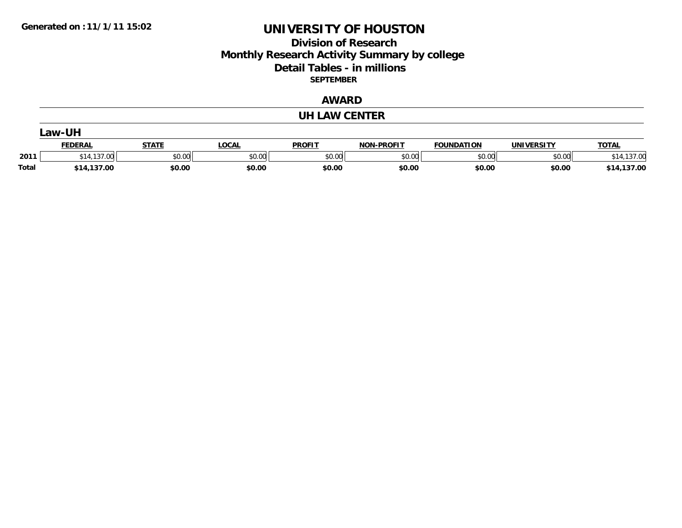### **Division of Research Monthly Research Activity Summary by college Detail Tables - in millions SEPTEMBER**

### **AWARD**

#### **UH LAW CENTER**

|              | ∟aw-UH                 |              |              |               |                   |                   |                   |              |  |  |  |
|--------------|------------------------|--------------|--------------|---------------|-------------------|-------------------|-------------------|--------------|--|--|--|
|              | <b>FEDERAL</b>         | <b>STATE</b> | <b>LOCAL</b> | <b>PROFIT</b> | <b>NON-PROFIT</b> | <b>FOUNDATION</b> | <b>UNIVERSITY</b> | <b>TOTAL</b> |  |  |  |
| 2011         | $+11177$<br>.00<br>314 | \$0.00       | \$0.00       | \$0.00        | \$0.00            | \$0.00            | \$0.00            | 137.00<br>14 |  |  |  |
| <b>Total</b> | \$14,137.00            | \$0.00       | \$0.00       | \$0.00        | \$0.00            | \$0.00            | \$0.00            | \$14,137.00  |  |  |  |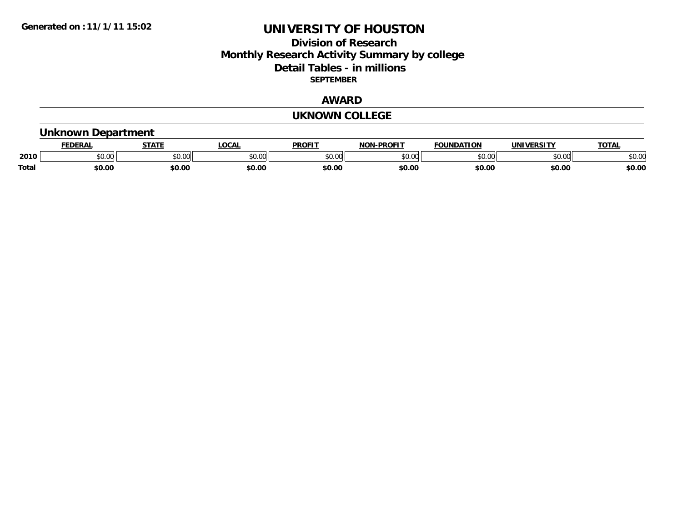#### **Division of Research Monthly Research Activity Summary by college Detail Tables - in millions SEPTEMBER**

### **AWARD**

#### **UKNOWN COLLEGE**

### **Unknown Department**

|              | <b>EDERAI</b>           | 87.TP  | <b>LOCAL</b>  | PROFIT | -PROFIT<br><b>NON</b> | <b>FOUNDATION</b> | <b>IINITVEDCTTV</b> | <b>TOTAL</b> |
|--------------|-------------------------|--------|---------------|--------|-----------------------|-------------------|---------------------|--------------|
| 2010         | 0 <sub>n</sub><br>וט.טי | υv.    | 0000<br>JU.UL | 0000   | 0000                  | $\sim$ 00         | $\sim$ 00<br>pu.uu  | \$0.00       |
| <b>Total</b> | \$0.00                  | \$0.00 | \$0.00        | \$0.00 | \$0.00                | \$0.00            | \$0.00              | \$0.00       |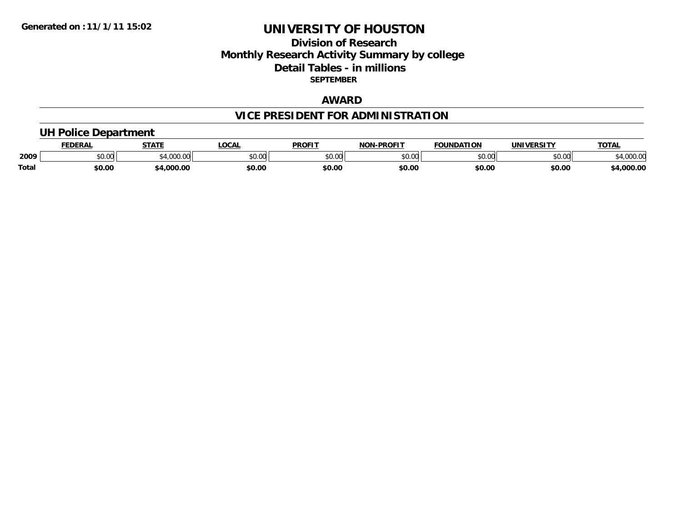### **Division of ResearchMonthly Research Activity Summary by college Detail Tables - in millions SEPTEMBER**

### **AWARD**

# **VICE PRESIDENT FOR ADMINISTRATION**

### **UH Police Department**

|              | <b>EDERAL</b>   | <b>STATE</b>   | <b>LOCAL</b>  | <b>PROFIT</b> | <b>-PROFIT</b><br><b>NON</b> | <b>FOUNDATION</b> | <b>IINIVEDCTTV</b> | <b>TOTAL</b> |
|--------------|-----------------|----------------|---------------|---------------|------------------------------|-------------------|--------------------|--------------|
| 2009         | 0.00<br>- JU.UU | 0.000<br>uuu.u | 0000<br>PO.OO | 0000<br>DU.UU | \$0.00                       | $\sim$ 00<br>しいい  | 0.00<br>DU.UG      | .uuu.u       |
| <b>Total</b> | 50.00           | .000.00        | \$0.00        | \$0.00        | \$0.00                       | \$0.00            | \$0.00             | 4,000.00     |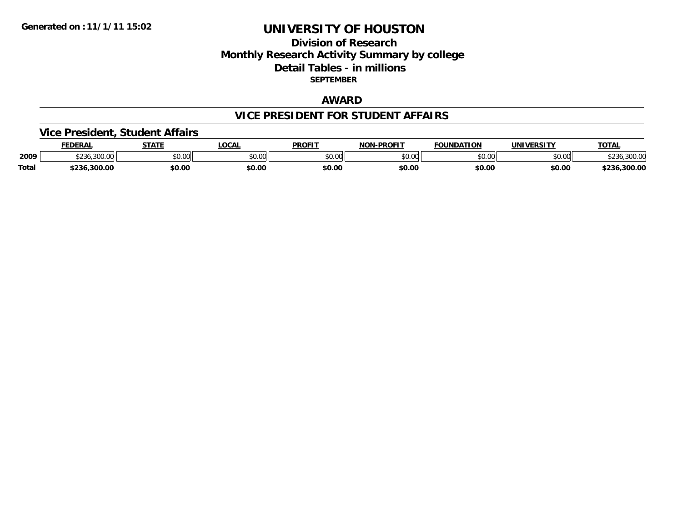### **Division of ResearchMonthly Research Activity Summary by college Detail Tables - in millions SEPTEMBER**

### **AWARD**

#### **VICE PRESIDENT FOR STUDENT AFFAIRS**

### **Vice President, Student Affairs**

|              | <b>FEDERAL</b>                 | <b>STATE</b>  | <b>LOCAL</b> | <b>PROFIT</b>  | <b>-PROFIT</b><br><b>NON</b> | <b>FOUNDATION</b> | <b>UNIVERSITY</b> | <b>TOTAL</b>            |
|--------------|--------------------------------|---------------|--------------|----------------|------------------------------|-------------------|-------------------|-------------------------|
| 2009         | 1.222<br>$\sim$<br>⊅∠30.3UU.UU | 0000<br>JU.UU | \$0.00       | ≮N UV<br>JU.UU | \$0.00                       | \$0.00            | \$0.00            | $\sim$ $\sim$<br>300.00 |
| <b>Total</b> | 5236,300.00                    | \$0.00        | \$0.00       | \$0.00         | \$0.00                       | \$0.00            | \$0.00            | \$236,300.00            |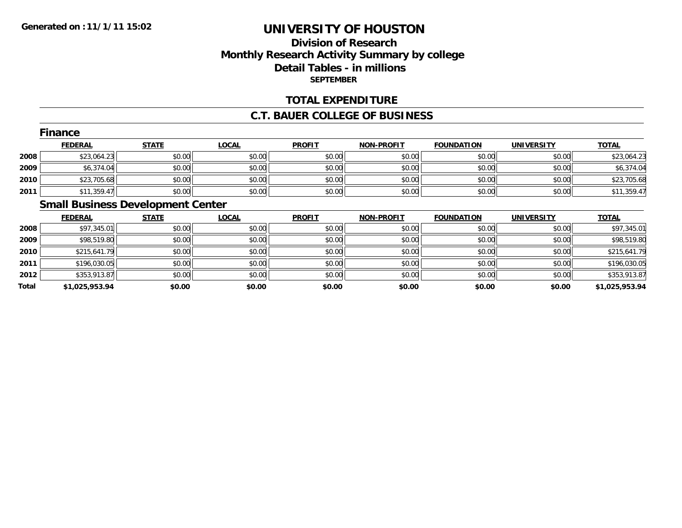### **Division of ResearchMonthly Research Activity Summary by college Detail Tables - in millions SEPTEMBER**

#### **TOTAL EXPENDITURE**

#### **C.T. BAUER COLLEGE OF BUSINESS**

|      | Finance        |              |              |               |                   |                   |                   |              |  |  |  |
|------|----------------|--------------|--------------|---------------|-------------------|-------------------|-------------------|--------------|--|--|--|
|      | <b>FEDERAL</b> | <b>STATE</b> | <b>LOCAL</b> | <b>PROFIT</b> | <b>NON-PROFIT</b> | <b>FOUNDATION</b> | <b>UNIVERSITY</b> | <b>TOTAL</b> |  |  |  |
| 2008 | \$23,064.23    | \$0.00       | \$0.00       | \$0.00        | \$0.00            | \$0.00            | \$0.00            | \$23,064.23  |  |  |  |
| 2009 | \$6,374.04     | \$0.00       | \$0.00       | \$0.00        | \$0.00            | \$0.00            | \$0.00            | \$6,374.04   |  |  |  |
| 2010 | \$23,705.68    | \$0.00       | \$0.00       | \$0.00        | \$0.00            | \$0.00            | \$0.00            | \$23,705.68  |  |  |  |
| 2011 | \$11,359.47    | \$0.00       | \$0.00       | \$0.00        | \$0.00            | \$0.00            | \$0.00            | \$11,359.47  |  |  |  |

# **Small Business Development Center**

|       | <b>FEDERAL</b> | <b>STATE</b> | <b>LOCAL</b> | <b>PROFIT</b> | <b>NON-PROFIT</b> | <b>FOUNDATION</b> | <b>UNIVERSITY</b> | <b>TOTAL</b>   |
|-------|----------------|--------------|--------------|---------------|-------------------|-------------------|-------------------|----------------|
| 2008  | \$97,345.01    | \$0.00       | \$0.00       | \$0.00        | \$0.00            | \$0.00            | \$0.00            | \$97,345.01    |
| 2009  | \$98,519.80    | \$0.00       | \$0.00       | \$0.00        | \$0.00            | \$0.00            | \$0.00            | \$98,519.80    |
| 2010  | \$215,641.79   | \$0.00       | \$0.00       | \$0.00        | \$0.00            | \$0.00            | \$0.00            | \$215,641.79   |
| 2011  | \$196,030.05   | \$0.00       | \$0.00       | \$0.00        | \$0.00            | \$0.00            | \$0.00            | \$196,030.05   |
| 2012  | \$353,913.87   | \$0.00       | \$0.00       | \$0.00        | \$0.00            | \$0.00            | \$0.00            | \$353,913.87   |
| Total | \$1,025,953.94 | \$0.00       | \$0.00       | \$0.00        | \$0.00            | \$0.00            | \$0.00            | \$1,025,953.94 |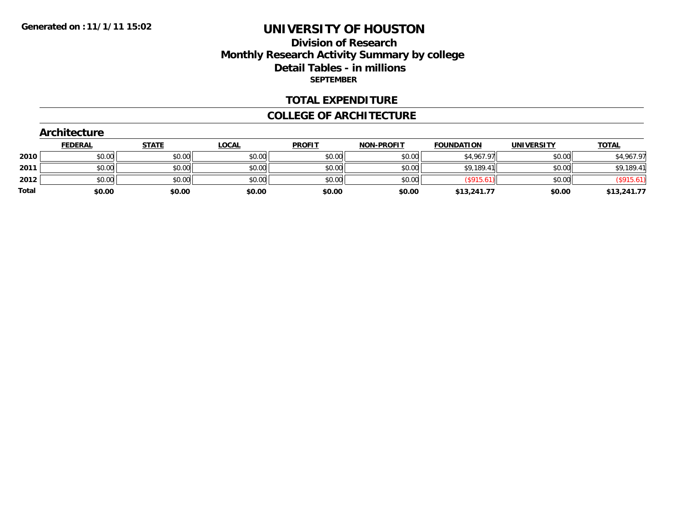#### **Division of Research Monthly Research Activity Summary by college Detail Tables - in millions SEPTEMBER**

#### **TOTAL EXPENDITURE**

#### **COLLEGE OF ARCHITECTURE**

|              | <b>Architecture</b> |              |              |               |                   |                   |                   |              |  |  |  |  |  |
|--------------|---------------------|--------------|--------------|---------------|-------------------|-------------------|-------------------|--------------|--|--|--|--|--|
|              | <b>FEDERAL</b>      | <b>STATE</b> | <b>LOCAL</b> | <b>PROFIT</b> | <b>NON-PROFIT</b> | <b>FOUNDATION</b> | <b>UNIVERSITY</b> | <b>TOTAL</b> |  |  |  |  |  |
| 2010         | \$0.00              | \$0.00       | \$0.00       | \$0.00        | \$0.00            | \$4,967.97        | \$0.00            | \$4,967.97   |  |  |  |  |  |
| 2011         | \$0.00              | \$0.00       | \$0.00       | \$0.00        | \$0.00            | \$9,189.41        | \$0.00            | \$9,189.41   |  |  |  |  |  |
| 2012         | \$0.00              | \$0.00       | \$0.00       | \$0.00        | \$0.00            | (\$915.61)        | \$0.00            | (\$915.61)   |  |  |  |  |  |
| <b>Total</b> | \$0.00              | \$0.00       | \$0.00       | \$0.00        | \$0.00            | \$13,241.77       | \$0.00            | \$13,241.77  |  |  |  |  |  |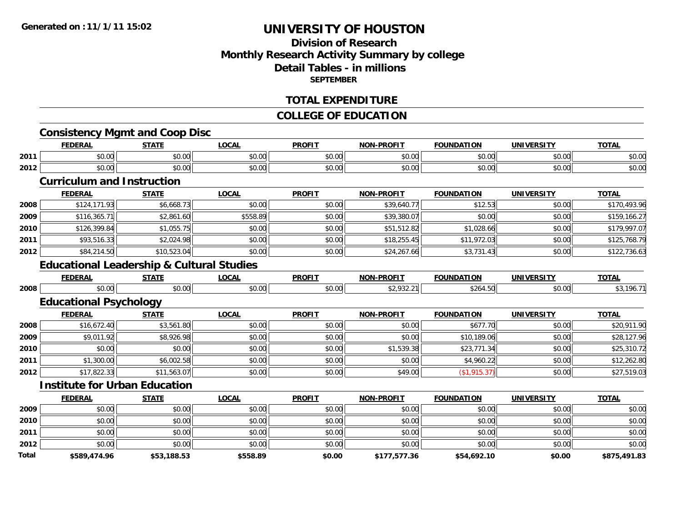### **Division of ResearchMonthly Research Activity Summary by college Detail Tables - in millionsSEPTEMBER**

#### **TOTAL EXPENDITURE**

#### **COLLEGE OF EDUCATION**

# **Consistency Mgmt and Coop Disc**

|      | <b>FEDERAL</b> | <b>STATE</b>           | LOCAI                  | <b>PROFIT</b>          | <b>NON-PROFIT</b>    | <b>FOUNDATION</b>  | <b>UNITUED CTTV</b> | <b>TOTAI</b> |
|------|----------------|------------------------|------------------------|------------------------|----------------------|--------------------|---------------------|--------------|
| 2011 | 0000<br>JU.UU  | $\uparrow$<br>JU.UU    | $\sim$ 00<br>JU.UU     | $\sim$ $\sim$<br>JU.UU | 0000<br><b>PU.UU</b> | $\sim$ 00<br>JU.UU | 0000<br>JU.UU       | \$0.00       |
| 2012 | 0000<br>DU.UU  | $\sim$ $\sim$<br>JU.UU | $\sim$ $\sim$<br>JU.UU | $\sim$ $\sim$<br>JU.UU | 0000<br>JU.UU        | $\sim$ 00<br>טט.   | $\cdots$<br>JU.UU   | \$0.00       |

#### **Curriculum and Instruction**

|      | <b>FEDERAL</b> | <b>STATE</b> | <b>LOCAL</b> | <b>PROFIT</b> | <b>NON-PROFIT</b> | <b>FOUNDATION</b> | <b>UNIVERSITY</b> | <u>TOTAL</u> |
|------|----------------|--------------|--------------|---------------|-------------------|-------------------|-------------------|--------------|
| 2008 | \$124,171.93   | \$6,668.73   | \$0.00       | \$0.00        | \$39,640.77       | \$12.53           | \$0.00            | \$170,493.96 |
| 2009 | \$116,365.71   | \$2,861.60   | \$558.89     | \$0.00        | \$39,380.07       | \$0.00            | \$0.00            | \$159,166.27 |
| 2010 | \$126,399.84   | \$1,055.75   | \$0.00       | \$0.00        | \$51,512.82       | \$1,028.66        | \$0.00            | \$179.997.07 |
| 2011 | \$93,516.33    | \$2,024.98   | \$0.00       | \$0.00        | \$18,255.45       | \$11,972.03       | \$0.00            | \$125,768.79 |
| 2012 | \$84,214.50    | \$10,523.04  | \$0.00       | \$0.00        | \$24,267.66       | \$3,731.43        | \$0.00            | \$122,736.63 |

#### **Educational Leadership & Cultural Studies**

|      | <b>FERERAI</b><br>LNA | -----<br>$\blacksquare$ | $\sim$ | <b>PROFIT</b> | $-$ DD $\wedge$ ETT<br>NIANI | FOUNDATION | <b>UNIVERSITY</b> | $-2$ |
|------|-----------------------|-------------------------|--------|---------------|------------------------------|------------|-------------------|------|
| 2008 | $\sim$ $\sim$<br>v.vu | $\sim$ 00<br>v.vv       | וטט.   | ົດ<br>v.vu    | $\sim$ $\sim$                | $\sim$     | JU.UU             | 'Yh. |

# **Educational Psychology**

|      | <b>FEDERAL</b> | <b>STATE</b> | <b>LOCAL</b> | <b>PROFIT</b> | <b>NON-PROFIT</b> | <b>FOUNDATION</b> | <b>UNIVERSITY</b> | <b>TOTAL</b> |
|------|----------------|--------------|--------------|---------------|-------------------|-------------------|-------------------|--------------|
| 2008 | \$16,672.40    | \$3,561.80   | \$0.00       | \$0.00        | \$0.00            | \$677.70          | \$0.00            | \$20,911.90  |
| 2009 | \$9,011.92     | \$8,926.98   | \$0.00       | \$0.00        | \$0.00            | \$10,189.06       | \$0.00            | \$28,127.96  |
| 2010 | \$0.00         | \$0.00       | \$0.00       | \$0.00        | \$1,539.38        | \$23,771.34       | \$0.00            | \$25,310.72  |
| 2011 | \$1,300.00     | \$6,002.58   | \$0.00       | \$0.00        | \$0.00            | \$4,960.22        | \$0.00            | \$12,262.80  |
| 2012 | \$17,822.33    | \$11,563.07  | \$0.00       | \$0.00        | \$49.00           | (\$1,915.37)      | \$0.00            | \$27,519.03  |

#### **Institute for Urban Education**

|       | <b>FEDERAL</b> | <b>STATE</b> | <b>LOCAL</b> | <b>PROFIT</b> | <b>NON-PROFIT</b> | <b>FOUNDATION</b> | <b>UNIVERSITY</b> | <b>TOTAL</b> |
|-------|----------------|--------------|--------------|---------------|-------------------|-------------------|-------------------|--------------|
| 2009  | \$0.00         | \$0.00       | \$0.00       | \$0.00        | \$0.00            | \$0.00            | \$0.00            | \$0.00       |
| 2010  | \$0.00         | \$0.00       | \$0.00       | \$0.00        | \$0.00            | \$0.00            | \$0.00            | \$0.00       |
| 2011  | \$0.00         | \$0.00       | \$0.00       | \$0.00        | \$0.00            | \$0.00            | \$0.00            | \$0.00       |
| 2012  | \$0.00         | \$0.00       | \$0.00       | \$0.00        | \$0.00            | \$0.00            | \$0.00            | \$0.00       |
| Total | \$589,474.96   | \$53,188.53  | \$558.89     | \$0.00        | \$177,577.36      | \$54,692.10       | \$0.00            | \$875,491.83 |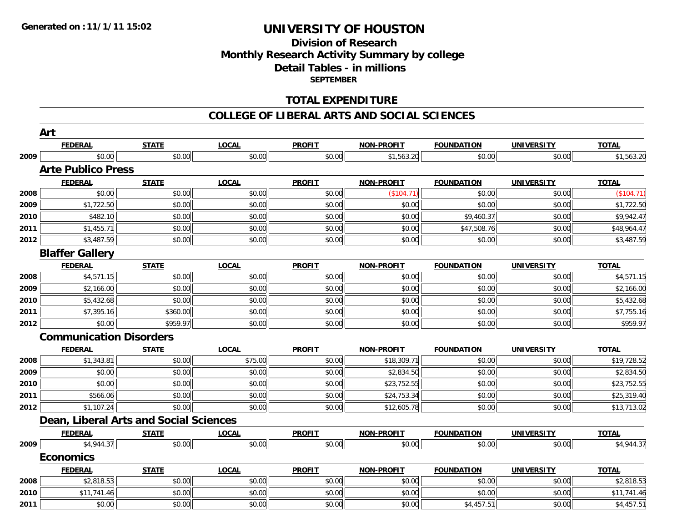### **Division of ResearchMonthly Research Activity Summary by college Detail Tables - in millions SEPTEMBER**

#### **TOTAL EXPENDITURE**

#### **COLLEGE OF LIBERAL ARTS AND SOCIAL SCIENCES**

|      | Art                                           |              |              |               |                   |                   |                   |              |
|------|-----------------------------------------------|--------------|--------------|---------------|-------------------|-------------------|-------------------|--------------|
|      | <b>FEDERAL</b>                                | <b>STATE</b> | <b>LOCAL</b> | <b>PROFIT</b> | <b>NON-PROFIT</b> | <b>FOUNDATION</b> | <b>UNIVERSITY</b> | <b>TOTAL</b> |
| 2009 | \$0.00                                        | \$0.00       | \$0.00       | \$0.00        | \$1,563.20        | \$0.00            | \$0.00            | \$1,563.20   |
|      | <b>Arte Publico Press</b>                     |              |              |               |                   |                   |                   |              |
|      | <b>FEDERAL</b>                                | <b>STATE</b> | <b>LOCAL</b> | <b>PROFIT</b> | <b>NON-PROFIT</b> | <b>FOUNDATION</b> | <b>UNIVERSITY</b> | <b>TOTAL</b> |
| 2008 | \$0.00                                        | \$0.00       | \$0.00       | \$0.00        | (\$104.71)        | \$0.00            | \$0.00            | (\$104.71)   |
| 2009 | \$1,722.50                                    | \$0.00       | \$0.00       | \$0.00        | \$0.00            | \$0.00            | \$0.00            | \$1,722.50   |
| 2010 | \$482.10                                      | \$0.00       | \$0.00       | \$0.00        | \$0.00            | \$9,460.37        | \$0.00            | \$9,942.47   |
| 2011 | \$1,455.71                                    | \$0.00       | \$0.00       | \$0.00        | \$0.00            | \$47,508.76       | \$0.00            | \$48,964.47  |
| 2012 | \$3,487.59                                    | \$0.00       | \$0.00       | \$0.00        | \$0.00            | \$0.00            | \$0.00            | \$3,487.59   |
|      | <b>Blaffer Gallery</b>                        |              |              |               |                   |                   |                   |              |
|      | <b>FEDERAL</b>                                | <b>STATE</b> | <b>LOCAL</b> | <b>PROFIT</b> | <b>NON-PROFIT</b> | <b>FOUNDATION</b> | <b>UNIVERSITY</b> | <b>TOTAL</b> |
| 2008 | \$4,571.15                                    | \$0.00       | \$0.00       | \$0.00        | \$0.00            | \$0.00            | \$0.00            | \$4,571.15   |
| 2009 | \$2,166.00                                    | \$0.00       | \$0.00       | \$0.00        | \$0.00            | \$0.00            | \$0.00            | \$2,166.00   |
| 2010 | \$5,432.68                                    | \$0.00       | \$0.00       | \$0.00        | \$0.00            | \$0.00            | \$0.00            | \$5,432.68   |
| 2011 | \$7,395.16                                    | \$360.00     | \$0.00       | \$0.00        | \$0.00            | \$0.00            | \$0.00            | \$7,755.16   |
| 2012 | \$0.00                                        | \$959.97     | \$0.00       | \$0.00        | \$0.00            | \$0.00            | \$0.00            | \$959.97     |
|      | <b>Communication Disorders</b>                |              |              |               |                   |                   |                   |              |
|      | <b>FEDERAL</b>                                | <b>STATE</b> | <b>LOCAL</b> | <b>PROFIT</b> | <b>NON-PROFIT</b> | <b>FOUNDATION</b> | <b>UNIVERSITY</b> | <b>TOTAL</b> |
| 2008 | \$1,343.81                                    | \$0.00       | \$75.00      | \$0.00        | \$18,309.71       | \$0.00            | \$0.00            | \$19,728.52  |
| 2009 | \$0.00                                        | \$0.00       | \$0.00       | \$0.00        | \$2,834.50        | \$0.00            | \$0.00            | \$2,834.50   |
| 2010 | \$0.00                                        | \$0.00       | \$0.00       | \$0.00        | \$23,752.55       | \$0.00            | \$0.00            | \$23,752.55  |
| 2011 | \$566.06                                      | \$0.00       | \$0.00       | \$0.00        | \$24,753.34       | \$0.00            | \$0.00            | \$25,319.40  |
| 2012 | \$1,107.24                                    | \$0.00       | \$0.00       | \$0.00        | \$12,605.78       | \$0.00            | \$0.00            | \$13,713.02  |
|      | <b>Dean, Liberal Arts and Social Sciences</b> |              |              |               |                   |                   |                   |              |
|      | <b>FEDERAL</b>                                | <b>STATE</b> | <b>LOCAL</b> | <b>PROFIT</b> | <b>NON-PROFIT</b> | <b>FOUNDATION</b> | <b>UNIVERSITY</b> | <b>TOTAL</b> |
| 2009 | \$4,944.37                                    | \$0.00       | \$0.00       | \$0.00        | \$0.00            | \$0.00            | \$0.00            | \$4,944.37   |
|      | <b>Economics</b>                              |              |              |               |                   |                   |                   |              |
|      | <b>FEDERAL</b>                                | <b>STATE</b> | <b>LOCAL</b> | <b>PROFIT</b> | <b>NON-PROFIT</b> | <b>FOUNDATION</b> | <b>UNIVERSITY</b> | <b>TOTAL</b> |
| 2008 | \$2,818.53                                    | \$0.00       | \$0.00       | \$0.00        | \$0.00            | \$0.00            | \$0.00            | \$2,818.53   |
| 2010 | \$11,741.46                                   | \$0.00       | \$0.00       | \$0.00        | \$0.00            | \$0.00            | \$0.00            | \$11,741.46  |
| 2011 | \$0.00                                        | \$0.00       | \$0.00       | \$0.00        | \$0.00            | \$4,457.51        | \$0.00            | \$4,457.51   |
|      |                                               |              |              |               |                   |                   |                   |              |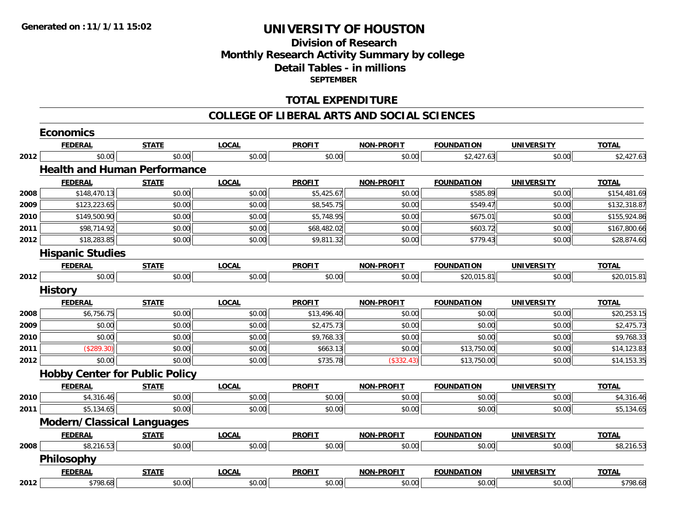### **Division of ResearchMonthly Research Activity Summary by college Detail Tables - in millions SEPTEMBER**

#### **TOTAL EXPENDITURE**

#### **COLLEGE OF LIBERAL ARTS AND SOCIAL SCIENCES**

|      | <b>Economics</b>                      |              |              |               |                   |                   |                   |              |
|------|---------------------------------------|--------------|--------------|---------------|-------------------|-------------------|-------------------|--------------|
|      | <b>FEDERAL</b>                        | <b>STATE</b> | <b>LOCAL</b> | <b>PROFIT</b> | <b>NON-PROFIT</b> | <b>FOUNDATION</b> | <b>UNIVERSITY</b> | <b>TOTAL</b> |
| 2012 | \$0.00                                | \$0.00       | \$0.00       | \$0.00        | \$0.00            | \$2,427.63        | \$0.00            | \$2,427.63   |
|      | <b>Health and Human Performance</b>   |              |              |               |                   |                   |                   |              |
|      | <b>FEDERAL</b>                        | <b>STATE</b> | <b>LOCAL</b> | <b>PROFIT</b> | <b>NON-PROFIT</b> | <b>FOUNDATION</b> | <b>UNIVERSITY</b> | <b>TOTAL</b> |
| 2008 | \$148,470.13                          | \$0.00       | \$0.00       | \$5,425.67    | \$0.00            | \$585.89          | \$0.00            | \$154,481.69 |
| 2009 | \$123,223.65                          | \$0.00       | \$0.00       | \$8,545.75    | \$0.00            | \$549.47          | \$0.00            | \$132,318.87 |
| 2010 | \$149,500.90                          | \$0.00       | \$0.00       | \$5,748.95    | \$0.00            | \$675.01          | \$0.00            | \$155,924.86 |
| 2011 | \$98,714.92                           | \$0.00       | \$0.00       | \$68,482.02   | \$0.00            | \$603.72          | \$0.00            | \$167,800.66 |
| 2012 | \$18,283.85                           | \$0.00       | \$0.00       | \$9,811.32    | \$0.00            | \$779.43          | \$0.00            | \$28,874.60  |
|      | <b>Hispanic Studies</b>               |              |              |               |                   |                   |                   |              |
|      | <b>FEDERAL</b>                        | <b>STATE</b> | <b>LOCAL</b> | <b>PROFIT</b> | <b>NON-PROFIT</b> | <b>FOUNDATION</b> | <b>UNIVERSITY</b> | <b>TOTAL</b> |
| 2012 | \$0.00                                | \$0.00       | \$0.00       | \$0.00        | \$0.00            | \$20,015.81       | \$0.00            | \$20,015.81  |
|      | <b>History</b>                        |              |              |               |                   |                   |                   |              |
|      | <b>FEDERAL</b>                        | <b>STATE</b> | <b>LOCAL</b> | <b>PROFIT</b> | <b>NON-PROFIT</b> | <b>FOUNDATION</b> | <b>UNIVERSITY</b> | <b>TOTAL</b> |
| 2008 | \$6,756.75                            | \$0.00       | \$0.00       | \$13,496.40   | \$0.00            | \$0.00            | \$0.00            | \$20,253.15  |
| 2009 | \$0.00                                | \$0.00       | \$0.00       | \$2,475.73    | \$0.00            | \$0.00            | \$0.00            | \$2,475.73   |
| 2010 | \$0.00                                | \$0.00       | \$0.00       | \$9,768.33    | \$0.00            | \$0.00            | \$0.00            | \$9,768.33   |
| 2011 | (\$289.30)                            | \$0.00       | \$0.00       | \$663.13      | \$0.00            | \$13,750.00       | \$0.00            | \$14,123.83  |
| 2012 | \$0.00                                | \$0.00       | \$0.00       | \$735.78      | (\$332.43)        | \$13,750.00       | \$0.00            | \$14,153.35  |
|      | <b>Hobby Center for Public Policy</b> |              |              |               |                   |                   |                   |              |
|      | <b>FEDERAL</b>                        | <b>STATE</b> | <b>LOCAL</b> | <b>PROFIT</b> | <b>NON-PROFIT</b> | <b>FOUNDATION</b> | <b>UNIVERSITY</b> | <b>TOTAL</b> |
| 2010 | \$4,316.46                            | \$0.00       | \$0.00       | \$0.00        | \$0.00            | \$0.00            | \$0.00            | \$4,316.46   |
| 2011 | \$5,134.65                            | \$0.00       | \$0.00       | \$0.00        | \$0.00            | \$0.00            | \$0.00            | \$5,134.65   |
|      | <b>Modern/Classical Languages</b>     |              |              |               |                   |                   |                   |              |
|      | <b>FEDERAL</b>                        | <b>STATE</b> | <b>LOCAL</b> | <b>PROFIT</b> | <b>NON-PROFIT</b> | <b>FOUNDATION</b> | <b>UNIVERSITY</b> | <b>TOTAL</b> |
| 2008 | \$8,216.53                            | \$0.00       | \$0.00       | \$0.00        | \$0.00            | \$0.00            | \$0.00            | \$8,216.53   |
|      | <b>Philosophy</b>                     |              |              |               |                   |                   |                   |              |
|      | <b>FEDERAL</b>                        | <b>STATE</b> | <b>LOCAL</b> | <b>PROFIT</b> | <b>NON-PROFIT</b> | <b>FOUNDATION</b> | <b>UNIVERSITY</b> | <b>TOTAL</b> |
| 2012 | \$798.68                              | \$0.00       | \$0.00       | \$0.00        | \$0.00            | \$0.00            | \$0.00            | \$798.68     |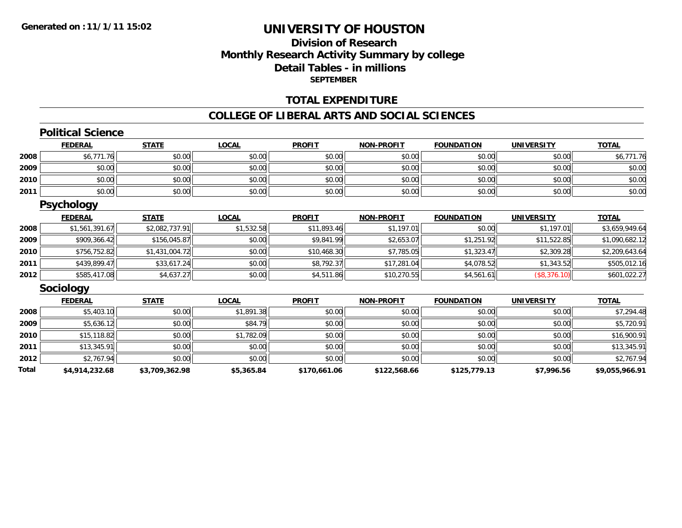### **Division of ResearchMonthly Research Activity Summary by college Detail Tables - in millions SEPTEMBER**

#### **TOTAL EXPENDITURE**

#### **COLLEGE OF LIBERAL ARTS AND SOCIAL SCIENCES**

### **Political Science**

|      | <b>FEDERAL</b> | <b>STATE</b> | <u>LOCAL</u> | <b>PROFIT</b> | <b>NON-PROFIT</b> | <b>FOUNDATION</b> | <b>UNIVERSITY</b> | <b>TOTAL</b> |
|------|----------------|--------------|--------------|---------------|-------------------|-------------------|-------------------|--------------|
| 2008 | \$6,771.76     | \$0.00       | \$0.00       | \$0.00        | \$0.00            | \$0.00            | \$0.00            | 771.76       |
| 2009 | \$0.00         | \$0.00       | \$0.00       | \$0.00        | \$0.00            | \$0.00            | \$0.00            | \$0.00       |
| 2010 | \$0.00         | \$0.00       | \$0.00       | \$0.00        | \$0.00            | \$0.00            | \$0.00            | \$0.00       |
| 2011 | \$0.00         | \$0.00       | \$0.00       | \$0.00        | \$0.00            | \$0.00            | \$0.00            | \$0.00       |

#### **Psychology**

|      | <b>FEDERAL</b> | <b>STATE</b>   | <b>LOCAL</b> | <b>PROFIT</b> | <b>NON-PROFIT</b> | <b>FOUNDATION</b> | <b>UNIVERSITY</b> | <b>TOTAL</b>   |
|------|----------------|----------------|--------------|---------------|-------------------|-------------------|-------------------|----------------|
| 2008 | \$1,561,391.67 | \$2,082,737.91 | \$1,532.58   | \$11,893.46   | \$1,197.01        | \$0.00            | \$1,197.01        | \$3,659,949.64 |
| 2009 | \$909,366.42   | \$156,045.87   | \$0.00       | \$9,841.99    | \$2,653.07        | \$1,251.92        | \$11,522.85       | \$1,090,682.12 |
| 2010 | \$756,752.82   | \$1,431,004.72 | \$0.00       | \$10,468.30   | \$7.785.05        | \$1,323.47        | \$2,309.28        | \$2,209,643.64 |
| 2011 | \$439,899.47   | \$33,617.24    | \$0.00       | \$8,792.37    | \$17,281.04       | \$4,078.52        | \$1,343.52        | \$505,012.16   |
| 2012 | \$585,417.08   | \$4,637.27     | \$0.00       | \$4,511.86    | \$10,270.55       | \$4,561.61        | (\$8,376.10)      | \$601,022.27   |

#### **Sociology**

|       | <b>FEDERAL</b> | <b>STATE</b>   | <b>LOCAL</b> | <b>PROFIT</b> | <b>NON-PROFIT</b> | <b>FOUNDATION</b> | <b>UNIVERSITY</b> | <b>TOTAL</b>   |
|-------|----------------|----------------|--------------|---------------|-------------------|-------------------|-------------------|----------------|
| 2008  | \$5,403.10     | \$0.00         | \$1,891.38   | \$0.00        | \$0.00            | \$0.00            | \$0.00            | \$7,294.48     |
| 2009  | \$5,636.12     | \$0.00         | \$84.79      | \$0.00        | \$0.00            | \$0.00            | \$0.00            | \$5,720.91     |
| 2010  | \$15,118.82    | \$0.00         | \$1,782.09   | \$0.00        | \$0.00            | \$0.00            | \$0.00            | \$16,900.91    |
| 2011  | \$13,345.91    | \$0.00         | \$0.00       | \$0.00        | \$0.00            | \$0.00            | \$0.00            | \$13,345.91    |
| 2012  | \$2,767.94     | \$0.00         | \$0.00       | \$0.00        | \$0.00            | \$0.00            | \$0.00            | \$2,767.94     |
| Total | \$4,914,232.68 | \$3,709,362.98 | \$5,365.84   | \$170,661.06  | \$122,568.66      | \$125,779.13      | \$7,996.56        | \$9,055,966.91 |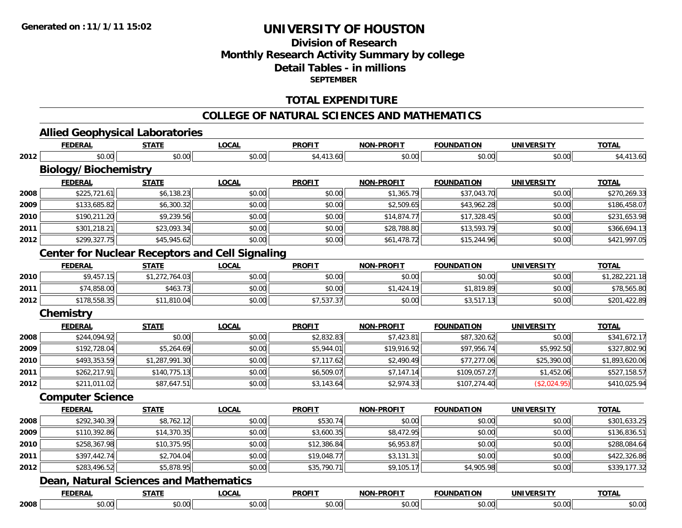### **Division of ResearchMonthly Research Activity Summary by college Detail Tables - in millions SEPTEMBER**

#### **TOTAL EXPENDITURE**

#### **COLLEGE OF NATURAL SCIENCES AND MATHEMATICS**

# **Allied Geophysical Laboratories**

|      | <b>FEDERAL</b>              | <b>STATE</b>                                  | <b>LOCAL</b>                                           | <b>PROFIT</b> | <b>NON-PROFIT</b> | <b>FOUNDATION</b> | <b>UNIVERSITY</b> | <b>TOTAL</b>   |
|------|-----------------------------|-----------------------------------------------|--------------------------------------------------------|---------------|-------------------|-------------------|-------------------|----------------|
| 2012 | \$0.00                      | \$0.00                                        | \$0.00                                                 | \$4,413.60    | \$0.00            | \$0.00            | \$0.00            | \$4,413.60     |
|      | <b>Biology/Biochemistry</b> |                                               |                                                        |               |                   |                   |                   |                |
|      | <b>FEDERAL</b>              | <b>STATE</b>                                  | <b>LOCAL</b>                                           | <b>PROFIT</b> | <b>NON-PROFIT</b> | <b>FOUNDATION</b> | <b>UNIVERSITY</b> | <b>TOTAL</b>   |
| 2008 | \$225,721.61                | \$6,138.23                                    | \$0.00                                                 | \$0.00        | \$1,365.79        | \$37,043.70       | \$0.00            | \$270,269.33   |
| 2009 | \$133,685.82                | \$6,300.32                                    | \$0.00                                                 | \$0.00        | \$2,509.65        | \$43,962.28       | \$0.00            | \$186,458.07   |
| 2010 | \$190,211.20                | \$9,239.56                                    | \$0.00                                                 | \$0.00        | \$14,874.77       | \$17,328.45       | \$0.00            | \$231,653.98   |
| 2011 | \$301,218.21                | \$23,093.34                                   | \$0.00                                                 | \$0.00        | \$28,788.80       | \$13,593.79       | \$0.00            | \$366,694.13   |
| 2012 | \$299,327.75                | \$45,945.62                                   | \$0.00                                                 | \$0.00        | \$61,478.72       | \$15,244.96       | \$0.00            | \$421,997.05   |
|      |                             |                                               | <b>Center for Nuclear Receptors and Cell Signaling</b> |               |                   |                   |                   |                |
|      | <b>FEDERAL</b>              | <b>STATE</b>                                  | <b>LOCAL</b>                                           | <b>PROFIT</b> | <b>NON-PROFIT</b> | <b>FOUNDATION</b> | <b>UNIVERSITY</b> | <b>TOTAL</b>   |
| 2010 | \$9,457.15                  | \$1,272,764.03                                | \$0.00                                                 | \$0.00        | \$0.00            | \$0.00            | \$0.00            | \$1,282,221.18 |
| 2011 | \$74,858.00                 | \$463.73                                      | \$0.00                                                 | \$0.00        | \$1,424.19        | \$1,819.89        | \$0.00            | \$78,565.80    |
| 2012 | \$178,558.35                | \$11,810.04                                   | \$0.00                                                 | \$7,537.37    | \$0.00            | \$3,517.13        | \$0.00            | \$201,422.89   |
|      | <b>Chemistry</b>            |                                               |                                                        |               |                   |                   |                   |                |
|      | <b>FEDERAL</b>              | <b>STATE</b>                                  | <b>LOCAL</b>                                           | <b>PROFIT</b> | <b>NON-PROFIT</b> | <b>FOUNDATION</b> | <b>UNIVERSITY</b> | <b>TOTAL</b>   |
| 2008 | \$244,094.92                | \$0.00                                        | \$0.00                                                 | \$2,832.83    | \$7,423.81        | \$87,320.62       | \$0.00            | \$341,672.17   |
| 2009 | \$192,728.04                | \$5,264.69                                    | \$0.00                                                 | \$5,944.01    | \$19,916.92       | \$97,956.74       | \$5,992.50        | \$327,802.90   |
| 2010 | \$493,353.59                | \$1,287,991.30                                | \$0.00                                                 | \$7,117.62    | \$2,490.49        | \$77,277.06       | \$25,390.00       | \$1,893,620.06 |
| 2011 | \$262,217.91                | \$140,775.13                                  | \$0.00                                                 | \$6,509.07    | \$7,147.14        | \$109,057.27      | \$1,452.06        | \$527,158.57   |
| 2012 | \$211,011.02                | \$87,647.51                                   | \$0.00                                                 | \$3,143.64    | \$2,974.33        | \$107,274.40      | (\$2,024.95)      | \$410,025.94   |
|      | <b>Computer Science</b>     |                                               |                                                        |               |                   |                   |                   |                |
|      | <b>FEDERAL</b>              | <b>STATE</b>                                  | <b>LOCAL</b>                                           | <b>PROFIT</b> | <b>NON-PROFIT</b> | <b>FOUNDATION</b> | <b>UNIVERSITY</b> | <b>TOTAL</b>   |
| 2008 | \$292,340.39                | \$8,762.12                                    | \$0.00                                                 | \$530.74      | \$0.00            | \$0.00            | \$0.00            | \$301,633.25   |
| 2009 | \$110,392.86                | \$14,370.35                                   | \$0.00                                                 | \$3,600.35    | \$8,472.95        | \$0.00            | \$0.00            | \$136,836.51   |
| 2010 | \$258,367.98                | \$10,375.95                                   | \$0.00                                                 | \$12,386.84   | \$6,953.87        | \$0.00            | \$0.00            | \$288,084.64   |
| 2011 | \$397,442.74                | \$2,704.04                                    | \$0.00                                                 | \$19,048.77   | \$3,131.31        | \$0.00            | \$0.00            | \$422,326.86   |
| 2012 | \$283,496.52                | \$5,878.95                                    | \$0.00                                                 | \$35,790.71   | \$9,105.17        | \$4,905.98        | \$0.00            | \$339,177.32   |
|      |                             | <b>Dean, Natural Sciences and Mathematics</b> |                                                        |               |                   |                   |                   |                |
|      | <b>FEDERAL</b>              | <b>STATE</b>                                  | <b>LOCAL</b>                                           | <b>PROFIT</b> | <b>NON-PROFIT</b> | <b>FOUNDATION</b> | <b>UNIVERSITY</b> | <b>TOTAL</b>   |
| 2008 | \$0.00                      | \$0.00                                        | \$0.00                                                 | \$0.00        | \$0.00            | \$0.00            | \$0.00            | \$0.00         |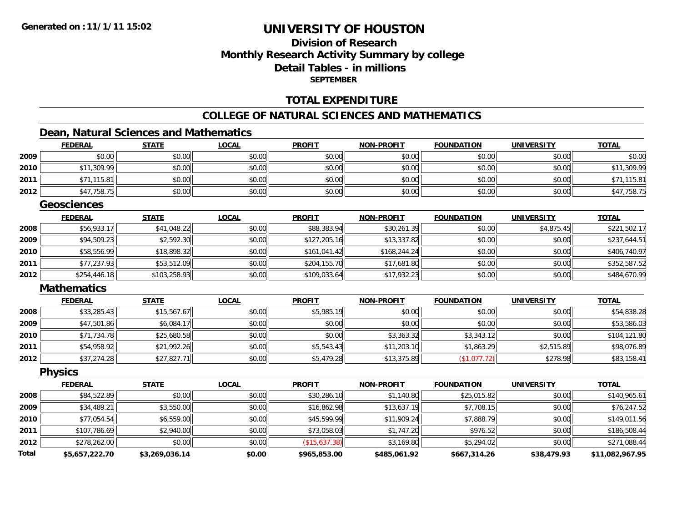### **Division of ResearchMonthly Research Activity Summary by college Detail Tables - in millionsSEPTEMBER**

#### **TOTAL EXPENDITURE**

#### **COLLEGE OF NATURAL SCIENCES AND MATHEMATICS**

### **Dean, Natural Sciences and Mathematics**

|              | <b>FEDERAL</b>     | <b>STATE</b>   | <b>LOCAL</b> | <b>PROFIT</b> | <b>NON-PROFIT</b> | <b>FOUNDATION</b> | <b>UNIVERSITY</b> | <b>TOTAL</b>    |
|--------------|--------------------|----------------|--------------|---------------|-------------------|-------------------|-------------------|-----------------|
| 2009         | \$0.00             | \$0.00         | \$0.00       | \$0.00        | \$0.00            | \$0.00            | \$0.00            | \$0.00          |
| 2010         | \$11,309.99        | \$0.00         | \$0.00       | \$0.00        | \$0.00            | \$0.00            | \$0.00            | \$11,309.99     |
| 2011         | \$71,115.81        | \$0.00         | \$0.00       | \$0.00        | \$0.00            | \$0.00            | \$0.00            | \$71,115.81     |
| 2012         | \$47,758.75        | \$0.00         | \$0.00       | \$0.00        | \$0.00            | \$0.00            | \$0.00            | \$47,758.75     |
|              | <b>Geosciences</b> |                |              |               |                   |                   |                   |                 |
|              | <b>FEDERAL</b>     | <b>STATE</b>   | <b>LOCAL</b> | <b>PROFIT</b> | <b>NON-PROFIT</b> | <b>FOUNDATION</b> | <b>UNIVERSITY</b> | <b>TOTAL</b>    |
| 2008         | \$56,933.17        | \$41,048.22    | \$0.00       | \$88,383.94   | \$30,261.39       | \$0.00            | \$4,875.45        | \$221,502.17    |
| 2009         | \$94,509.23        | \$2,592.30     | \$0.00       | \$127,205.16  | \$13,337.82       | \$0.00            | \$0.00            | \$237,644.51    |
| 2010         | \$58,556.99        | \$18,898.32    | \$0.00       | \$161,041.42  | \$168,244.24      | \$0.00            | \$0.00            | \$406,740.97    |
| 2011         | \$77,237.93        | \$53,512.09    | \$0.00       | \$204,155.70  | \$17,681.80       | \$0.00            | \$0.00            | \$352,587.52    |
| 2012         | \$254,446.18       | \$103,258.93   | \$0.00       | \$109,033.64  | \$17,932.23       | \$0.00            | \$0.00            | \$484,670.99    |
|              | <b>Mathematics</b> |                |              |               |                   |                   |                   |                 |
|              | <b>FEDERAL</b>     | <b>STATE</b>   | <b>LOCAL</b> | <b>PROFIT</b> | <b>NON-PROFIT</b> | <b>FOUNDATION</b> | <b>UNIVERSITY</b> | <b>TOTAL</b>    |
| 2008         | \$33,285.43        | \$15,567.67    | \$0.00       | \$5,985.19    | \$0.00            | \$0.00            | \$0.00            | \$54,838.28     |
| 2009         | \$47,501.86        | \$6,084.17     | \$0.00       | \$0.00        | \$0.00            | \$0.00            | \$0.00            | \$53,586.03     |
| 2010         | \$71,734.78        | \$25,680.58    | \$0.00       | \$0.00        | \$3,363.32        | \$3,343.12        | \$0.00            | \$104,121.80    |
| 2011         | \$54,958.92        | \$21,992.26    | \$0.00       | \$5,543.43    | \$11,203.10       | \$1,863.29        | \$2,515.89        | \$98,076.89     |
| 2012         | \$37,274.28        | \$27,827.71    | \$0.00       | \$5,479.28    | \$13,375.89       | (\$1,077.72)      | \$278.98          | \$83,158.41     |
|              | <b>Physics</b>     |                |              |               |                   |                   |                   |                 |
|              | <b>FEDERAL</b>     | <b>STATE</b>   | <b>LOCAL</b> | <b>PROFIT</b> | <b>NON-PROFIT</b> | <b>FOUNDATION</b> | <b>UNIVERSITY</b> | <b>TOTAL</b>    |
| 2008         | \$84,522.89        | \$0.00         | \$0.00       | \$30,286.10   | \$1,140.80        | \$25,015.82       | \$0.00            | \$140,965.61    |
| 2009         | \$34,489.21        | \$3,550.00     | \$0.00       | \$16,862.98   | \$13,637.19       | \$7,708.15        | \$0.00            | \$76,247.52     |
| 2010         | \$77,054.54        | \$6,559.00     | \$0.00       | \$45,599.99   | \$11,909.24       | \$7,888.79        | \$0.00            | \$149,011.56    |
| 2011         | \$107,786.69       | \$2,940.00     | \$0.00       | \$73,058.03   | \$1,747.20        | \$976.52          | \$0.00            | \$186,508.44    |
| 2012         | \$278,262.00       | \$0.00         | \$0.00       | (\$15,637.38) | \$3,169.80        | \$5,294.02        | \$0.00            | \$271,088.44    |
| <b>Total</b> | \$5,657,222.70     | \$3,269,036.14 | \$0.00       | \$965,853.00  | \$485,061.92      | \$667,314.26      | \$38,479.93       | \$11,082,967.95 |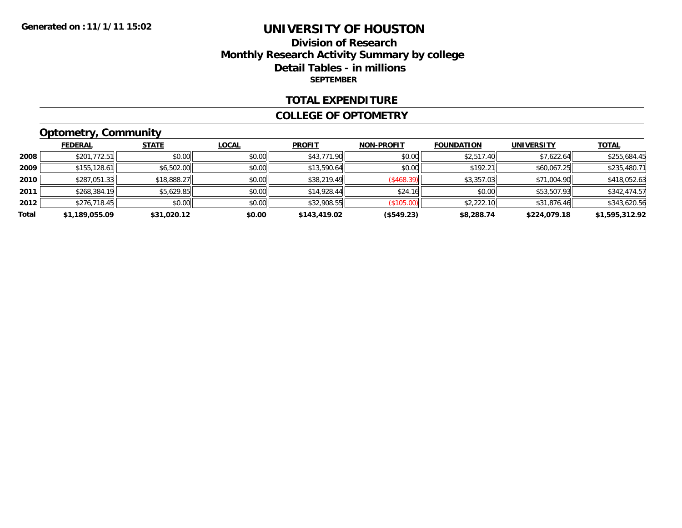### **Division of ResearchMonthly Research Activity Summary by college Detail Tables - in millions SEPTEMBER**

#### **TOTAL EXPENDITURE**

#### **COLLEGE OF OPTOMETRY**

# **Optometry, Community**

|       | <b>FEDERAL</b> | <b>STATE</b> | <b>LOCAL</b> | <b>PROFIT</b> | <b>NON-PROFIT</b> | <b>FOUNDATION</b> | <b>UNIVERSITY</b> | <b>TOTAL</b>   |
|-------|----------------|--------------|--------------|---------------|-------------------|-------------------|-------------------|----------------|
| 2008  | \$201,772.51   | \$0.00       | \$0.00       | \$43,771.90   | \$0.00            | \$2,517.40        | \$7,622.64        | \$255,684.45   |
| 2009  | \$155, 128.61  | \$6,502.00   | \$0.00       | \$13,590.64   | \$0.00            | \$192.21          | \$60,067.25       | \$235,480.71   |
| 2010  | \$287,051.33   | \$18,888.27  | \$0.00       | \$38,219.49   | (\$468.39)        | \$3,357.03        | \$71,004.90       | \$418,052.63   |
| 2011  | \$268,384.19   | \$5,629.85   | \$0.00       | \$14,928.44   | \$24.16           | \$0.00            | \$53,507.93       | \$342,474.57   |
| 2012  | \$276,718.45   | \$0.00       | \$0.00       | \$32,908.55   | (\$105.00)        | \$2,222.10        | \$31,876.46       | \$343,620.56   |
| Total | \$1,189,055.09 | \$31,020.12  | \$0.00       | \$143,419.02  | (\$549.23)        | \$8,288.74        | \$224,079.18      | \$1,595,312.92 |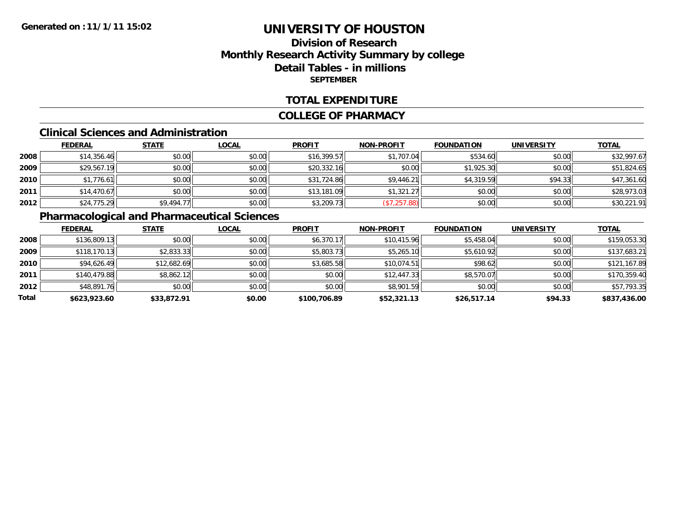### **Division of ResearchMonthly Research Activity Summary by college Detail Tables - in millions SEPTEMBER**

#### **TOTAL EXPENDITURE**

#### **COLLEGE OF PHARMACY**

#### **Clinical Sciences and Administration**

|      | <b>FEDERAL</b> | <b>STATE</b> | <b>LOCAL</b> | <b>PROFIT</b> | <b>NON-PROFIT</b> | <b>FOUNDATION</b> | <b>UNIVERSITY</b> | <b>TOTAL</b> |
|------|----------------|--------------|--------------|---------------|-------------------|-------------------|-------------------|--------------|
| 2008 | \$14,356.46    | \$0.00       | \$0.00       | \$16,399.57   | \$1,707.04        | \$534.60          | \$0.00            | \$32,997.67  |
| 2009 | \$29,567.19    | \$0.00       | \$0.00       | \$20,332.16   | \$0.00            | \$1,925.30        | \$0.00            | \$51,824.65  |
| 2010 | \$1,776.61     | \$0.00       | \$0.00       | \$31,724.86   | \$9,446.21        | \$4,319.59        | \$94.33           | \$47,361.60  |
| 2011 | \$14,470.67    | \$0.00       | \$0.00       | \$13,181.09   | \$1,321.27        | \$0.00            | \$0.00            | \$28,973.03  |
| 2012 | \$24,775.29    | \$9,494.77   | \$0.00       | \$3,209.73    | (\$7,257.88)      | \$0.00            | \$0.00            | \$30,221.91  |

### **Pharmacological and Pharmaceutical Sciences**

|       | <b>FEDERAL</b> | <b>STATE</b> | <b>LOCAL</b> | <b>PROFIT</b> | <b>NON-PROFIT</b> | <b>FOUNDATION</b> | <b>UNIVERSITY</b> | <b>TOTAL</b> |
|-------|----------------|--------------|--------------|---------------|-------------------|-------------------|-------------------|--------------|
| 2008  | \$136,809.13   | \$0.00       | \$0.00       | \$6,370.17    | \$10,415.96       | \$5,458.04        | \$0.00            | \$159,053.30 |
| 2009  | \$118,170.13   | \$2,833.33   | \$0.00       | \$5,803.73    | \$5,265.10        | \$5,610.92        | \$0.00            | \$137,683.21 |
| 2010  | \$94,626.49    | \$12,682.69  | \$0.00       | \$3,685.58    | \$10,074.51       | \$98.62           | \$0.00            | \$121,167.89 |
| 2011  | \$140,479.88   | \$8,862.12   | \$0.00       | \$0.00        | \$12,447.33       | \$8,570.07        | \$0.00            | \$170,359.40 |
| 2012  | \$48,891.76    | \$0.00       | \$0.00       | \$0.00        | \$8,901.59        | \$0.00            | \$0.00            | \$57,793.35  |
| Total | \$623,923.60   | \$33,872.91  | \$0.00       | \$100,706.89  | \$52,321.13       | \$26,517.14       | \$94.33           | \$837,436.00 |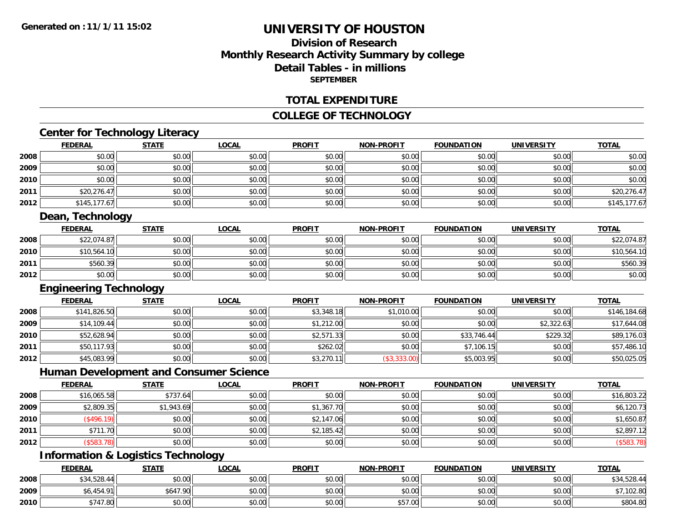### **Division of ResearchMonthly Research Activity Summary by college Detail Tables - in millions SEPTEMBER**

#### **TOTAL EXPENDITURE**

#### **COLLEGE OF TECHNOLOGY**

## **Center for Technology Literacy**

|      | <b>FEDERAL</b>                | <b>STATE</b> | <b>LOCAL</b>                                  | <b>PROFIT</b> | <b>NON-PROFIT</b> | <b>FOUNDATION</b> | <b>UNIVERSITY</b> | <b>TOTAL</b> |
|------|-------------------------------|--------------|-----------------------------------------------|---------------|-------------------|-------------------|-------------------|--------------|
| 2008 | \$0.00                        | \$0.00       | \$0.00                                        | \$0.00        | \$0.00            | \$0.00            | \$0.00            | \$0.00       |
| 2009 | \$0.00                        | \$0.00       | \$0.00                                        | \$0.00        | \$0.00            | \$0.00            | \$0.00            | \$0.00       |
| 2010 | \$0.00                        | \$0.00       | \$0.00                                        | \$0.00        | \$0.00            | \$0.00            | \$0.00            | \$0.00       |
| 2011 | \$20,276.47                   | \$0.00       | \$0.00                                        | \$0.00        | \$0.00            | \$0.00            | \$0.00            | \$20,276.47  |
| 2012 | \$145,177.67                  | \$0.00       | \$0.00                                        | \$0.00        | \$0.00            | \$0.00            | \$0.00            | \$145,177.67 |
|      | <b>Dean, Technology</b>       |              |                                               |               |                   |                   |                   |              |
|      | <b>FEDERAL</b>                | <b>STATE</b> | <b>LOCAL</b>                                  | <b>PROFIT</b> | <b>NON-PROFIT</b> | <b>FOUNDATION</b> | <b>UNIVERSITY</b> | <b>TOTAL</b> |
| 2008 | \$22,074.87                   | \$0.00       | \$0.00                                        | \$0.00        | \$0.00            | \$0.00            | \$0.00            | \$22,074.87  |
| 2010 | \$10,564.10                   | \$0.00       | \$0.00                                        | \$0.00        | \$0.00            | \$0.00            | \$0.00            | \$10,564.10  |
| 2011 | \$560.39                      | \$0.00       | \$0.00                                        | \$0.00        | \$0.00            | \$0.00            | \$0.00            | \$560.39     |
| 2012 | \$0.00                        | \$0.00       | \$0.00                                        | \$0.00        | \$0.00            | \$0.00            | \$0.00            | \$0.00       |
|      | <b>Engineering Technology</b> |              |                                               |               |                   |                   |                   |              |
|      | <b>FEDERAL</b>                | <b>STATE</b> | <b>LOCAL</b>                                  | <b>PROFIT</b> | <b>NON-PROFIT</b> | <b>FOUNDATION</b> | <b>UNIVERSITY</b> | <b>TOTAL</b> |
| 2008 | \$141,826.50                  | \$0.00       | \$0.00                                        | \$3,348.18    | \$1,010.00        | \$0.00            | \$0.00            | \$146,184.68 |
| 2009 | \$14,109.44                   | \$0.00       | \$0.00                                        | \$1,212.00    | \$0.00            | \$0.00            | \$2,322.63        | \$17,644.08  |
| 2010 | \$52,628.94                   | \$0.00       | \$0.00                                        | \$2,571.33    | \$0.00            | \$33,746.44       | \$229.32          | \$89,176.03  |
| 2011 | \$50,117.93                   | \$0.00       | \$0.00                                        | \$262.02      | \$0.00            | \$7,106.15        | \$0.00            | \$57,486.10  |
| 2012 | \$45,083.99                   | \$0.00       | \$0.00                                        | \$3,270.11    | (\$3,333.00)      | \$5,003.95        | \$0.00            | \$50,025.05  |
|      |                               |              | <b>Human Development and Consumer Science</b> |               |                   |                   |                   |              |
|      | <b>FEDERAL</b>                | <b>STATE</b> | <b>LOCAL</b>                                  | <b>PROFIT</b> | <b>NON-PROFIT</b> | <b>FOUNDATION</b> | <b>UNIVERSITY</b> | <b>TOTAL</b> |
| 2008 | \$16,065.58                   | \$737.64     | \$0.00                                        | \$0.00        | \$0.00            | \$0.00            | \$0.00            | \$16,803.22  |
| 2009 | \$2,809.35                    | \$1,943.69   | \$0.00                                        | \$1,367.70    | \$0.00            | \$0.00            | \$0.00            | \$6,120.73   |
| 2010 | (\$496.19)                    | \$0.00       | \$0.00                                        | \$2,147.06    | \$0.00            | \$0.00            | \$0.00            | \$1,650.87   |
| 2011 | \$711.70                      | \$0.00       | \$0.00                                        | \$2,185.42    | \$0.00            | \$0.00            | \$0.00            | \$2,897.12   |
| 2012 | (\$583.78)                    | \$0.00       | \$0.00                                        | \$0.00        | \$0.00            | \$0.00            | \$0.00            | (\$583.78)   |

# **Information & Logistics Technology**

|      | <b>FEDERAL</b> | <b>STATE</b> | <b>LOCAL</b> | <b>PROFIT</b> | <b>NON-PROFIT</b> | <b>FOUNDATION</b> | <b>UNIVERSITY</b> | <b>TOTAL</b> |
|------|----------------|--------------|--------------|---------------|-------------------|-------------------|-------------------|--------------|
| 2008 | \$34,528.44    | \$0.00       | \$0.00       | \$0.00        | \$0.00            | \$0.00            | \$0.00            | \$34,528.44  |
| 2009 | \$6,454.91     | \$647.90     | \$0.00       | \$0.00        | \$0.00            | \$0.00            | \$0.00            | 7,102.80     |
| 2010 | \$747.80       | \$0.00       | \$0.00       | \$0.00        | \$57.00           | \$0.00            | \$0.00            | \$804.80     |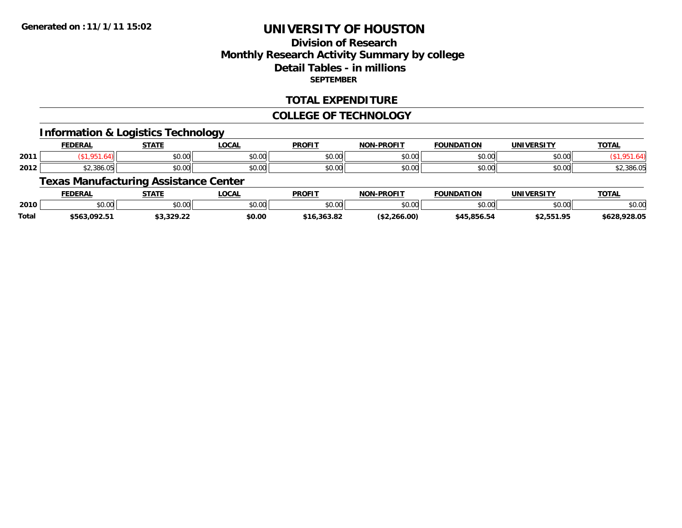### **Division of ResearchMonthly Research Activity Summary by college Detail Tables - in millions SEPTEMBER**

#### **TOTAL EXPENDITURE**

#### **COLLEGE OF TECHNOLOGY**

#### **Information & Logistics Technology**

|      | <b>FEDERAL</b>                 | <b>STATE</b>       | <b>LOCAL</b>  | <b>PROFIT</b> | <b>NON-PROFIT</b> | <b>ATION</b><br><b>FOUNDAT</b> | <b>UNIVERSITY</b> | <b>TOTAL</b> |
|------|--------------------------------|--------------------|---------------|---------------|-------------------|--------------------------------|-------------------|--------------|
| 2011 |                                | <b>↑∩</b><br>JU.UU | 0.00<br>JU.UU | 0.00<br>JU.UU | 0000<br>ง∪.∪บ     | \$0.00                         | \$0.00            |              |
| 2012 | <b>ደጋ 386 በF</b><br>\$2,380.UJ | <b>↑∩</b><br>JU.UU | 0.00<br>JU.UU | 0000<br>JU.UU | \$0.00            | \$0.00                         | \$0.00            | \$2,386.05   |

# **Texas Manufacturing Assistance Center**

|       | <b>FEDERAL</b> | STATF                | <b>OCAL</b>    | <b>PROFIT</b>    | NIANI<br>-DROFTT | <b>FOUNDATION</b> | <b>IINITVEDCTTV</b>   | TOTA.      |
|-------|----------------|----------------------|----------------|------------------|------------------|-------------------|-----------------------|------------|
| 2010  | ሶስ ሰሰ<br>JU.UU | 0000<br><b>JU.UU</b> | ሶስ ሰሰ<br>JU.UU | 0000<br>JU.UU    | 0000<br>DU.UU    | 0000              | mn n¢<br>DU.UU        | \$0.00     |
| Total | 5563.092.51    | J,J <i>lj</i> .Ll    | \$0.00         | רם בפכ<br>.ס.כסכ | 266.00)          | \$45.856.54       | 2) EE1 OE<br>,,,,,,,, | 628,928.0F |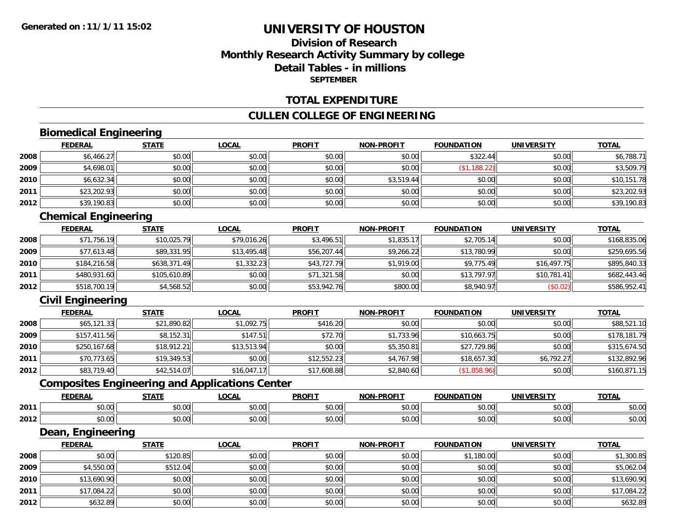### **Division of ResearchMonthly Research Activity Summary by college Detail Tables - in millionsSEPTEMBER**

#### **TOTAL EXPENDITURE**

#### **CULLEN COLLEGE OF ENGINEERING**

## **Biomedical Engineering**

|      | <b>FEDERAL</b> | <b>STATE</b> | <b>LOCAL</b> | <b>PROFIT</b> | <b>NON-PROFIT</b> | <b>FOUNDATION</b> | <b>UNIVERSITY</b> | <b>TOTAL</b> |
|------|----------------|--------------|--------------|---------------|-------------------|-------------------|-------------------|--------------|
| 2008 | \$6,466.27     | \$0.00       | \$0.00       | \$0.00        | \$0.00            | \$322.44          | \$0.00            | \$6,788.71   |
| 2009 | \$4,698.01     | \$0.00       | \$0.00       | \$0.00        | \$0.00            | \$1,188.22]       | \$0.00            | \$3,509.79   |
| 2010 | \$6,632.34     | \$0.00       | \$0.00       | \$0.00        | \$3,519.44        | \$0.00            | \$0.00            | \$10,151.78  |
| 2011 | \$23,202.93    | \$0.00       | \$0.00       | \$0.00        | \$0.00            | \$0.00            | \$0.00            | \$23,202.93  |
| 2012 | \$39,190.83    | \$0.00       | \$0.00       | \$0.00        | \$0.00            | \$0.00            | \$0.00            | \$39,190.83  |

# **Chemical Engineering**

|      | <b>FEDERAL</b> | <b>STATE</b> | <u>LOCAL</u> | <b>PROFIT</b> | <b>NON-PROFIT</b> | <b>FOUNDATION</b> | <b>UNIVERSITY</b> | <b>TOTAL</b> |
|------|----------------|--------------|--------------|---------------|-------------------|-------------------|-------------------|--------------|
| 2008 | \$71,756.19    | \$10,025.79  | \$79,016.26  | \$3,496.51    | \$1,835.17        | \$2,705.14        | \$0.00            | \$168,835.06 |
| 2009 | \$77,613.48    | \$89,331.95  | \$13,495.48  | \$56,207.44   | \$9,266.22        | \$13,780.99       | \$0.00            | \$259,695.56 |
| 2010 | \$184,216.58   | \$638,371.49 | \$1,332.23   | \$43,727.79   | \$1,919.00        | \$9,775.49        | \$16,497.75       | \$895,840.33 |
| 2011 | \$480,931.60   | \$105,610.89 | \$0.00       | \$71,321.58   | \$0.00            | \$13,797.97       | \$10,781.41       | \$682,443.46 |
| 2012 | \$518,700.19   | \$4,568.52   | \$0.00       | \$53,942.76   | \$800.00          | \$8,940.97        | (\$0.02)          | \$586,952.41 |

# **Civil Engineering**

|      | <b>FEDERAL</b> | <b>STATE</b> | <u>LOCAL</u> | <b>PROFIT</b> | <b>NON-PROFIT</b> | <b>FOUNDATION</b> | <b>UNIVERSITY</b> | <b>TOTAL</b> |
|------|----------------|--------------|--------------|---------------|-------------------|-------------------|-------------------|--------------|
| 2008 | \$65,121.33    | \$21,890.82  | \$1,092.75   | \$416.20      | \$0.00            | \$0.00            | \$0.00            | \$88,521.10  |
| 2009 | \$157,411.56   | \$8,152.31   | \$147.51     | \$72.70       | \$1,733.96        | \$10,663.75       | \$0.00            | \$178,181.79 |
| 2010 | \$250,167.68   | \$18,912.21  | \$13,513.94  | \$0.00        | \$5,350.81        | \$27,729.86       | \$0.00            | \$315,674.50 |
| 2011 | \$70,773.65    | \$19,349.53  | \$0.00       | \$12,552.23   | \$4,767.98        | \$18,657.30       | \$6,792.27        | \$132,892.96 |
| 2012 | \$83,719.40    | \$42,514.07  | \$16,047.17  | \$17,608.88   | \$2,840.60        | (\$1,858.96)      | \$0.00            | \$160,871.15 |

### **Composites Engineering and Applications Center**

|      | <b>FEDERAL</b>          | <b>STATI</b>                                                  | LOCAI                  | <b>PROFIT</b>  | <b>I-PROFIT</b><br>NON- | ΊΟΝ<br>FOI INDA'                     | UNIVERSITY     | <b>TOTAL</b>  |
|------|-------------------------|---------------------------------------------------------------|------------------------|----------------|-------------------------|--------------------------------------|----------------|---------------|
| 2011 | 0000<br>ט.טי            | $\uparrow$ $\uparrow$ $\uparrow$ $\uparrow$ $\uparrow$<br>ט.ט | $\sim$ $\sim$<br>vv.vv | 0.001<br>JU.UU | 0 <sub>n</sub><br>vu.vu | $\sim$ $\sim$ $\sim$ $\sim$<br>10.00 | 0.00<br>∕∪.∪∪  | 0000<br>DU.UU |
| 2012 | 0 <sub>0</sub><br>pu.uu | $\sim$<br>ט.ט                                                 | 0000<br>JU.UU          | 0.00<br>JU.UU  | 0000<br>ง∪.∪บ           | $+ - - -$<br>ww.                     | ልስ ባህ<br>DU.UG | \$0.00        |

#### **Dean, Engineering**

|      | <b>FEDERAL</b> | <b>STATE</b> | <b>LOCAL</b> | <b>PROFIT</b> | <b>NON-PROFIT</b> | <b>FOUNDATION</b> | <b>UNIVERSITY</b> | <b>TOTAL</b> |
|------|----------------|--------------|--------------|---------------|-------------------|-------------------|-------------------|--------------|
| 2008 | \$0.00         | \$120.85     | \$0.00       | \$0.00        | \$0.00            | \$1,180.00        | \$0.00            | \$1,300.85   |
| 2009 | \$4,550.00     | \$512.04     | \$0.00       | \$0.00        | \$0.00            | \$0.00            | \$0.00            | \$5,062.04   |
| 2010 | \$13,690.90    | \$0.00       | \$0.00       | \$0.00        | \$0.00            | \$0.00            | \$0.00            | \$13,690.90  |
| 2011 | \$17,084.22    | \$0.00       | \$0.00       | \$0.00        | \$0.00            | \$0.00            | \$0.00            | \$17,084.22  |
| 2012 | \$632.89       | \$0.00       | \$0.00       | \$0.00        | \$0.00            | \$0.00            | \$0.00            | \$632.89     |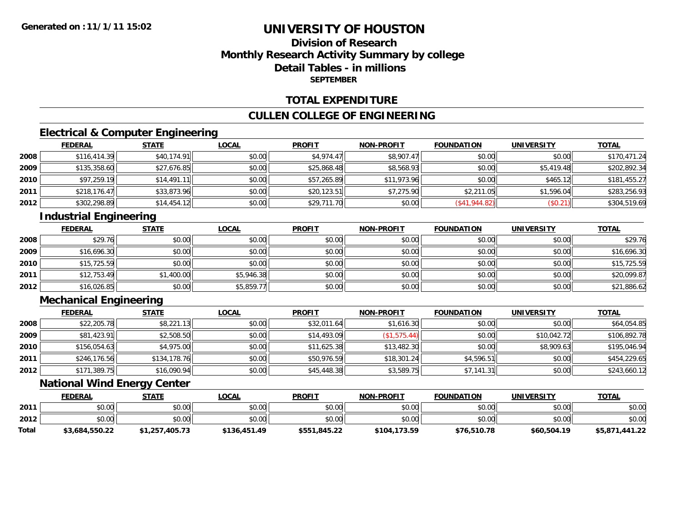### **Division of ResearchMonthly Research Activity Summary by college Detail Tables - in millionsSEPTEMBER**

#### **TOTAL EXPENDITURE**

#### **CULLEN COLLEGE OF ENGINEERING**

# **Electrical & Computer Engineering**

|      | <b>FEDERAL</b> | <b>STATE</b> | <b>LOCAL</b> | <b>PROFIT</b> | <b>NON-PROFIT</b> | <b>FOUNDATION</b> | <b>UNIVERSITY</b> | <b>TOTAL</b> |
|------|----------------|--------------|--------------|---------------|-------------------|-------------------|-------------------|--------------|
| 2008 | \$116,414.39   | \$40.174.91  | \$0.00       | \$4,974.47    | \$8,907.47        | \$0.00            | \$0.00            | \$170,471.24 |
| 2009 | \$135,358.60   | \$27,676.85  | \$0.00       | \$25,868.48   | \$8,568.93        | \$0.00            | \$5,419.48        | \$202,892.34 |
| 2010 | \$97,259.19    | \$14,491.11  | \$0.00       | \$57,265.89   | \$11,973.96       | \$0.00            | \$465.12          | \$181,455.27 |
| 2011 | \$218,176.47   | \$33,873.96  | \$0.00       | \$20,123.51   | \$7,275.90        | \$2,211.05        | \$1,596.04        | \$283,256.93 |
| 2012 | \$302,298.89   | \$14,454.12  | \$0.00       | \$29,711.70   | \$0.00            | (S41, 944.82)     | (\$0.21)          | \$304,519.69 |

# **Industrial Engineering**

|      | <b>FEDERAL</b> | <b>STATE</b> | <u>LOCAL</u> | <b>PROFIT</b> | <b>NON-PROFIT</b> | <b>FOUNDATION</b> | <b>UNIVERSITY</b> | <b>TOTAL</b> |
|------|----------------|--------------|--------------|---------------|-------------------|-------------------|-------------------|--------------|
| 2008 | \$29.76        | \$0.00       | \$0.00       | \$0.00        | \$0.00            | \$0.00            | \$0.00            | \$29.76      |
| 2009 | \$16,696.30    | \$0.00       | \$0.00       | \$0.00        | \$0.00            | \$0.00            | \$0.00            | \$16,696.30  |
| 2010 | \$15,725.59    | \$0.00       | \$0.00       | \$0.00        | \$0.00            | \$0.00            | \$0.00            | \$15,725.59  |
| 2011 | \$12,753.49    | \$1,400.00   | \$5,946.38   | \$0.00        | \$0.00            | \$0.00            | \$0.00            | \$20,099.87  |
| 2012 | \$16,026.85    | \$0.00       | \$5,859.77   | \$0.00        | \$0.00            | \$0.00            | \$0.00            | \$21,886.62  |

# **Mechanical Engineering**

|      | <b>FEDERAL</b> | <b>STATE</b> | <b>LOCAL</b> | <b>PROFIT</b> | <b>NON-PROFIT</b> | <b>FOUNDATION</b> | <b>UNIVERSITY</b> | <b>TOTAL</b> |
|------|----------------|--------------|--------------|---------------|-------------------|-------------------|-------------------|--------------|
| 2008 | \$22,205.78    | \$8,221.13   | \$0.00       | \$32,011.64   | \$1,616.30        | \$0.00            | \$0.00            | \$64,054.85  |
| 2009 | \$81,423.91    | \$2,508.50   | \$0.00       | \$14,493.09   | \$1,575.44]       | \$0.00            | \$10,042.72       | \$106,892.78 |
| 2010 | \$156,054.63   | \$4,975.00   | \$0.00       | \$11,625.38   | \$13,482.30       | \$0.00            | \$8,909.63        | \$195,046.94 |
| 2011 | \$246,176.56   | \$134,178.76 | \$0.00       | \$50,976.59   | \$18,301.24       | \$4,596.51        | \$0.00            | \$454,229.65 |
| 2012 | \$171,389.75   | \$16,090.94  | \$0.00       | \$45,448.38   | \$3,589.75        | \$7,141.31        | \$0.00            | \$243,660.12 |

#### **National Wind Energy Center**

|       | <b>FEDERAL</b> | <b>STATE</b>   | <b>LOCAL</b> | <b>PROFIT</b> | <b>NON-PROFIT</b> | <b>FOUNDATION</b> | <b>UNIVERSITY</b> | <b>TOTAL</b>   |
|-------|----------------|----------------|--------------|---------------|-------------------|-------------------|-------------------|----------------|
| 2011  | \$0.00         | \$0.00         | \$0.00       | \$0.00        | \$0.00            | \$0.00            | \$0.00            | \$0.00         |
| 2012  | \$0.00         | \$0.00         | \$0.00       | \$0.00        | \$0.00            | \$0.00            | \$0.00            | \$0.00         |
| Total | \$3,684,550.22 | \$1,257,405.73 | \$136,451.49 | \$551,845.22  | \$104,173.59      | \$76,510.78       | \$60,504.19       | \$5,871,441.22 |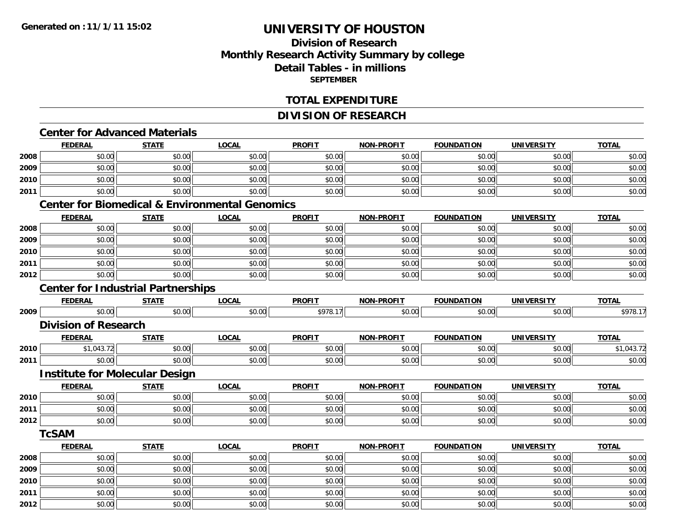**2012**

# **UNIVERSITY OF HOUSTON**

### **Division of ResearchMonthly Research Activity Summary by college Detail Tables - in millions SEPTEMBER**

#### **TOTAL EXPENDITURE**

#### **DIVISION OF RESEARCH**

# **Center for Advanced Materials**

|      | <b>FEDERAL</b>              | <b>STATE</b>                              | <b>LOCAL</b>                                              | <b>PROFIT</b> | <b>NON-PROFIT</b> | <b>FOUNDATION</b> | <b>UNIVERSITY</b> | <b>TOTAL</b> |
|------|-----------------------------|-------------------------------------------|-----------------------------------------------------------|---------------|-------------------|-------------------|-------------------|--------------|
| 2008 | \$0.00                      | \$0.00                                    | \$0.00                                                    | \$0.00        | \$0.00            | \$0.00            | \$0.00            | \$0.00       |
| 2009 | \$0.00                      | \$0.00                                    | \$0.00                                                    | \$0.00        | \$0.00            | \$0.00            | \$0.00            | \$0.00       |
| 2010 | \$0.00                      | \$0.00                                    | \$0.00                                                    | \$0.00        | \$0.00            | \$0.00            | \$0.00            | \$0.00       |
| 2011 | \$0.00                      | \$0.00                                    | \$0.00                                                    | \$0.00        | \$0.00            | \$0.00            | \$0.00            | \$0.00       |
|      |                             |                                           | <b>Center for Biomedical &amp; Environmental Genomics</b> |               |                   |                   |                   |              |
|      | <b>FEDERAL</b>              | <b>STATE</b>                              | <b>LOCAL</b>                                              | <b>PROFIT</b> | <b>NON-PROFIT</b> | <b>FOUNDATION</b> | <b>UNIVERSITY</b> | <b>TOTAL</b> |
| 2008 | \$0.00                      | \$0.00                                    | \$0.00                                                    | \$0.00        | \$0.00            | \$0.00            | \$0.00            | \$0.00       |
| 2009 | \$0.00                      | \$0.00                                    | \$0.00                                                    | \$0.00        | \$0.00            | \$0.00            | \$0.00            | \$0.00       |
| 2010 | \$0.00                      | \$0.00                                    | \$0.00                                                    | \$0.00        | \$0.00            | \$0.00            | \$0.00            | \$0.00       |
| 2011 | \$0.00                      | \$0.00                                    | \$0.00                                                    | \$0.00        | \$0.00            | \$0.00            | \$0.00            | \$0.00       |
| 2012 | \$0.00                      | \$0.00                                    | \$0.00                                                    | \$0.00        | \$0.00            | \$0.00            | \$0.00            | \$0.00       |
|      |                             | <b>Center for Industrial Partnerships</b> |                                                           |               |                   |                   |                   |              |
|      | <b>FEDERAL</b>              | <b>STATE</b>                              | <b>LOCAL</b>                                              | <b>PROFIT</b> | <b>NON-PROFIT</b> | <b>FOUNDATION</b> | <b>UNIVERSITY</b> | <b>TOTAL</b> |
| 2009 | \$0.00                      | \$0.00                                    | \$0.00                                                    | \$978.17      | \$0.00            | \$0.00            | \$0.00            | \$978.17     |
|      | <b>Division of Research</b> |                                           |                                                           |               |                   |                   |                   |              |
|      | <b>FEDERAL</b>              | <b>STATE</b>                              | <b>LOCAL</b>                                              | <b>PROFIT</b> | <b>NON-PROFIT</b> | <b>FOUNDATION</b> | <b>UNIVERSITY</b> | <b>TOTAL</b> |
| 2010 | \$1,043.72                  | \$0.00                                    | \$0.00                                                    | \$0.00        | \$0.00            | \$0.00            | \$0.00            | \$1,043.72   |
| 2011 | \$0.00                      | \$0.00                                    | \$0.00                                                    | \$0.00        | \$0.00            | \$0.00            | \$0.00            | \$0.00       |
|      |                             | <b>Institute for Molecular Design</b>     |                                                           |               |                   |                   |                   |              |
|      | <b>FEDERAL</b>              | <b>STATE</b>                              | <b>LOCAL</b>                                              | <b>PROFIT</b> | <b>NON-PROFIT</b> | <b>FOUNDATION</b> | <b>UNIVERSITY</b> | <b>TOTAL</b> |
| 2010 | \$0.00                      | \$0.00                                    | \$0.00                                                    | \$0.00        | \$0.00            | \$0.00            | \$0.00            | \$0.00       |
| 2011 | \$0.00                      | \$0.00                                    | \$0.00                                                    | \$0.00        | \$0.00            | \$0.00            | \$0.00            | \$0.00       |
| 2012 | \$0.00                      | \$0.00                                    | \$0.00                                                    | \$0.00        | \$0.00            | \$0.00            | \$0.00            | \$0.00       |
|      | <b>TcSAM</b>                |                                           |                                                           |               |                   |                   |                   |              |
|      | <b>FEDERAL</b>              | <b>STATE</b>                              | <b>LOCAL</b>                                              | <b>PROFIT</b> | <b>NON-PROFIT</b> | <b>FOUNDATION</b> | <b>UNIVERSITY</b> | <b>TOTAL</b> |
| 2008 | \$0.00                      | \$0.00                                    | \$0.00                                                    | \$0.00        | \$0.00            | \$0.00            | \$0.00            | \$0.00       |
| 2009 | \$0.00                      | \$0.00                                    | \$0.00                                                    | \$0.00        | \$0.00            | \$0.00            | \$0.00            | \$0.00       |
| 2010 | \$0.00                      | \$0.00                                    | \$0.00                                                    | \$0.00        | \$0.00            | \$0.00            | \$0.00            | \$0.00       |
| 2011 | \$0.00                      | \$0.00                                    | \$0.00                                                    | \$0.00        | \$0.00            | \$0.00            | \$0.00            | \$0.00       |

2 | \$0.00 \$0.00 \$0.00 \$0.00 \$0.00 \$0.00 \$0.00 \$0.00 \$0.00 \$0.00 \$0.00 \$0.00 \$0.00 \$0.00 \$0.00 \$0.00 \$0.00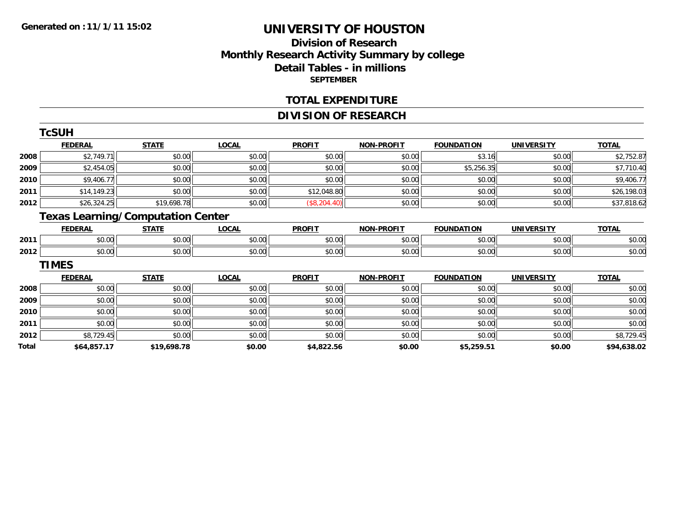### **Division of ResearchMonthly Research Activity Summary by college Detail Tables - in millions SEPTEMBER**

#### **TOTAL EXPENDITURE**

### **DIVISION OF RESEARCH**

|       | <b>TcSUH</b>                             |              |              |               |                   |                   |                   |              |
|-------|------------------------------------------|--------------|--------------|---------------|-------------------|-------------------|-------------------|--------------|
|       | <b>FEDERAL</b>                           | <b>STATE</b> | <b>LOCAL</b> | <b>PROFIT</b> | <b>NON-PROFIT</b> | <b>FOUNDATION</b> | <b>UNIVERSITY</b> | <b>TOTAL</b> |
| 2008  | \$2,749.71                               | \$0.00       | \$0.00       | \$0.00        | \$0.00            | \$3.16            | \$0.00            | \$2,752.87   |
| 2009  | \$2,454.05                               | \$0.00       | \$0.00       | \$0.00        | \$0.00            | \$5,256.35        | \$0.00            | \$7,710.40   |
| 2010  | \$9,406.77                               | \$0.00       | \$0.00       | \$0.00        | \$0.00            | \$0.00            | \$0.00            | \$9,406.77   |
| 2011  | \$14,149.23                              | \$0.00       | \$0.00       | \$12,048.80   | \$0.00            | \$0.00            | \$0.00            | \$26,198.03  |
| 2012  | \$26,324.25                              | \$19,698.78  | \$0.00       | (\$8,204.40)  | \$0.00            | \$0.00            | \$0.00            | \$37,818.62  |
|       | <b>Texas Learning/Computation Center</b> |              |              |               |                   |                   |                   |              |
|       | <b>FEDERAL</b>                           | <b>STATE</b> | <b>LOCAL</b> | <b>PROFIT</b> | <b>NON-PROFIT</b> | <b>FOUNDATION</b> | <b>UNIVERSITY</b> | <b>TOTAL</b> |
| 2011  | \$0.00                                   | \$0.00       | \$0.00       | \$0.00        | \$0.00            | \$0.00            | \$0.00            | \$0.00       |
| 2012  | \$0.00                                   | \$0.00       | \$0.00       | \$0.00        | \$0.00            | \$0.00            | \$0.00            | \$0.00       |
|       | <b>TIMES</b>                             |              |              |               |                   |                   |                   |              |
|       | <b>FEDERAL</b>                           | <b>STATE</b> | <b>LOCAL</b> | <b>PROFIT</b> | <b>NON-PROFIT</b> | <b>FOUNDATION</b> | <b>UNIVERSITY</b> | <b>TOTAL</b> |
| 2008  | \$0.00                                   | \$0.00       | \$0.00       | \$0.00        | \$0.00            | \$0.00            | \$0.00            | \$0.00       |
| 2009  | \$0.00                                   | \$0.00       | \$0.00       | \$0.00        | \$0.00            | \$0.00            | \$0.00            | \$0.00       |
| 2010  | \$0.00                                   | \$0.00       | \$0.00       | \$0.00        | \$0.00            | \$0.00            | \$0.00            | \$0.00       |
| 2011  | \$0.00                                   | \$0.00       | \$0.00       | \$0.00        | \$0.00            | \$0.00            | \$0.00            | \$0.00       |
| 2012  | \$8,729.45                               | \$0.00       | \$0.00       | \$0.00        | \$0.00            | \$0.00            | \$0.00            | \$8,729.45   |
| Total | \$64,857.17                              | \$19,698.78  | \$0.00       | \$4,822.56    | \$0.00            | \$5,259.51        | \$0.00            | \$94,638.02  |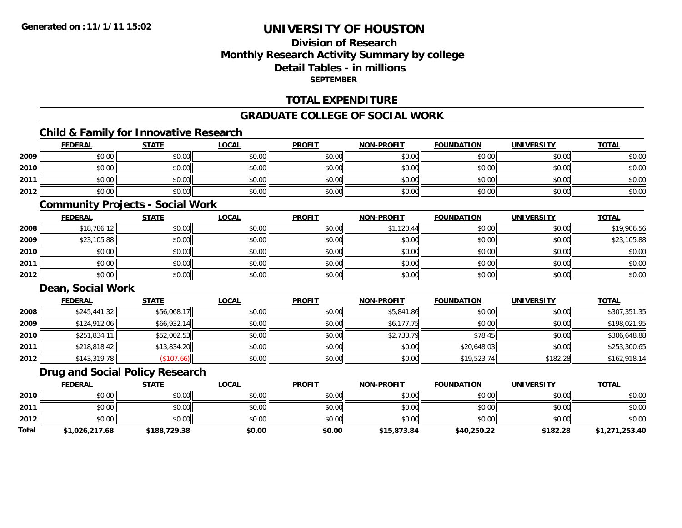### **Division of ResearchMonthly Research Activity Summary by college Detail Tables - in millionsSEPTEMBER**

#### **TOTAL EXPENDITURE**

#### **GRADUATE COLLEGE OF SOCIAL WORK**

# **Child & Family for Innovative Research**

|      | <b>FEDERAL</b> | <b>STATE</b> | <b>LOCAL</b> | <b>PROFIT</b> | <b>NON-PROFIT</b> | <b>FOUNDATION</b> | <b>UNIVERSITY</b> | <b>TOTAL</b> |
|------|----------------|--------------|--------------|---------------|-------------------|-------------------|-------------------|--------------|
| 2009 | \$0.00         | \$0.00       | \$0.00       | \$0.00        | \$0.00            | \$0.00            | \$0.00            | \$0.00       |
| 2010 | \$0.00         | \$0.00       | \$0.00       | \$0.00        | \$0.00            | \$0.00            | \$0.00            | \$0.00       |
| 2011 | \$0.00         | \$0.00       | \$0.00       | \$0.00        | \$0.00            | \$0.00            | \$0.00            | \$0.00       |
| 2012 | \$0.00         | \$0.00       | \$0.00       | \$0.00        | \$0.00            | \$0.00            | \$0.00            | \$0.00       |

#### **Community Projects - Social Work**

|      | <b>FEDERAL</b> | <b>STATE</b> | <b>LOCAL</b> | <b>PROFIT</b> | <b>NON-PROFIT</b> | <b>FOUNDATION</b> | <b>UNIVERSITY</b> | <b>TOTAL</b> |
|------|----------------|--------------|--------------|---------------|-------------------|-------------------|-------------------|--------------|
| 2008 | \$18,786.12    | \$0.00       | \$0.00       | \$0.00        | \$1,120.44        | \$0.00            | \$0.00            | \$19,906.56  |
| 2009 | \$23,105.88    | \$0.00       | \$0.00       | \$0.00        | \$0.00            | \$0.00            | \$0.00            | \$23,105.88  |
| 2010 | \$0.00         | \$0.00       | \$0.00       | \$0.00        | \$0.00            | \$0.00            | \$0.00            | \$0.00       |
| 2011 | \$0.00         | \$0.00       | \$0.00       | \$0.00        | \$0.00            | \$0.00            | \$0.00            | \$0.00       |
| 2012 | \$0.00         | \$0.00       | \$0.00       | \$0.00        | \$0.00            | \$0.00            | \$0.00            | \$0.00       |

### **Dean, Social Work**

|      | <b>FEDERAL</b> | <b>STATE</b> | <b>LOCAL</b> | <b>PROFIT</b> | <b>NON-PROFIT</b> | <b>FOUNDATION</b> | <b>UNIVERSITY</b> | <b>TOTAL</b> |
|------|----------------|--------------|--------------|---------------|-------------------|-------------------|-------------------|--------------|
| 2008 | \$245,441.32   | \$56,068.17  | \$0.00       | \$0.00        | \$5,841.86        | \$0.00            | \$0.00            | \$307,351.35 |
| 2009 | \$124,912.06   | \$66,932.14  | \$0.00       | \$0.00        | \$6,177.75        | \$0.00            | \$0.00            | \$198,021.95 |
| 2010 | \$251,834.11   | \$52,002.53  | \$0.00       | \$0.00        | \$2,733.79        | \$78.45           | \$0.00            | \$306,648.88 |
| 2011 | \$218,818.42   | \$13,834.20  | \$0.00       | \$0.00        | \$0.00            | \$20,648.03       | \$0.00            | \$253,300.65 |
| 2012 | \$143,319.78   | (\$107.66)   | \$0.00       | \$0.00        | \$0.00            | \$19,523.74       | \$182.28          | \$162,918.14 |

#### **Drug and Social Policy Research**

|              | <b>FEDERAL</b> | <b>STATE</b> | LOCAL  | <b>PROFIT</b> | <b>NON-PROFIT</b> | <b>FOUNDATION</b> | <b>UNIVERSITY</b> | <b>TOTAL</b>   |
|--------------|----------------|--------------|--------|---------------|-------------------|-------------------|-------------------|----------------|
| 2010         | \$0.00         | \$0.00       | \$0.00 | \$0.00        | \$0.00            | \$0.00            | \$0.00            | \$0.00         |
| 2011         | \$0.00         | \$0.00       | \$0.00 | \$0.00        | \$0.00            | \$0.00            | \$0.00            | \$0.00         |
| 2012         | \$0.00         | \$0.00       | \$0.00 | \$0.00        | \$0.00            | \$0.00            | \$0.00            | \$0.00         |
| <b>Total</b> | \$1,026,217.68 | \$188,729.38 | \$0.00 | \$0.00        | \$15,873.84       | \$40,250.22       | \$182.28          | \$1,271,253.40 |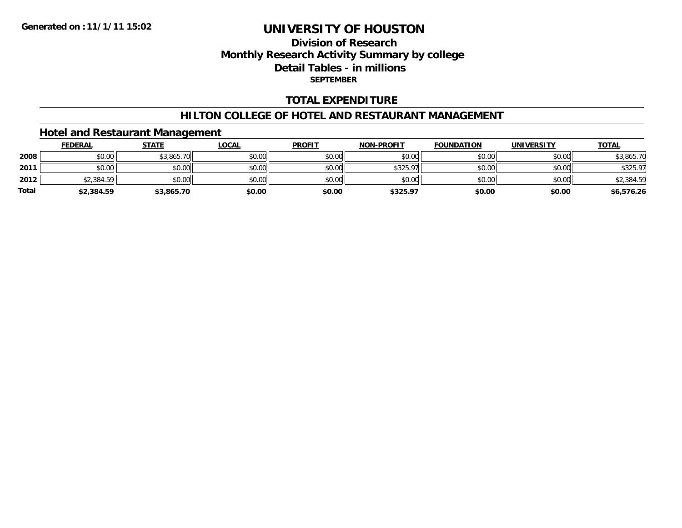### **Division of ResearchMonthly Research Activity Summary by college Detail Tables - in millions SEPTEMBER**

### **TOTAL EXPENDITURE**

#### **HILTON COLLEGE OF HOTEL AND RESTAURANT MANAGEMENT**

### **Hotel and Restaurant Management**

|              | <b>FEDERAL</b> | <b>STATE</b> | <b>LOCAL</b> | <b>PROFIT</b> | <b>NON-PROFIT</b> | <b>FOUNDATION</b> | <b>UNIVERSITY</b> | <b>TOTAL</b> |
|--------------|----------------|--------------|--------------|---------------|-------------------|-------------------|-------------------|--------------|
| 2008         | \$0.00         | \$3,865.70   | \$0.00       | \$0.00        | \$0.00            | \$0.00            | \$0.00            | \$3,865.70   |
| 2011         | \$0.00         | \$0.00       | \$0.00       | \$0.00        | \$325.97          | \$0.00            | \$0.00            | \$325.97     |
| 2012         | \$2,384.59     | \$0.00       | \$0.00       | \$0.00        | \$0.00            | \$0.00            | \$0.00            | \$2,384.59   |
| <b>Total</b> | \$2,384.59     | \$3,865.70   | \$0.00       | \$0.00        | \$325.97          | \$0.00            | \$0.00            | \$6,576.26   |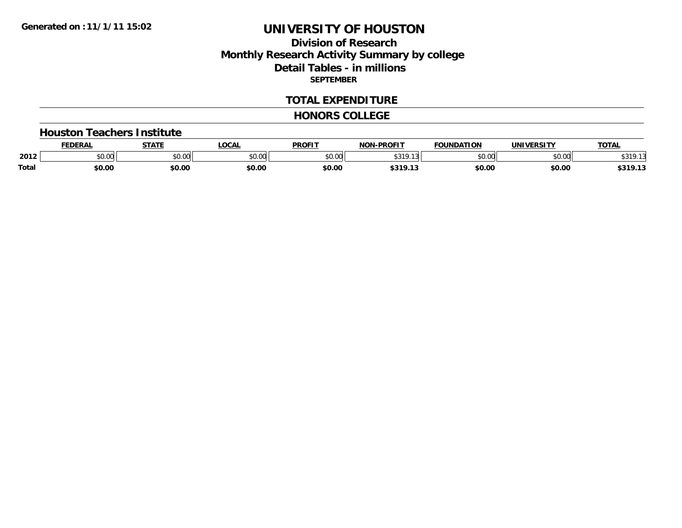### **Division of ResearchMonthly Research Activity Summary by college Detail Tables - in millions SEPTEMBER**

#### **TOTAL EXPENDITURE**

#### **HONORS COLLEGE**

#### **Houston Teachers Institute**

|              | <b>EDERA</b>  | <b>STATF</b>           | <b>LOCAL</b>  | <b>PROFIT</b>  | <b>J-PROFIT</b><br><b>NON</b> | <b>FOUNDATION</b> | <b>UNIVERSITY</b>  | <b>TOTAL</b>                                                    |
|--------------|---------------|------------------------|---------------|----------------|-------------------------------|-------------------|--------------------|-----------------------------------------------------------------|
| 2012         | 0000<br>DU.UU | $\sim$ $\sim$<br>JU.UU | 0000<br>JU.UL | 60.00<br>טט.טע | 0.99C<br>$\sim$<br>.          | ሐሴ ሰሰ             | $\sim$ 00<br>pu.uu | $\begin{array}{c} \uparrow \\ \uparrow \\ \uparrow \end{array}$ |
| <b>Total</b> | \$0.00        | \$0.00                 | \$0.00        | \$0.00         | <b>c210</b> **<br>シンエン・エ      | \$0.00            | \$0.00             | $-210.12$<br>,,,,,                                              |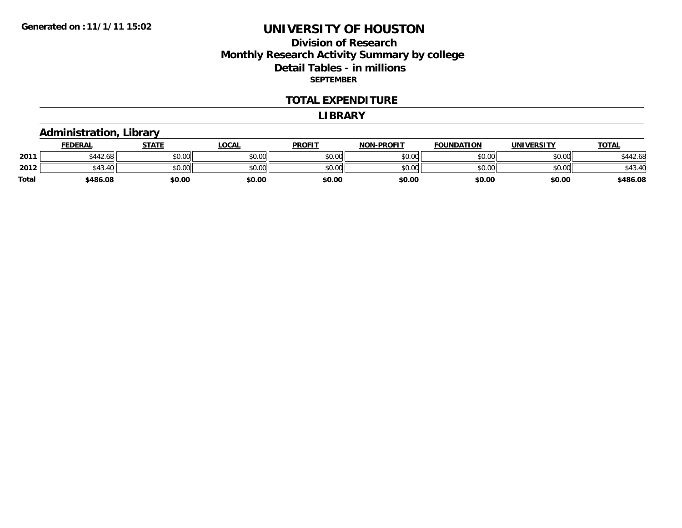### **Division of ResearchMonthly Research Activity Summary by college Detail Tables - in millions SEPTEMBER**

#### **TOTAL EXPENDITURE**

#### **LIBRARY**

# **Administration, Library**

|       | <b>FEDERAL</b>           | <b>STATE</b> | <u>LOCAL</u> | <b>PROFIT</b> | <b>NON-PROFIT</b> | <b>FOUNDATION</b> | <b>UNIVERSITY</b> | <u>TOTAL</u> |
|-------|--------------------------|--------------|--------------|---------------|-------------------|-------------------|-------------------|--------------|
| 2011  | $A A A B A C$<br>5442.68 | \$0.00       | \$0.00       | \$0.00        | \$0.00            | \$0.00            | \$0.00            | \$442.68     |
| 2012  | \$43.5                   | \$0.00       | \$0.00       | \$0.00        | \$0.00            | \$0.00            | \$0.00            | 543.4L       |
| Total | \$486.08                 | \$0.00       | \$0.00       | \$0.00        | \$0.00            | \$0.00            | \$0.00            | \$486.08     |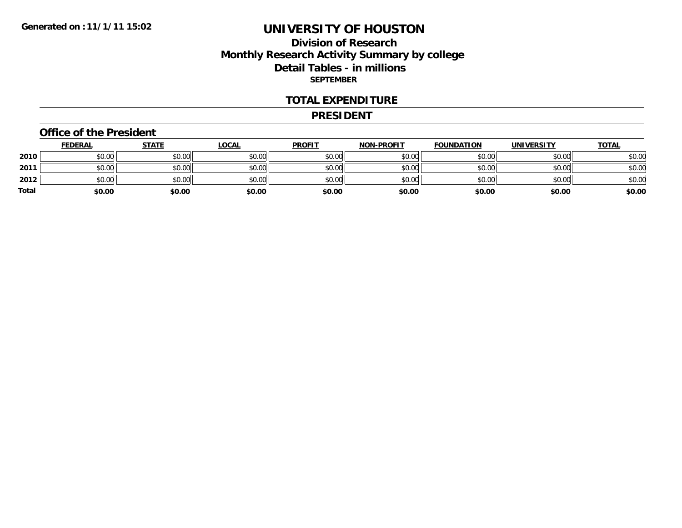### **Division of ResearchMonthly Research Activity Summary by college Detail Tables - in millions SEPTEMBER**

#### **TOTAL EXPENDITURE**

#### **PRESIDENT**

#### **Office of the President**

|       | <b>FEDERAL</b> | <b>STATE</b> | <u>LOCAL</u> | <b>PROFIT</b> | <b>NON-PROFIT</b> | <b>FOUNDATION</b> | <b>UNIVERSITY</b> | <u>TOTAL</u> |
|-------|----------------|--------------|--------------|---------------|-------------------|-------------------|-------------------|--------------|
| 2010  | \$0.00         | \$0.00       | \$0.00       | \$0.00        | \$0.00            | \$0.00            | \$0.00            | \$0.00       |
| 2011  | \$0.00         | \$0.00       | \$0.00       | \$0.00        | \$0.00            | \$0.00            | \$0.00            | \$0.00       |
| 2012  | \$0.00         | \$0.00       | \$0.00       | \$0.00        | \$0.00            | \$0.00            | \$0.00            | \$0.00       |
| Total | \$0.00         | \$0.00       | \$0.00       | \$0.00        | \$0.00            | \$0.00            | \$0.00            | \$0.00       |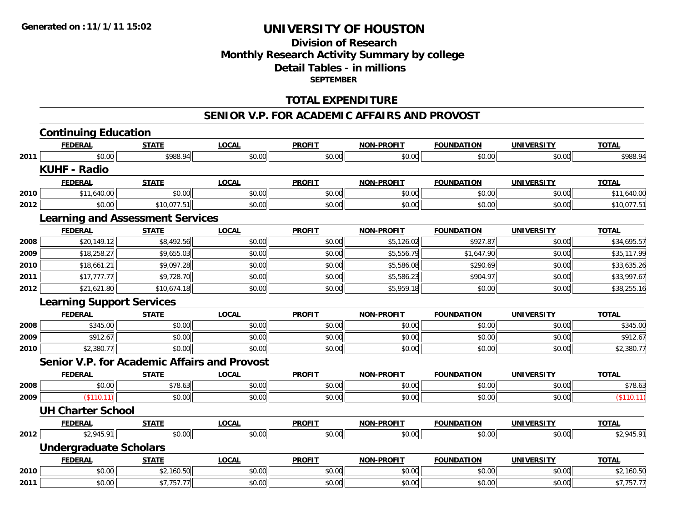### **Division of ResearchMonthly Research Activity Summary by college Detail Tables - in millions SEPTEMBER**

#### **TOTAL EXPENDITURE**

#### **SENIOR V.P. FOR ACADEMIC AFFAIRS AND PROVOST**

|      | <b>Continuing Education</b>                         |              |              |               |                   |                   |                   |              |
|------|-----------------------------------------------------|--------------|--------------|---------------|-------------------|-------------------|-------------------|--------------|
|      | <b>FEDERAL</b>                                      | <b>STATE</b> | <b>LOCAL</b> | <b>PROFIT</b> | <b>NON-PROFIT</b> | <b>FOUNDATION</b> | <b>UNIVERSITY</b> | <b>TOTAL</b> |
| 2011 | \$0.00                                              | \$988.94     | \$0.00       | \$0.00        | \$0.00            | \$0.00            | \$0.00            | \$988.94     |
|      | <b>KUHF - Radio</b>                                 |              |              |               |                   |                   |                   |              |
|      | <b>FEDERAL</b>                                      | <b>STATE</b> | <b>LOCAL</b> | <b>PROFIT</b> | <b>NON-PROFIT</b> | <b>FOUNDATION</b> | <b>UNIVERSITY</b> | <b>TOTAL</b> |
| 2010 | \$11,640.00                                         | \$0.00       | \$0.00       | \$0.00        | \$0.00            | \$0.00            | \$0.00            | \$11,640.00  |
| 2012 | \$0.00                                              | \$10,077.51  | \$0.00       | \$0.00        | \$0.00            | \$0.00            | \$0.00            | \$10,077.51  |
|      | <b>Learning and Assessment Services</b>             |              |              |               |                   |                   |                   |              |
|      | <b>FEDERAL</b>                                      | <b>STATE</b> | <b>LOCAL</b> | <b>PROFIT</b> | <b>NON-PROFIT</b> | <b>FOUNDATION</b> | <b>UNIVERSITY</b> | <b>TOTAL</b> |
| 2008 | \$20,149.12                                         | \$8,492.56   | \$0.00       | \$0.00        | \$5,126.02        | \$927.87          | \$0.00            | \$34,695.57  |
| 2009 | \$18,258.27                                         | \$9,655.03   | \$0.00       | \$0.00        | \$5,556.79        | \$1,647.90        | \$0.00            | \$35,117.99  |
| 2010 | \$18,661.21                                         | \$9,097.28   | \$0.00       | \$0.00        | \$5,586.08        | \$290.69          | \$0.00            | \$33,635.26  |
| 2011 | \$17,777.77                                         | \$9,728.70   | \$0.00       | \$0.00        | \$5,586.23        | \$904.97          | \$0.00            | \$33,997.67  |
| 2012 | \$21,621.80                                         | \$10,674.18  | \$0.00       | \$0.00        | \$5,959.18        | \$0.00            | \$0.00            | \$38,255.16  |
|      | <b>Learning Support Services</b>                    |              |              |               |                   |                   |                   |              |
|      | <b>FEDERAL</b>                                      | <b>STATE</b> | <b>LOCAL</b> | <b>PROFIT</b> | <b>NON-PROFIT</b> | <b>FOUNDATION</b> | <b>UNIVERSITY</b> | <b>TOTAL</b> |
| 2008 | \$345.00                                            | \$0.00       | \$0.00       | \$0.00        | \$0.00            | \$0.00            | \$0.00            | \$345.00     |
| 2009 | \$912.67                                            | \$0.00       | \$0.00       | \$0.00        | \$0.00            | \$0.00            | \$0.00            | \$912.67     |
| 2010 | \$2,380.77                                          | \$0.00       | \$0.00       | \$0.00        | \$0.00            | \$0.00            | \$0.00            | \$2,380.77   |
|      | <b>Senior V.P. for Academic Affairs and Provost</b> |              |              |               |                   |                   |                   |              |
|      | <b>FEDERAL</b>                                      | <b>STATE</b> | <b>LOCAL</b> | <b>PROFIT</b> | <b>NON-PROFIT</b> | <b>FOUNDATION</b> | <b>UNIVERSITY</b> | <b>TOTAL</b> |
| 2008 | \$0.00                                              | \$78.63      | \$0.00       | \$0.00        | \$0.00            | \$0.00            | \$0.00            | \$78.63      |
| 2009 | (\$110.11)                                          | \$0.00       | \$0.00       | \$0.00        | \$0.00            | \$0.00            | \$0.00            | (\$110.11)   |
|      | <b>UH Charter School</b>                            |              |              |               |                   |                   |                   |              |
|      | <b>FEDERAL</b>                                      | <b>STATE</b> | <b>LOCAL</b> | <b>PROFIT</b> | <b>NON-PROFIT</b> | <b>FOUNDATION</b> | <b>UNIVERSITY</b> | <b>TOTAL</b> |
| 2012 | \$2,945.91                                          | \$0.00       | \$0.00       | \$0.00        | \$0.00            | \$0.00            | \$0.00            | \$2,945.91   |
|      | <b>Undergraduate Scholars</b>                       |              |              |               |                   |                   |                   |              |
|      | <b>FEDERAL</b>                                      | <b>STATE</b> | <b>LOCAL</b> | <b>PROFIT</b> | <b>NON-PROFIT</b> | <b>FOUNDATION</b> | <b>UNIVERSITY</b> | <b>TOTAL</b> |
| 2010 | \$0.00                                              | \$2,160.50   | \$0.00       | \$0.00        | \$0.00            | \$0.00            | \$0.00            | \$2,160.50   |
| 2011 | \$0.00                                              | \$7,757.77   | \$0.00       | \$0.00        | \$0.00            | \$0.00            | \$0.00            | \$7,757.77   |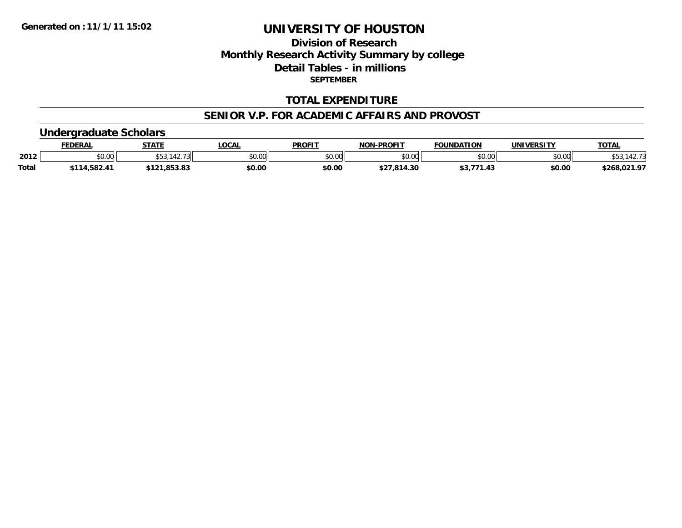### **Division of ResearchMonthly Research Activity Summary by college Detail Tables - in millions SEPTEMBER**

#### **TOTAL EXPENDITURE**

#### **SENIOR V.P. FOR ACADEMIC AFFAIRS AND PROVOST**

#### **Undergraduate Scholars**

|              | <b>FEDERAL</b> | <b>STATF</b>           | <b>LOCAL</b> | <b>PROFIT</b>  | <b>NON-PROFIT</b> | <b>FOUNDATION</b> | <b>UNIVERSITY</b> | <b>TOTAL</b>  |
|--------------|----------------|------------------------|--------------|----------------|-------------------|-------------------|-------------------|---------------|
| 2012         | \$0.00         | .44- ا                 | \$0.00       | 40.00<br>JU.UU | \$0.00            | \$0.00            | \$0.00            | . 42. L<br>◡◡ |
| <b>Total</b> | \$114,582.41   | OE 2.02<br>9171,099.09 | \$0.00       | \$0.00         | \$27,814.30       | ,                 | \$0.00            | \$268,021.97  |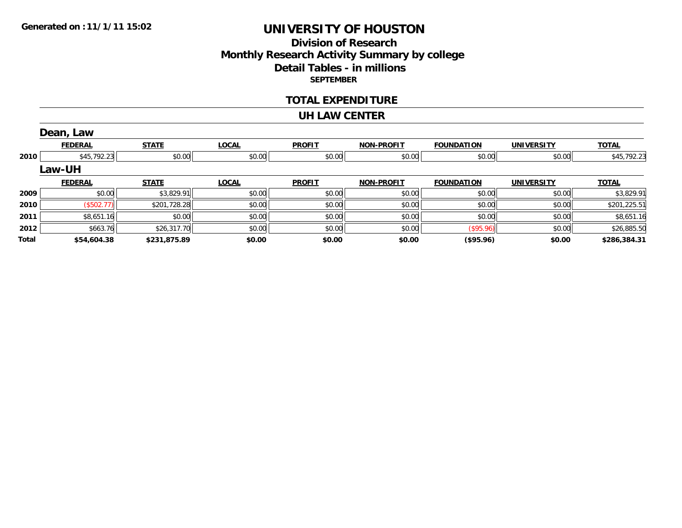#### **Division of Research Monthly Research Activity Summary by college Detail Tables - in millions SEPTEMBER**

#### **TOTAL EXPENDITURE**

#### **UH LAW CENTER**

|       | Dean, Law      |              |              |               |                   |                   |                   |              |
|-------|----------------|--------------|--------------|---------------|-------------------|-------------------|-------------------|--------------|
|       | <b>FEDERAL</b> | <b>STATE</b> | <b>LOCAL</b> | <b>PROFIT</b> | <b>NON-PROFIT</b> | <b>FOUNDATION</b> | <b>UNIVERSITY</b> | <b>TOTAL</b> |
| 2010  | \$45,792.23    | \$0.00       | \$0.00       | \$0.00        | \$0.00            | \$0.00            | \$0.00            | \$45,792.23  |
|       | <b>Law-UH</b>  |              |              |               |                   |                   |                   |              |
|       | <b>FEDERAL</b> | <b>STATE</b> | <b>LOCAL</b> | <b>PROFIT</b> | <b>NON-PROFIT</b> | <b>FOUNDATION</b> | <b>UNIVERSITY</b> | <b>TOTAL</b> |
| 2009  | \$0.00         | \$3,829.91   | \$0.00       | \$0.00        | \$0.00            | \$0.00            | \$0.00            | \$3,829.91   |
| 2010  | (\$502.77)     | \$201,728.28 | \$0.00       | \$0.00        | \$0.00            | \$0.00            | \$0.00            | \$201,225.51 |
| 2011  | \$8,651.16     | \$0.00       | \$0.00       | \$0.00        | \$0.00            | \$0.00            | \$0.00            | \$8,651.16   |
| 2012  | \$663.76       | \$26,317.70  | \$0.00       | \$0.00        | \$0.00            | $($ \$95.96) $ $  | \$0.00            | \$26,885.50  |
| Total | \$54,604.38    | \$231,875.89 | \$0.00       | \$0.00        | \$0.00            | $($ \$95.96)      | \$0.00            | \$286,384.31 |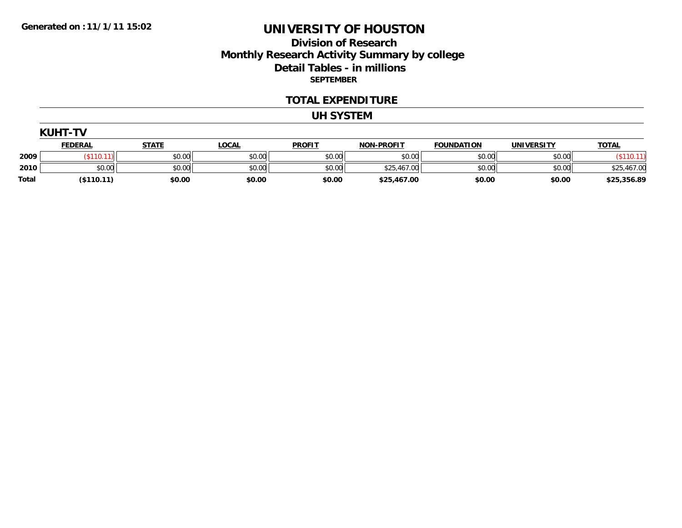#### **Division of Research Monthly Research Activity Summary by college Detail Tables - in millions SEPTEMBER**

#### **TOTAL EXPENDITURE**

#### **UH SYSTEM**

|  | ١ı | IJI | -11<br>п |  |  |
|--|----|-----|----------|--|--|
|--|----|-----|----------|--|--|

|              | <b>FEDERAL</b> | <b>STATF</b> | <b>LOCAL</b> | <b>PROFIT</b> | <b>NON-PROFIT</b> | <b>FOUNDATION</b> | <b>UNIVERSITY</b> | <b>TOTAL</b> |
|--------------|----------------|--------------|--------------|---------------|-------------------|-------------------|-------------------|--------------|
| 2009         |                | \$0.00       | \$0.00       | \$0.00        | \$0.00            | \$0.00            | \$0.00            |              |
| 2010         | \$0.00         | \$0.00       | \$0.00       | \$0.00        | \$25,467.00       | \$0.00            | \$0.00            | \$25,467.00  |
| <b>Total</b> | (\$110.11)     | \$0.00       | \$0.00       | \$0.00        | \$25,467.00       | \$0.00            | \$0.00            | \$25,356.89  |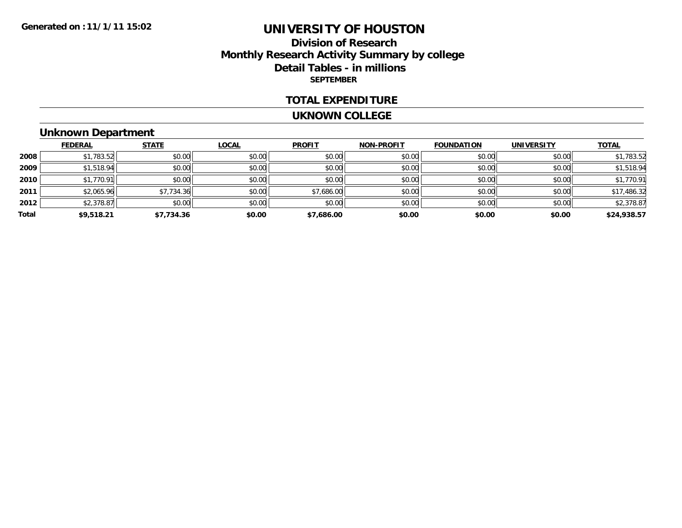### **Division of ResearchMonthly Research Activity Summary by college Detail Tables - in millions SEPTEMBER**

#### **TOTAL EXPENDITURE**

#### **UKNOWN COLLEGE**

### **Unknown Department**

|       | <b>FEDERAL</b> | <b>STATE</b> | <b>LOCAL</b> | <b>PROFIT</b> | <b>NON-PROFIT</b> | <b>FOUNDATION</b> | <b>UNIVERSITY</b> | <b>TOTAL</b> |
|-------|----------------|--------------|--------------|---------------|-------------------|-------------------|-------------------|--------------|
| 2008  | \$1,783.52     | \$0.00       | \$0.00       | \$0.00        | \$0.00            | \$0.00            | \$0.00            | \$1,783.52   |
| 2009  | \$1,518.94     | \$0.00       | \$0.00       | \$0.00        | \$0.00            | \$0.00            | \$0.00            | \$1,518.94   |
| 2010  | \$1,770.91     | \$0.00       | \$0.00       | \$0.00        | \$0.00            | \$0.00            | \$0.00            | \$1,770.91   |
| 2011  | \$2,065.96     | \$7,734.36   | \$0.00       | \$7,686.00    | \$0.00            | \$0.00            | \$0.00            | \$17,486.32  |
| 2012  | \$2,378.87     | \$0.00       | \$0.00       | \$0.00        | \$0.00            | \$0.00            | \$0.00            | \$2,378.87   |
| Total | \$9,518.21     | \$7,734.36   | \$0.00       | \$7,686.00    | \$0.00            | \$0.00            | \$0.00            | \$24,938.57  |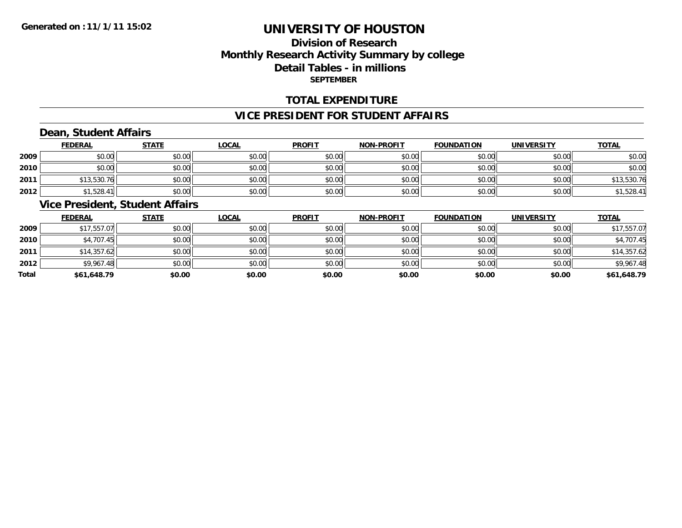### **Division of ResearchMonthly Research Activity Summary by college Detail Tables - in millions SEPTEMBER**

#### **TOTAL EXPENDITURE**

#### **VICE PRESIDENT FOR STUDENT AFFAIRS**

# **Dean, Student Affairs**

|      | <b>FEDERAL</b> | <b>STATE</b> | <u>LOCAL</u> | <b>PROFIT</b> | <b>NON-PROFIT</b> | <b>FOUNDATION</b> | <b>UNIVERSITY</b> | <b>TOTAL</b> |
|------|----------------|--------------|--------------|---------------|-------------------|-------------------|-------------------|--------------|
| 2009 | \$0.00         | \$0.00       | \$0.00       | \$0.00        | \$0.00            | \$0.00            | \$0.00            | \$0.00       |
| 2010 | \$0.00         | \$0.00       | \$0.00       | \$0.00        | \$0.00            | \$0.00            | \$0.00            | \$0.00       |
| 2011 | \$13,530.76    | \$0.00       | \$0.00       | \$0.00        | \$0.00            | \$0.00            | \$0.00            | \$13,530.76  |
| 2012 | \$1,528.41     | \$0.00       | \$0.00       | \$0.00        | \$0.00            | \$0.00            | \$0.00            | \$1,528.41   |

### **Vice President, Student Affairs**

|       | <b>FEDERAL</b> | <b>STATE</b> | <b>LOCAL</b> | <b>PROFIT</b> | <b>NON-PROFIT</b> | <b>FOUNDATION</b> | <b>UNIVERSITY</b> | <b>TOTAL</b> |
|-------|----------------|--------------|--------------|---------------|-------------------|-------------------|-------------------|--------------|
| 2009  | \$17,557.07    | \$0.00       | \$0.00       | \$0.00        | \$0.00            | \$0.00            | \$0.00            | \$17,557.07  |
| 2010  | \$4,707.45     | \$0.00       | \$0.00       | \$0.00        | \$0.00            | \$0.00            | \$0.00            | \$4,707.45   |
| 2011  | \$14,357.62    | \$0.00       | \$0.00       | \$0.00        | \$0.00            | \$0.00            | \$0.00            | \$14,357.62  |
| 2012  | \$9,967.48     | \$0.00       | \$0.00       | \$0.00        | \$0.00            | \$0.00            | \$0.00            | \$9,967.48   |
| Total | \$61,648.79    | \$0.00       | \$0.00       | \$0.00        | \$0.00            | \$0.00            | \$0.00            | \$61,648.79  |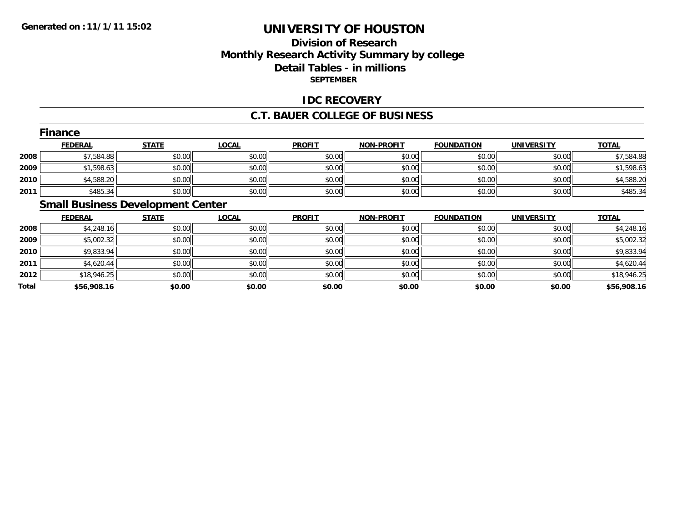### **Division of ResearchMonthly Research Activity Summary by college Detail Tables - in millions SEPTEMBER**

#### **IDC RECOVERY**

#### **C.T. BAUER COLLEGE OF BUSINESS**

|      | <b>Finance</b> |              |              |               |                   |                   |                   |              |
|------|----------------|--------------|--------------|---------------|-------------------|-------------------|-------------------|--------------|
|      | <b>FEDERAL</b> | <b>STATE</b> | <b>LOCAL</b> | <b>PROFIT</b> | <b>NON-PROFIT</b> | <b>FOUNDATION</b> | <b>UNIVERSITY</b> | <b>TOTAL</b> |
| 2008 | \$7,584.88     | \$0.00       | \$0.00       | \$0.00        | \$0.00            | \$0.00            | \$0.00            | \$7,584.88   |
| 2009 | \$1,598.63     | \$0.00       | \$0.00       | \$0.00        | \$0.00            | \$0.00            | \$0.00            | \$1,598.63   |
| 2010 | \$4,588.20     | \$0.00       | \$0.00       | \$0.00        | \$0.00            | \$0.00            | \$0.00            | \$4,588.20   |
| 2011 | \$485.34       | \$0.00       | \$0.00       | \$0.00        | \$0.00            | \$0.00            | \$0.00            | \$485.34     |
|      |                |              |              |               |                   |                   |                   |              |

### **Small Business Development Center**

|       | <b>FEDERAL</b> | <b>STATE</b> | <b>LOCAL</b> | <b>PROFIT</b> | <b>NON-PROFIT</b> | <b>FOUNDATION</b> | <b>UNIVERSITY</b> | <b>TOTAL</b> |
|-------|----------------|--------------|--------------|---------------|-------------------|-------------------|-------------------|--------------|
| 2008  | \$4,248.16     | \$0.00       | \$0.00       | \$0.00        | \$0.00            | \$0.00            | \$0.00            | \$4,248.16   |
| 2009  | \$5,002.32     | \$0.00       | \$0.00       | \$0.00        | \$0.00            | \$0.00            | \$0.00            | \$5,002.32   |
| 2010  | \$9,833.94     | \$0.00       | \$0.00       | \$0.00        | \$0.00            | \$0.00            | \$0.00            | \$9,833.94   |
| 2011  | \$4,620.44     | \$0.00       | \$0.00       | \$0.00        | \$0.00            | \$0.00            | \$0.00            | \$4,620.44   |
| 2012  | \$18,946.25    | \$0.00       | \$0.00       | \$0.00        | \$0.00            | \$0.00            | \$0.00            | \$18,946.25  |
| Total | \$56,908.16    | \$0.00       | \$0.00       | \$0.00        | \$0.00            | \$0.00            | \$0.00            | \$56,908.16  |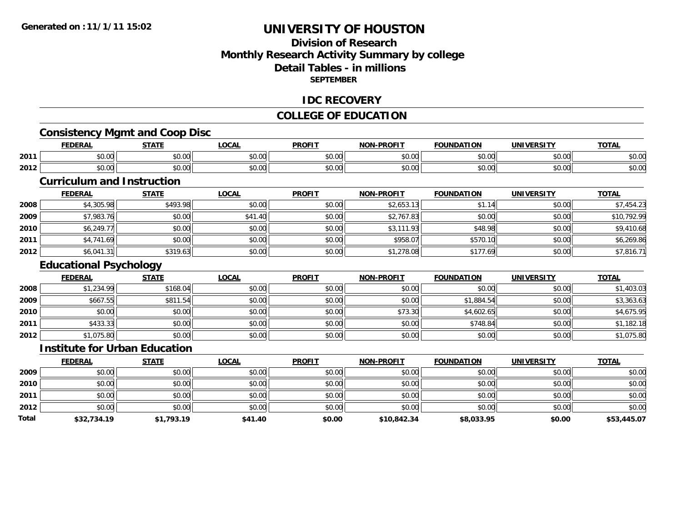### **Division of ResearchMonthly Research Activity Summary by college Detail Tables - in millionsSEPTEMBER**

#### **IDC RECOVERY**

#### **COLLEGE OF EDUCATION**

# **Consistency Mgmt and Coop Disc**

|      | <b>FEDERAL</b> | <b>STATE</b>                                                             | LOCAL         | <b>PROFIT</b>                                        | <b>NON-PROFIT</b> | <b>FOUNDATION</b> | <b>UNIVERSITY</b> | <b>TOTAL</b>            |
|------|----------------|--------------------------------------------------------------------------|---------------|------------------------------------------------------|-------------------|-------------------|-------------------|-------------------------|
| 2011 | \$0.00         | $\sim$ 00<br>JU.UU                                                       | 0.00<br>JU.UU | $\uparrow$ $\uparrow$ $\uparrow$ $\uparrow$<br>JU.UU | 0000<br>vv.vv     | \$0.00            | 0000<br>JU.UU     | $\sim$ $\sim$<br>ง∪.∪เ  |
| 2012 | \$0.00         | $\begin{array}{c} \uparrow \\ \uparrow \\ \uparrow \end{array}$<br>JU.UU | 0000<br>JU.UU | 0.00<br>vv.v                                         | 0000<br>vv.vv     | \$0.00            | 0000<br>JU.UU     | $\sim$ $\sim$<br>\$U.U( |

### **Curriculum and Instruction**

|      | <b>FEDERAL</b> | <b>STATE</b> | <b>LOCAL</b> | <b>PROFIT</b> | <b>NON-PROFIT</b> | <b>FOUNDATION</b> | <b>UNIVERSITY</b> | <b>TOTAL</b> |
|------|----------------|--------------|--------------|---------------|-------------------|-------------------|-------------------|--------------|
| 2008 | \$4,305.98     | \$493.98     | \$0.00       | \$0.00        | \$2,653.13        | \$1.14            | \$0.00            | \$7,454.23   |
| 2009 | \$7,983.76     | \$0.00       | \$41.40      | \$0.00        | \$2,767.83        | \$0.00            | \$0.00            | \$10,792.99  |
| 2010 | \$6,249.77     | \$0.00       | \$0.00       | \$0.00        | \$3,111.93        | \$48.98           | \$0.00            | \$9,410.68   |
| 2011 | \$4,741.69     | \$0.00       | \$0.00       | \$0.00        | \$958.07          | \$570.10          | \$0.00            | \$6,269.86   |
| 2012 | \$6,041.31     | \$319.63     | \$0.00       | \$0.00        | \$1,278.08        | \$177.69          | \$0.00            | \$7,816.71   |

### **Educational Psychology**

|      | <b>FEDERAL</b> | <b>STATE</b> | <b>LOCAL</b> | <b>PROFIT</b> | <b>NON-PROFIT</b> | <b>FOUNDATION</b> | <b>UNIVERSITY</b> | <b>TOTAL</b> |
|------|----------------|--------------|--------------|---------------|-------------------|-------------------|-------------------|--------------|
| 2008 | \$1,234.99     | \$168.04     | \$0.00       | \$0.00        | \$0.00            | \$0.00            | \$0.00            | \$1,403.03   |
| 2009 | \$667.55       | \$811.54     | \$0.00       | \$0.00        | \$0.00            | \$1,884.54        | \$0.00            | \$3,363.63   |
| 2010 | \$0.00         | \$0.00       | \$0.00       | \$0.00        | \$73.30           | \$4,602.65        | \$0.00            | \$4,675.95   |
| 2011 | \$433.33       | \$0.00       | \$0.00       | \$0.00        | \$0.00            | \$748.84          | \$0.00            | \$1,182.18   |
| 2012 | \$1,075.80     | \$0.00       | \$0.00       | \$0.00        | \$0.00            | \$0.00            | \$0.00            | \$1,075.80   |

#### **Institute for Urban Education**

|       | <b>FEDERAL</b> | <b>STATE</b> | <b>LOCAL</b> | <b>PROFIT</b> | <b>NON-PROFIT</b> | <b>FOUNDATION</b> | <b>UNIVERSITY</b> | <b>TOTAL</b> |
|-------|----------------|--------------|--------------|---------------|-------------------|-------------------|-------------------|--------------|
| 2009  | \$0.00         | \$0.00       | \$0.00       | \$0.00        | \$0.00            | \$0.00            | \$0.00            | \$0.00       |
| 2010  | \$0.00         | \$0.00       | \$0.00       | \$0.00        | \$0.00            | \$0.00            | \$0.00            | \$0.00       |
| 2011  | \$0.00         | \$0.00       | \$0.00       | \$0.00        | \$0.00            | \$0.00            | \$0.00            | \$0.00       |
| 2012  | \$0.00         | \$0.00       | \$0.00       | \$0.00        | \$0.00            | \$0.00            | \$0.00            | \$0.00       |
| Total | \$32,734.19    | \$1,793.19   | \$41.40      | \$0.00        | \$10,842.34       | \$8,033.95        | \$0.00            | \$53,445.07  |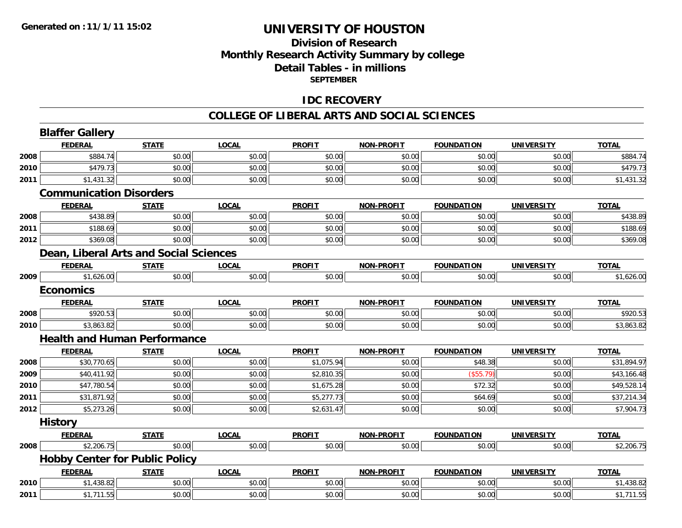### **Division of ResearchMonthly Research Activity Summary by college Detail Tables - in millions SEPTEMBER**

#### **IDC RECOVERY**

#### **COLLEGE OF LIBERAL ARTS AND SOCIAL SCIENCES**

|      | <b>Blaffer Gallery</b>                        |              |              |               |                   |                   |                   |              |  |  |
|------|-----------------------------------------------|--------------|--------------|---------------|-------------------|-------------------|-------------------|--------------|--|--|
|      | <b>FEDERAL</b>                                | <b>STATE</b> | <b>LOCAL</b> | <b>PROFIT</b> | <b>NON-PROFIT</b> | <b>FOUNDATION</b> | <b>UNIVERSITY</b> | <b>TOTAL</b> |  |  |
| 2008 | \$884.74                                      | \$0.00       | \$0.00       | \$0.00        | \$0.00            | \$0.00            | \$0.00            | \$884.74     |  |  |
| 2010 | \$479.73                                      | \$0.00       | \$0.00       | \$0.00        | \$0.00            | \$0.00            | \$0.00            | \$479.73     |  |  |
| 2011 | \$1,431.32                                    | \$0.00       | \$0.00       | \$0.00        | \$0.00            | \$0.00            | \$0.00            | \$1,431.32   |  |  |
|      | <b>Communication Disorders</b>                |              |              |               |                   |                   |                   |              |  |  |
|      | <b>FEDERAL</b>                                | <b>STATE</b> | <b>LOCAL</b> | <b>PROFIT</b> | <b>NON-PROFIT</b> | <b>FOUNDATION</b> | <b>UNIVERSITY</b> | <b>TOTAL</b> |  |  |
| 2008 | \$438.89                                      | \$0.00       | \$0.00       | \$0.00        | \$0.00            | \$0.00            | \$0.00            | \$438.89     |  |  |
| 2011 | \$188.69                                      | \$0.00       | \$0.00       | \$0.00        | \$0.00            | \$0.00            | \$0.00            | \$188.69     |  |  |
| 2012 | \$369.08                                      | \$0.00       | \$0.00       | \$0.00        | \$0.00            | \$0.00            | \$0.00            | \$369.08     |  |  |
|      | <b>Dean, Liberal Arts and Social Sciences</b> |              |              |               |                   |                   |                   |              |  |  |
|      | <b>FEDERAL</b>                                | <b>STATE</b> | <b>LOCAL</b> | <b>PROFIT</b> | <b>NON-PROFIT</b> | <b>FOUNDATION</b> | <b>UNIVERSITY</b> | <b>TOTAL</b> |  |  |
| 2009 | \$1,626.00                                    | \$0.00       | \$0.00       | \$0.00        | \$0.00            | \$0.00            | \$0.00            | \$1,626.00   |  |  |
|      | <b>Economics</b>                              |              |              |               |                   |                   |                   |              |  |  |
|      | <b>FEDERAL</b>                                | <b>STATE</b> | <b>LOCAL</b> | <b>PROFIT</b> | <b>NON-PROFIT</b> | <b>FOUNDATION</b> | <b>UNIVERSITY</b> | <b>TOTAL</b> |  |  |
| 2008 | \$920.53                                      | \$0.00       | \$0.00       | \$0.00        | \$0.00            | \$0.00            | \$0.00            | \$920.53     |  |  |
| 2010 | \$3,863.82                                    | \$0.00       | \$0.00       | \$0.00        | \$0.00            | \$0.00            | \$0.00            | \$3,863.82   |  |  |
|      | <b>Health and Human Performance</b>           |              |              |               |                   |                   |                   |              |  |  |
|      | <b>FEDERAL</b>                                | <b>STATE</b> | <b>LOCAL</b> | <b>PROFIT</b> | <b>NON-PROFIT</b> | <b>FOUNDATION</b> | <b>UNIVERSITY</b> | <b>TOTAL</b> |  |  |
| 2008 | \$30,770.65                                   | \$0.00       | \$0.00       | \$1,075.94    | \$0.00            | \$48.38           | \$0.00            | \$31,894.97  |  |  |
| 2009 | \$40,411.92                                   | \$0.00       | \$0.00       | \$2,810.35    | \$0.00            | $($ \$55.79)      | \$0.00            | \$43,166.48  |  |  |
| 2010 | \$47,780.54                                   | \$0.00       | \$0.00       | \$1,675.28    | \$0.00            | \$72.32           | \$0.00            | \$49,528.14  |  |  |
| 2011 | \$31,871.92                                   | \$0.00       | \$0.00       | \$5,277.73    | \$0.00            | \$64.69           | \$0.00            | \$37,214.34  |  |  |
| 2012 | \$5,273.26                                    | \$0.00       | \$0.00       | \$2,631.47    | \$0.00            | \$0.00            | \$0.00            | \$7,904.73   |  |  |
|      | <b>History</b>                                |              |              |               |                   |                   |                   |              |  |  |
|      | <b>FEDERAL</b>                                | <b>STATE</b> | <b>LOCAL</b> | <b>PROFIT</b> | <b>NON-PROFIT</b> | <b>FOUNDATION</b> | <b>UNIVERSITY</b> | <b>TOTAL</b> |  |  |
| 2008 | \$2,206.75                                    | \$0.00       | \$0.00       | \$0.00        | \$0.00            | \$0.00            | \$0.00            | \$2,206.75   |  |  |
|      | <b>Hobby Center for Public Policy</b>         |              |              |               |                   |                   |                   |              |  |  |
|      | <b>FEDERAL</b>                                | <b>STATE</b> | <b>LOCAL</b> | <b>PROFIT</b> | <b>NON-PROFIT</b> | <b>FOUNDATION</b> | <b>UNIVERSITY</b> | <b>TOTAL</b> |  |  |
| 2010 | \$1,438.82                                    | \$0.00       | \$0.00       | \$0.00        | \$0.00            | \$0.00            | \$0.00            | \$1,438.82   |  |  |
| 2011 | \$1,711.55                                    | \$0.00       | \$0.00       | \$0.00        | \$0.00            | \$0.00            | \$0.00            | \$1,711.55   |  |  |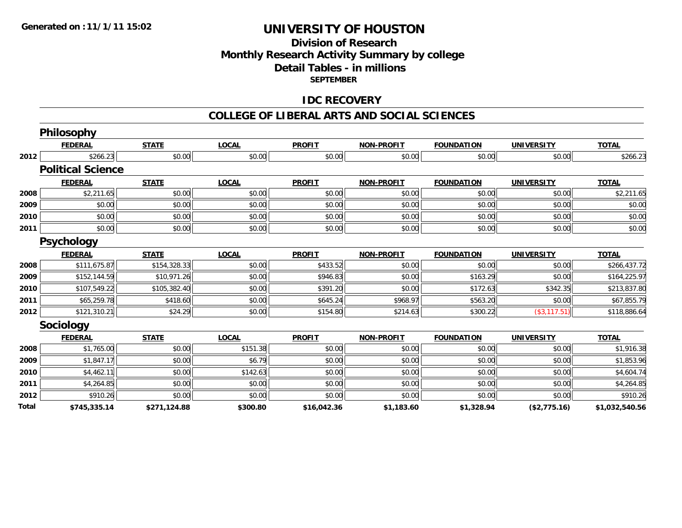#### **Division of Research Monthly Research Activity Summary by college Detail Tables - in millions SEPTEMBER**

#### **IDC RECOVERY**

#### **COLLEGE OF LIBERAL ARTS AND SOCIAL SCIENCES**

|              | <b>Philosophy</b>        |              |              |               |                   |                   |                   |                |
|--------------|--------------------------|--------------|--------------|---------------|-------------------|-------------------|-------------------|----------------|
|              | <b>FEDERAL</b>           | <b>STATE</b> | <b>LOCAL</b> | <b>PROFIT</b> | <b>NON-PROFIT</b> | <b>FOUNDATION</b> | <b>UNIVERSITY</b> | <b>TOTAL</b>   |
| 2012         | \$266.23                 | \$0.00       | \$0.00       | \$0.00        | \$0.00            | \$0.00            | \$0.00            | \$266.23       |
|              | <b>Political Science</b> |              |              |               |                   |                   |                   |                |
|              | <b>FEDERAL</b>           | <b>STATE</b> | <b>LOCAL</b> | <b>PROFIT</b> | <b>NON-PROFIT</b> | <b>FOUNDATION</b> | <b>UNIVERSITY</b> | <b>TOTAL</b>   |
| 2008         | \$2,211.65               | \$0.00       | \$0.00       | \$0.00        | \$0.00            | \$0.00            | \$0.00            | \$2,211.65     |
| 2009         | \$0.00                   | \$0.00       | \$0.00       | \$0.00        | \$0.00            | \$0.00            | \$0.00            | \$0.00         |
| 2010         | \$0.00                   | \$0.00       | \$0.00       | \$0.00        | \$0.00            | \$0.00            | \$0.00            | \$0.00         |
| 2011         | \$0.00                   | \$0.00       | \$0.00       | \$0.00        | \$0.00            | \$0.00            | \$0.00            | \$0.00         |
|              | <b>Psychology</b>        |              |              |               |                   |                   |                   |                |
|              | <b>FEDERAL</b>           | <b>STATE</b> | <b>LOCAL</b> | <b>PROFIT</b> | <b>NON-PROFIT</b> | <b>FOUNDATION</b> | <b>UNIVERSITY</b> | <b>TOTAL</b>   |
| 2008         | \$111,675.87             | \$154,328.33 | \$0.00       | \$433.52      | \$0.00            | \$0.00            | \$0.00            | \$266,437.72   |
| 2009         | \$152,144.59             | \$10,971.26  | \$0.00       | \$946.83      | \$0.00            | \$163.29          | \$0.00            | \$164,225.97   |
| 2010         | \$107,549.22             | \$105,382.40 | \$0.00       | \$391.20      | \$0.00            | \$172.63          | \$342.35          | \$213,837.80   |
| 2011         | \$65,259.78              | \$418.60     | \$0.00       | \$645.24      | \$968.97          | \$563.20          | \$0.00            | \$67,855.79    |
| 2012         | \$121,310.21             | \$24.29      | \$0.00       | \$154.80      | \$214.63          | \$300.22          | $(*3,117.51)$     | \$118,886.64   |
|              | <b>Sociology</b>         |              |              |               |                   |                   |                   |                |
|              | <b>FEDERAL</b>           | <b>STATE</b> | <b>LOCAL</b> | <b>PROFIT</b> | <b>NON-PROFIT</b> | <b>FOUNDATION</b> | <b>UNIVERSITY</b> | <b>TOTAL</b>   |
| 2008         | \$1,765.00               | \$0.00       | \$151.38     | \$0.00        | \$0.00            | \$0.00            | \$0.00            | \$1,916.38     |
| 2009         | \$1,847.17               | \$0.00       | \$6.79       | \$0.00        | \$0.00            | \$0.00            | \$0.00            | \$1,853.96     |
| 2010         | \$4,462.11               | \$0.00       | \$142.63     | \$0.00        | \$0.00            | \$0.00            | \$0.00            | \$4,604.74     |
| 2011         | \$4,264.85               | \$0.00       | \$0.00       | \$0.00        | \$0.00            | \$0.00            | \$0.00            | \$4,264.85     |
| 2012         | \$910.26                 | \$0.00       | \$0.00       | \$0.00        | \$0.00            | \$0.00            | \$0.00            | \$910.26       |
| <b>Total</b> | \$745,335.14             | \$271,124.88 | \$300.80     | \$16,042.36   | \$1,183.60        | \$1,328.94        | (\$2,775.16)      | \$1,032,540.56 |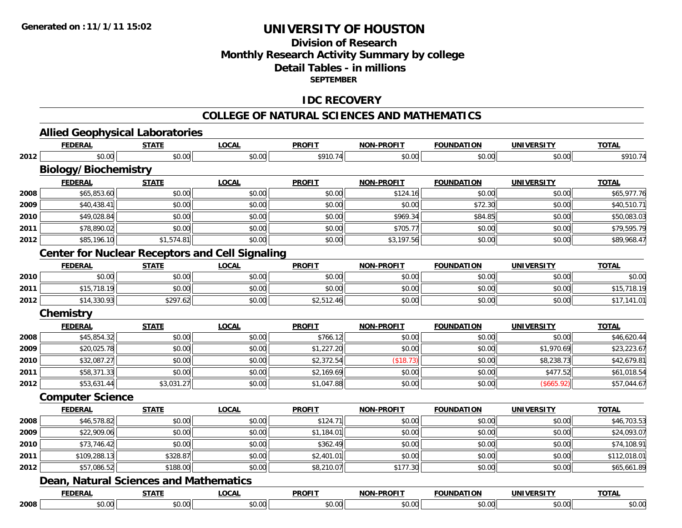## **Division of ResearchMonthly Research Activity Summary by college Detail Tables - in millions SEPTEMBER**

#### **IDC RECOVERY**

|      | <b>Allied Geophysical Laboratories</b>                 |              |              |               |                   |                   |                   |              |
|------|--------------------------------------------------------|--------------|--------------|---------------|-------------------|-------------------|-------------------|--------------|
|      | <b>FEDERAL</b>                                         | <b>STATE</b> | <b>LOCAL</b> | <b>PROFIT</b> | <b>NON-PROFIT</b> | <b>FOUNDATION</b> | <b>UNIVERSITY</b> | <b>TOTAL</b> |
| 2012 | \$0.00                                                 | \$0.00       | \$0.00       | \$910.74      | \$0.00            | \$0.00            | \$0.00            | \$910.74     |
|      | <b>Biology/Biochemistry</b>                            |              |              |               |                   |                   |                   |              |
|      | <b>FEDERAL</b>                                         | <b>STATE</b> | <b>LOCAL</b> | <b>PROFIT</b> | <b>NON-PROFIT</b> | <b>FOUNDATION</b> | <b>UNIVERSITY</b> | <b>TOTAL</b> |
| 2008 | \$65,853.60                                            | \$0.00       | \$0.00       | \$0.00        | \$124.16          | \$0.00            | \$0.00            | \$65,977.76  |
| 2009 | \$40,438.41                                            | \$0.00       | \$0.00       | \$0.00        | \$0.00            | \$72.30           | \$0.00            | \$40,510.71  |
| 2010 | \$49,028.84                                            | \$0.00       | \$0.00       | \$0.00        | \$969.34          | \$84.85           | \$0.00            | \$50,083.03  |
| 2011 | \$78,890.02                                            | \$0.00       | \$0.00       | \$0.00        | \$705.77          | \$0.00            | \$0.00            | \$79,595.79  |
| 2012 | \$85,196.10                                            | \$1,574.81   | \$0.00       | \$0.00        | \$3,197.56        | \$0.00            | \$0.00            | \$89,968.47  |
|      | <b>Center for Nuclear Receptors and Cell Signaling</b> |              |              |               |                   |                   |                   |              |
|      | <b>FEDERAL</b>                                         | <b>STATE</b> | <b>LOCAL</b> | <b>PROFIT</b> | <b>NON-PROFIT</b> | <b>FOUNDATION</b> | <b>UNIVERSITY</b> | <b>TOTAL</b> |
| 2010 | \$0.00                                                 | \$0.00       | \$0.00       | \$0.00        | \$0.00            | \$0.00            | \$0.00            | \$0.00       |
| 2011 | \$15,718.19                                            | \$0.00       | \$0.00       | \$0.00        | \$0.00            | \$0.00            | \$0.00            | \$15,718.19  |
| 2012 | \$14,330.93                                            | \$297.62     | \$0.00       | \$2,512.46    | \$0.00            | \$0.00            | \$0.00            | \$17,141.01  |
|      | <b>Chemistry</b>                                       |              |              |               |                   |                   |                   |              |
|      | <b>FEDERAL</b>                                         | <b>STATE</b> | <b>LOCAL</b> | <b>PROFIT</b> | <b>NON-PROFIT</b> | <b>FOUNDATION</b> | <b>UNIVERSITY</b> | <b>TOTAL</b> |
| 2008 | \$45,854.32                                            | \$0.00       | \$0.00       | \$766.12      | \$0.00            | \$0.00            | \$0.00            | \$46,620.44  |
| 2009 | \$20,025.78                                            | \$0.00       | \$0.00       | \$1,227.20    | \$0.00            | \$0.00            | \$1,970.69        | \$23,223.67  |
| 2010 | \$32,087.27                                            | \$0.00       | \$0.00       | \$2,372.54    | (\$18.73)         | \$0.00            | \$8,238.73        | \$42,679.81  |
| 2011 | \$58,371.33                                            | \$0.00       | \$0.00       | \$2,169.69    | \$0.00            | \$0.00            | \$477.52          | \$61,018.54  |
| 2012 | \$53,631.44                                            | \$3,031.27   | \$0.00       | \$1,047.88    | \$0.00            | \$0.00            | (\$665.92)        | \$57,044.67  |
|      | <b>Computer Science</b>                                |              |              |               |                   |                   |                   |              |
|      | <b>FEDERAL</b>                                         | <b>STATE</b> | <b>LOCAL</b> | <b>PROFIT</b> | <b>NON-PROFIT</b> | <b>FOUNDATION</b> | <b>UNIVERSITY</b> | <b>TOTAL</b> |
| 2008 | \$46,578.82                                            | \$0.00       | \$0.00       | \$124.71      | \$0.00            | \$0.00            | \$0.00            | \$46,703.53  |
| 2009 | \$22,909.06                                            | \$0.00       | \$0.00       | \$1,184.01    | \$0.00            | \$0.00            | \$0.00            | \$24,093.07  |
| 2010 | \$73,746.42                                            | \$0.00       | \$0.00       | \$362.49      | \$0.00            | \$0.00            | \$0.00            | \$74,108.91  |
| 2011 | \$109,288.13                                           | \$328.87     | \$0.00       | \$2,401.01    | \$0.00            | \$0.00            | \$0.00            | \$112,018.01 |
| 2012 | \$57,086.52                                            | \$188.00     | \$0.00       | \$8,210.07    | \$177.30          | \$0.00            | \$0.00            | \$65,661.89  |

|      | ---- | $\sim$<br>$\mathbf{m}$ | <b>DDACTT</b><br>7 N.L | -----<br>ימו<br>. . | m             | JNI  | $-22$           |
|------|------|------------------------|------------------------|---------------------|---------------|------|-----------------|
| 2008 |      | $\sim$<br>v.vv         | $\sim$<br>.            | ററ<br>UUI !         | $\sim$ $\sim$ | v.vv | $\sim$<br>vv.vv |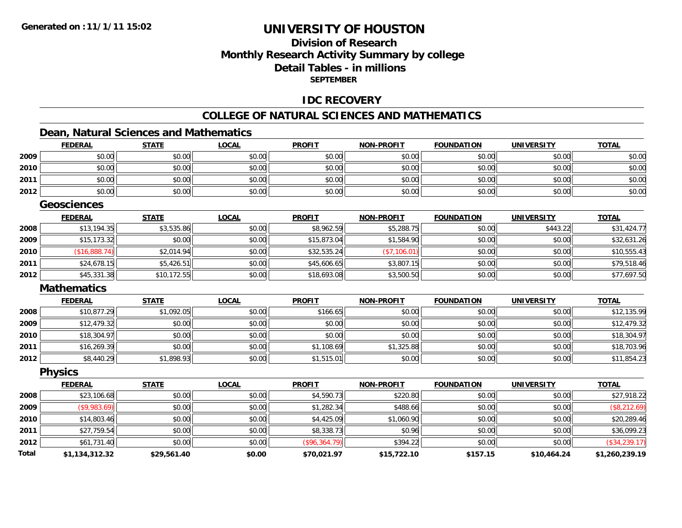## **Division of ResearchMonthly Research Activity Summary by college Detail Tables - in millionsSEPTEMBER**

#### **IDC RECOVERY**

# **COLLEGE OF NATURAL SCIENCES AND MATHEMATICS**

## **Dean, Natural Sciences and Mathematics**

|              | <b>FEDERAL</b>     | <b>STATE</b> | <b>LOCAL</b> | <b>PROFIT</b> | <b>NON-PROFIT</b> | <b>FOUNDATION</b> | <b>UNIVERSITY</b> | <b>TOTAL</b>   |
|--------------|--------------------|--------------|--------------|---------------|-------------------|-------------------|-------------------|----------------|
| 2009         | \$0.00             | \$0.00       | \$0.00       | \$0.00        | \$0.00            | \$0.00            | \$0.00            | \$0.00         |
| 2010         | \$0.00             | \$0.00       | \$0.00       | \$0.00        | \$0.00            | \$0.00            | \$0.00            | \$0.00         |
| 2011         | \$0.00             | \$0.00       | \$0.00       | \$0.00        | \$0.00            | \$0.00            | \$0.00            | \$0.00         |
| 2012         | \$0.00             | \$0.00       | \$0.00       | \$0.00        | \$0.00            | \$0.00            | \$0.00            | \$0.00         |
|              | <b>Geosciences</b> |              |              |               |                   |                   |                   |                |
|              | <b>FEDERAL</b>     | <b>STATE</b> | <b>LOCAL</b> | <b>PROFIT</b> | <b>NON-PROFIT</b> | <b>FOUNDATION</b> | <b>UNIVERSITY</b> | <b>TOTAL</b>   |
| 2008         | \$13,194.35        | \$3,535.86   | \$0.00       | \$8,962.59    | \$5,288.75        | \$0.00            | \$443.22          | \$31,424.77    |
| 2009         | \$15,173.32        | \$0.00       | \$0.00       | \$15,873.04   | \$1,584.90        | \$0.00            | \$0.00            | \$32,631.26    |
| 2010         | (\$16,888.74)      | \$2,014.94   | \$0.00       | \$32,535.24   | (\$7,106.01)      | \$0.00            | \$0.00            | \$10,555.43    |
| 2011         | \$24,678.15        | \$5,426.51   | \$0.00       | \$45,606.65   | \$3,807.15        | \$0.00            | \$0.00            | \$79,518.46    |
| 2012         | \$45,331.38        | \$10,172.55  | \$0.00       | \$18,693.08   | \$3,500.50        | \$0.00            | \$0.00            | \$77,697.50    |
|              | <b>Mathematics</b> |              |              |               |                   |                   |                   |                |
|              | <b>FEDERAL</b>     | <b>STATE</b> | <b>LOCAL</b> | <b>PROFIT</b> | <b>NON-PROFIT</b> | <b>FOUNDATION</b> | <b>UNIVERSITY</b> | <b>TOTAL</b>   |
| 2008         | \$10,877.29        | \$1,092.05   | \$0.00       | \$166.65      | \$0.00            | \$0.00            | \$0.00            | \$12,135.99    |
| 2009         | \$12,479.32        | \$0.00       | \$0.00       | \$0.00        | \$0.00            | \$0.00            | \$0.00            | \$12,479.32    |
| 2010         | \$18,304.97        | \$0.00       | \$0.00       | \$0.00        | \$0.00            | \$0.00            | \$0.00            | \$18,304.97    |
| 2011         | \$16,269.39        | \$0.00       | \$0.00       | \$1,108.69    | \$1,325.88        | \$0.00            | \$0.00            | \$18,703.96    |
| 2012         | \$8,440.29         | \$1,898.93   | \$0.00       | \$1,515.01    | \$0.00            | \$0.00            | \$0.00            | \$11,854.23    |
|              | <b>Physics</b>     |              |              |               |                   |                   |                   |                |
|              | <b>FEDERAL</b>     | <b>STATE</b> | <b>LOCAL</b> | <b>PROFIT</b> | <b>NON-PROFIT</b> | <b>FOUNDATION</b> | <b>UNIVERSITY</b> | <b>TOTAL</b>   |
| 2008         | \$23,106.68        | \$0.00       | \$0.00       | \$4,590.73    | \$220.80          | \$0.00            | \$0.00            | \$27,918.22    |
| 2009         | $($ \$9,983.69)    | \$0.00       | \$0.00       | \$1,282.34    | \$488.66          | \$0.00            | \$0.00            | (\$8,212.69)   |
| 2010         | \$14,803.46        | \$0.00       | \$0.00       | \$4,425.09    | \$1,060.90        | \$0.00            | \$0.00            | \$20,289.46    |
| 2011         | \$27,759.54        | \$0.00       | \$0.00       | \$8,338.73    | \$0.96            | \$0.00            | \$0.00            | \$36,099.23    |
| 2012         | \$61,731.40        | \$0.00       | \$0.00       | (\$96,364.79) | \$394.22          | \$0.00            | \$0.00            | (\$34, 239.17) |
| <b>Total</b> | \$1,134,312.32     | \$29,561.40  | \$0.00       | \$70,021.97   | \$15,722.10       | \$157.15          | \$10,464.24       | \$1,260,239.19 |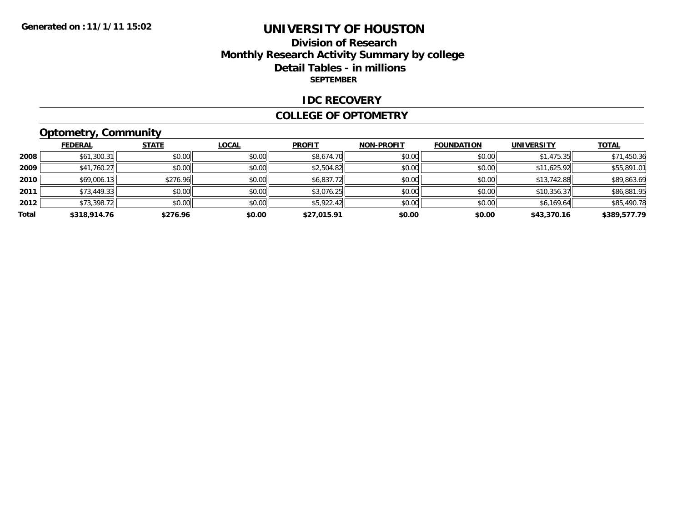## **Division of ResearchMonthly Research Activity Summary by college Detail Tables - in millions SEPTEMBER**

#### **IDC RECOVERY**

#### **COLLEGE OF OPTOMETRY**

# **Optometry, Community**

|       | <b>FEDERAL</b> | <b>STATE</b> | <b>LOCAL</b> | <b>PROFIT</b> | <b>NON-PROFIT</b> | <b>FOUNDATION</b> | <b>UNIVERSITY</b> | <b>TOTAL</b> |
|-------|----------------|--------------|--------------|---------------|-------------------|-------------------|-------------------|--------------|
| 2008  | \$61,300.31    | \$0.00       | \$0.00       | \$8,674.70    | \$0.00            | \$0.00            | \$1,475.35        | \$71,450.36  |
| 2009  | \$41,760.27    | \$0.00       | \$0.00       | \$2,504.82    | \$0.00            | \$0.00            | \$11,625.92       | \$55,891.01  |
| 2010  | \$69,006.13    | \$276.96     | \$0.00       | \$6,837.72    | \$0.00            | \$0.00            | \$13,742.88       | \$89,863.69  |
| 2011  | \$73,449.33    | \$0.00       | \$0.00       | \$3,076.25    | \$0.00            | \$0.00            | \$10,356.37       | \$86,881.95  |
| 2012  | \$73,398.72    | \$0.00       | \$0.00       | \$5,922.42    | \$0.00            | \$0.00            | \$6,169.64        | \$85,490.78  |
| Total | \$318,914.76   | \$276.96     | \$0.00       | \$27,015.91   | \$0.00            | \$0.00            | \$43,370.16       | \$389,577.79 |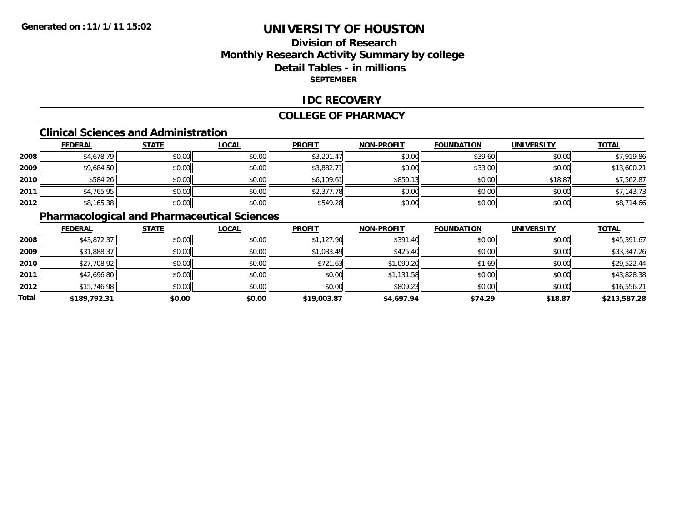## **Division of ResearchMonthly Research Activity Summary by college Detail Tables - in millions SEPTEMBER**

#### **IDC RECOVERY**

#### **COLLEGE OF PHARMACY**

#### **Clinical Sciences and Administration**

|      | <b>FEDERAL</b> | <b>STATE</b> | <b>LOCAL</b> | <b>PROFIT</b> | <b>NON-PROFIT</b> | <b>FOUNDATION</b> | <b>UNIVERSITY</b> | <b>TOTAL</b> |
|------|----------------|--------------|--------------|---------------|-------------------|-------------------|-------------------|--------------|
| 2008 | \$4,678.79     | \$0.00       | \$0.00       | \$3,201.47    | \$0.00            | \$39.60           | \$0.00            | \$7,919.86   |
| 2009 | \$9,684.50     | \$0.00       | \$0.00       | \$3,882.71    | \$0.00            | \$33.00           | \$0.00            | \$13,600.21  |
| 2010 | \$584.26       | \$0.00       | \$0.00       | \$6,109.61    | \$850.13          | \$0.00            | \$18.87           | \$7,562.87   |
| 2011 | \$4,765.95     | \$0.00       | \$0.00       | \$2,377.78    | \$0.00            | \$0.00            | \$0.00            | \$7,143.73   |
| 2012 | \$8,165.38     | \$0.00       | \$0.00       | \$549.28      | \$0.00            | \$0.00            | \$0.00            | \$8,714.66   |

# **Pharmacological and Pharmaceutical Sciences**

|       | <b>FEDERAL</b> | <b>STATE</b> | <b>LOCAL</b> | <b>PROFIT</b> | <b>NON-PROFIT</b> | <b>FOUNDATION</b> | <b>UNIVERSITY</b> | <b>TOTAL</b> |
|-------|----------------|--------------|--------------|---------------|-------------------|-------------------|-------------------|--------------|
| 2008  | \$43,872.37    | \$0.00       | \$0.00       | \$1,127.90    | \$391.40          | \$0.00            | \$0.00            | \$45,391.67  |
| 2009  | \$31,888.37    | \$0.00       | \$0.00       | \$1,033.49    | \$425.40          | \$0.00            | \$0.00            | \$33,347.26  |
| 2010  | \$27,708.92    | \$0.00       | \$0.00       | \$721.63      | \$1,090.20        | \$1.69            | \$0.00            | \$29,522.44  |
| 2011  | \$42,696.80    | \$0.00       | \$0.00       | \$0.00        | \$1,131.58        | \$0.00            | \$0.00            | \$43,828.38  |
| 2012  | \$15,746.98    | \$0.00       | \$0.00       | \$0.00        | \$809.23          | \$0.00            | \$0.00            | \$16,556.21  |
| Total | \$189,792.31   | \$0.00       | \$0.00       | \$19,003.87   | \$4,697.94        | \$74.29           | \$18.87           | \$213,587.28 |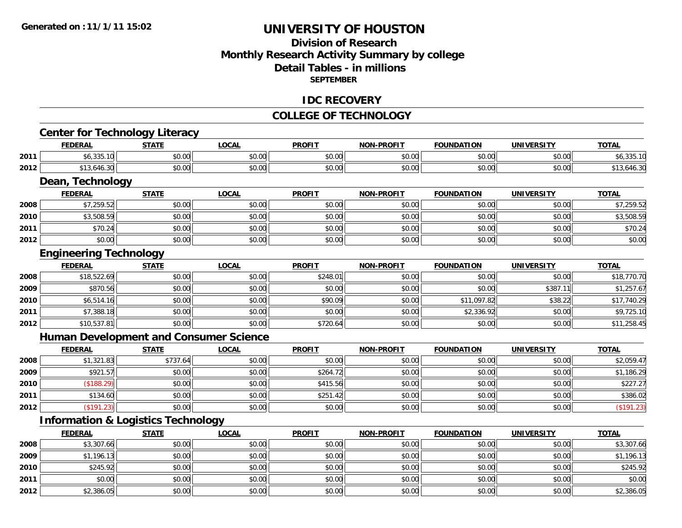## **Division of ResearchMonthly Research Activity Summary by college Detail Tables - in millionsSEPTEMBER**

#### **IDC RECOVERY**

#### **COLLEGE OF TECHNOLOGY**

<u> 1980 - Johann Barn, amerikan bestemann eta biztanleria (h. 1980).</u>

# **Center for Technology Literacy**

|      | <b>FEDERAL</b>       | CTATE<br><u>эілі.</u> | LOCAL              | <b>PROFIT</b>                 | <b>NON-PROFIT</b> | <b>FOUNDATION</b> | <b>UNIVERSITY</b>  | <b>TOTAL</b> |
|------|----------------------|-----------------------|--------------------|-------------------------------|-------------------|-------------------|--------------------|--------------|
| 2011 | $\sim$<br>\$0,333.IU | ሶስ ሰስ<br>טט.טע        | $\sim$ 00<br>vu.vu | $\sim$ $\sim$<br>JU.UU        | 0000<br>vu.uu     | 60.00<br>DU.UU.   | $\sim$ 00<br>vu.vu |              |
| 2012 | $1.3.0 -$<br>70.JL   | 0000<br>JU.UU         | 0.00<br>vu.vu      | $\sim$ $\sim$ $\sim$<br>JU.UU | 0000<br>vv.vv     | 0000              | 0000<br>PU.UU      | $+0.1$       |

<u> 1989 - Johann Stoff, deutscher Stoffen und der Stoffen und der Stoffen und der Stoffen und der Stoffen und de</u>

#### **Dean, Technology**

|      | <b>FEDERAL</b> | <b>STATE</b> | <b>LOCAL</b> | <b>PROFIT</b> | <b>NON-PROFIT</b> | <b>FOUNDATION</b> | <b>UNIVERSITY</b> | <b>TOTAL</b> |
|------|----------------|--------------|--------------|---------------|-------------------|-------------------|-------------------|--------------|
| 2008 | \$7,259.52     | \$0.00       | \$0.00       | \$0.00        | \$0.00            | \$0.00            | \$0.00            | .259.52      |
| 2010 | \$3,508.59     | \$0.00       | \$0.00       | \$0.00        | \$0.00            | \$0.00            | \$0.00            | \$3,508.59   |
| 2011 | \$70.24        | \$0.00       | \$0.00       | \$0.00        | \$0.00            | \$0.00            | \$0.00            | \$70.24      |
| 2012 | \$0.00         | \$0.00       | \$0.00       | \$0.00        | \$0.00            | \$0.00            | \$0.00            | \$0.00       |

## **Engineering Technology**

|      | <b>FEDERAL</b> | <b>STATE</b> | <b>LOCAL</b> | <b>PROFIT</b> | <b>NON-PROFIT</b> | <b>FOUNDATION</b> | <b>UNIVERSITY</b> | <b>TOTAL</b> |
|------|----------------|--------------|--------------|---------------|-------------------|-------------------|-------------------|--------------|
| 2008 | \$18,522.69    | \$0.00       | \$0.00       | \$248.01      | \$0.00            | \$0.00            | \$0.00            | \$18,770.70  |
| 2009 | \$870.56       | \$0.00       | \$0.00       | \$0.00        | \$0.00            | \$0.00            | \$387.            | \$1,257.67   |
| 2010 | \$6,514.16     | \$0.00       | \$0.00       | \$90.09       | \$0.00            | \$11,097.82       | \$38.22           | \$17,740.29  |
| 2011 | \$7,388.18     | \$0.00       | \$0.00       | \$0.00        | \$0.00            | \$2,336.92        | \$0.00            | \$9,725.10   |
| 2012 | \$10,537.81    | \$0.00       | \$0.00       | \$720.64      | \$0.00            | \$0.00            | \$0.00            | \$11,258.45  |

## **Human Development and Consumer Science**

|      | <b>FEDERAL</b> | <b>STATE</b> | <b>LOCAL</b> | <b>PROFIT</b> | <b>NON-PROFIT</b> | <b>FOUNDATION</b> | <b>UNIVERSITY</b> | <b>TOTAL</b> |
|------|----------------|--------------|--------------|---------------|-------------------|-------------------|-------------------|--------------|
| 2008 | \$1,321.83     | \$737.64     | \$0.00       | \$0.00        | \$0.00            | \$0.00            | \$0.00            | \$2,059.47   |
| 2009 | \$921.57       | \$0.00       | \$0.00       | \$264.72      | \$0.00            | \$0.00            | \$0.00            | \$1,186.29   |
| 2010 | \$188.29       | \$0.00       | \$0.00       | \$415.56      | \$0.00            | \$0.00            | \$0.00            | \$227.27     |
| 2011 | \$134.60       | \$0.00       | \$0.00       | \$251.42      | \$0.00            | \$0.00            | \$0.00            | \$386.02     |
| 2012 | \$191.23       | \$0.00       | \$0.00       | \$0.00        | \$0.00            | \$0.00            | \$0.00            | (\$191.23)   |

# **Information & Logistics Technology**

|      | <b>FEDERAL</b> | <b>STATE</b> | <b>LOCAL</b> | <b>PROFIT</b> | <b>NON-PROFIT</b> | <b>FOUNDATION</b> | <b>UNIVERSITY</b> | <b>TOTAL</b> |
|------|----------------|--------------|--------------|---------------|-------------------|-------------------|-------------------|--------------|
| 2008 | \$3,307.66     | \$0.00       | \$0.00       | \$0.00        | \$0.00            | \$0.00            | \$0.00            | \$3,307.66   |
| 2009 | \$1,196.13     | \$0.00       | \$0.00       | \$0.00        | \$0.00            | \$0.00            | \$0.00            | \$1,196.13   |
| 2010 | \$245.92       | \$0.00       | \$0.00       | \$0.00        | \$0.00            | \$0.00            | \$0.00            | \$245.92     |
| 2011 | \$0.00         | \$0.00       | \$0.00       | \$0.00        | \$0.00            | \$0.00            | \$0.00            | \$0.00       |
| 2012 | \$2,386.05     | \$0.00       | \$0.00       | \$0.00        | \$0.00            | \$0.00            | \$0.00            | \$2,386.05   |

<u> 1980 - Johann Barbara, martxa alemaniar amerikan basar da a</u>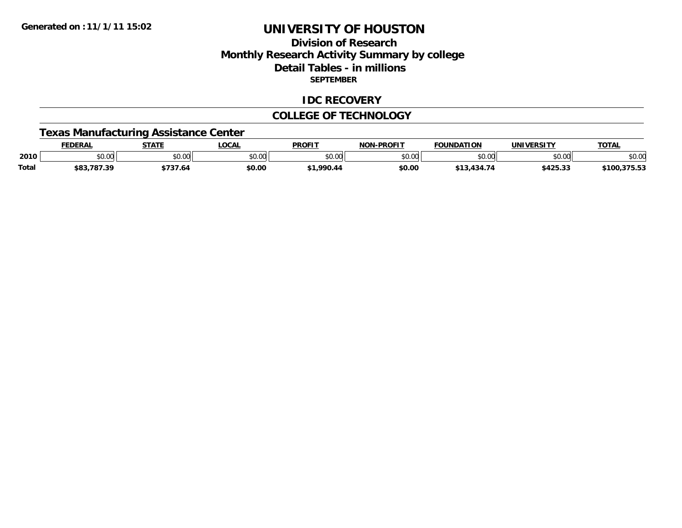## **Division of ResearchMonthly Research Activity Summary by college Detail Tables - in millions SEPTEMBER**

#### **IDC RECOVERY**

#### **COLLEGE OF TECHNOLOGY**

# **Texas Manufacturing Assistance Center**

|              | <b>FEDERAL</b> | <b>STATE</b> | <b>LOCA.</b> | <b>PROFIT</b> | <b>NON-PROFIT</b> | <b>FOUNDATION</b> | <b>UNIVERSITY</b> | <b>TOTAL</b>            |
|--------------|----------------|--------------|--------------|---------------|-------------------|-------------------|-------------------|-------------------------|
| 2010         | ሶስ ሰሰ<br>טט.טע | \$0.00       | nn na<br>,uu | \$0.00        | ልስ ሀህ<br>DU.UU    | \$0.00            | ልስ ሰሰ<br>JU.UU    | ተል ስራ<br>SU.UU          |
| <b>Total</b> | \$83,787.39    | '37.64       | \$0.00       | \$1.990.44    | \$0.00            | Y 434 74          | \$425.33          | .970.07<br>\$100,375.5. |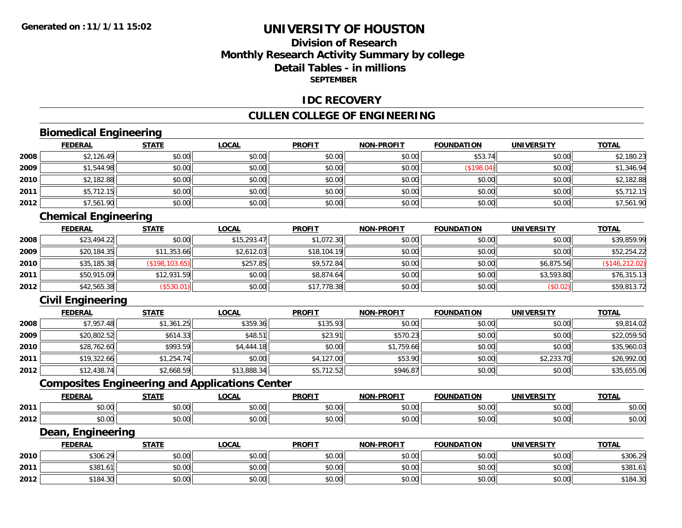## **Division of ResearchMonthly Research Activity Summary by college Detail Tables - in millionsSEPTEMBER**

#### **IDC RECOVERY**

#### **CULLEN COLLEGE OF ENGINEERING**

# **Biomedical Engineering**

|      | <b>FEDERAL</b> | <b>STATE</b> | <b>LOCAL</b> | <b>PROFIT</b> | <b>NON-PROFIT</b> | <b>FOUNDATION</b> | <b>UNIVERSITY</b> | <u>TOTAL</u> |
|------|----------------|--------------|--------------|---------------|-------------------|-------------------|-------------------|--------------|
| 2008 | \$2,126.49     | \$0.00       | \$0.00       | \$0.00        | \$0.00            | \$53.74           | \$0.00            | \$2,180.23   |
| 2009 | \$1,544.98     | \$0.00       | \$0.00       | \$0.00        | \$0.00            | (\$198.04)        | \$0.00            | \$1,346.94   |
| 2010 | \$2,182.88     | \$0.00       | \$0.00       | \$0.00        | \$0.00            | \$0.00            | \$0.00            | \$2,182.88   |
| 2011 | \$5,712.15     | \$0.00       | \$0.00       | \$0.00        | \$0.00            | \$0.00            | \$0.00            | \$5,712.15   |
| 2012 | \$7,561.90     | \$0.00       | \$0.00       | \$0.00        | \$0.00            | \$0.00            | \$0.00            | \$7,561.90   |

<u> 1980 - Andrea Station, amerikan bestean ingilang pada sebagai pada sebagai pada sebagai pada sebagai pada se</u>

# **Chemical Engineering**

|      | <b>FEDERAL</b> | <b>STATE</b>          | <u>LOCAL</u> | <b>PROFIT</b> | <b>NON-PROFIT</b> | <b>FOUNDATION</b> | <b>UNIVERSITY</b> | <b>TOTAL</b>    |
|------|----------------|-----------------------|--------------|---------------|-------------------|-------------------|-------------------|-----------------|
| 2008 | \$23,494.22    | \$0.00                | \$15,293.47  | \$1,072.30    | \$0.00            | \$0.00            | \$0.00            | \$39,859.99     |
| 2009 | \$20,184.35    | \$11,353.66           | \$2,612.03   | \$18,104.19   | \$0.00            | \$0.00            | \$0.00            | \$52,254.22     |
| 2010 | \$35,185.38    | $($ \$198,103.65) $ $ | \$257.85     | \$9,572.84    | \$0.00            | \$0.00            | \$6,875.56        | (\$146, 212.02) |
| 2011 | \$50,915.09    | \$12,931.59           | \$0.00       | \$8,874.64    | \$0.00            | \$0.00            | \$3,593.80        | \$76,315.13     |
| 2012 | \$42,565.38    | (\$530.01)            | \$0.00       | \$17,778.38   | \$0.00            | \$0.00            | (\$0.02)          | \$59,813.72     |

# **Civil Engineering**

|      | <b>FEDERAL</b> | <b>STATE</b> | <b>LOCAL</b> | <b>PROFIT</b> | <b>NON-PROFIT</b> | <b>FOUNDATION</b> | <b>UNIVERSITY</b> | <b>TOTAL</b> |
|------|----------------|--------------|--------------|---------------|-------------------|-------------------|-------------------|--------------|
| 2008 | \$7,957.48     | \$1,361.25   | \$359.36     | \$135.93      | \$0.00            | \$0.00            | \$0.00            | \$9,814.02   |
| 2009 | \$20,802.52    | \$614.33     | \$48.51      | \$23.91       | \$570.23          | \$0.00            | \$0.00            | \$22,059.50  |
| 2010 | \$28,762.60    | \$993.59     | \$4,444.18   | \$0.00        | \$1,759.66        | \$0.00            | \$0.00            | \$35,960.03  |
| 2011 | \$19,322.66    | \$1,254.74   | \$0.00       | \$4,127.00    | \$53.90           | \$0.00            | \$2,233.70        | \$26,992.00  |
| 2012 | \$12,438.74    | \$2,668.59   | \$13,888.34  | \$5,712.52    | \$946.87          | \$0.00            | \$0.00            | \$35,655.06  |

# **Composites Engineering and Applications Center**

|      | <b>FEDERAL</b>        | <b>STATI</b>  | $\sum$<br>'ULA                | <b>PROFIT</b>                        | NON-PROFIT    | ΓΤΩΝ<br><b>CAUSINAT</b> | UNIVERSITY     | <b>TAT.</b><br>UIAI    |
|------|-----------------------|---------------|-------------------------------|--------------------------------------|---------------|-------------------------|----------------|------------------------|
| 2011 | $\sim$ $\sim$<br>ט.טי | ტი იი<br>ט.ט  | $\sim$ $\sim$<br><b>JU.UU</b> | $\sim$ $\sim$ $\sim$<br>υU.          | 0000<br>vv.vv | 0 <sub>n</sub>          | 0.001<br>PU.UU | $\cdots$<br>D.U        |
| 2012 | 0000<br>PU.UU         | $\sim$<br>ט.ט | $\sim$ 00<br>JU.UU            | $\overline{a}$ $\overline{a}$<br>JU. | 0000<br>JU.UU | $\sim$ 00               | 0000<br>PO.OO  | $\sim$ $\sim$<br>DU.UC |

<u> 1989 - Johann Stoff, deutscher Stoffen und der Stoffen und der Stoffen und der Stoffen und der Stoffen und der</u>

#### **Dean, Engineering**

|      | <b>FEDERAL</b>     | <b>STATE</b> | <u>LOCAL</u>  | <b>PROFIT</b> | <b>NON-PROFIT</b> | <b>FOUNDATION</b> | <b>UNIVERSITY</b> | <b>TOTAL</b> |
|------|--------------------|--------------|---------------|---------------|-------------------|-------------------|-------------------|--------------|
| 2010 | \$306.29<br>$\sim$ | \$0.00       | 0000<br>DU.UG | \$0.00        | \$0.00            | \$0.00            | \$0.00            | \$306.29     |
| 2011 | \$381<br>$1.0$ .   | \$0.00       | \$0.00        | \$0.00        | \$0.00            | \$0.00            | \$0.00            | \$381.61     |
| 2012 | \$184.30           | \$0.00       | \$0.00        | \$0.00        | \$0.00            | \$0.00            | \$0.00            | \$184.30     |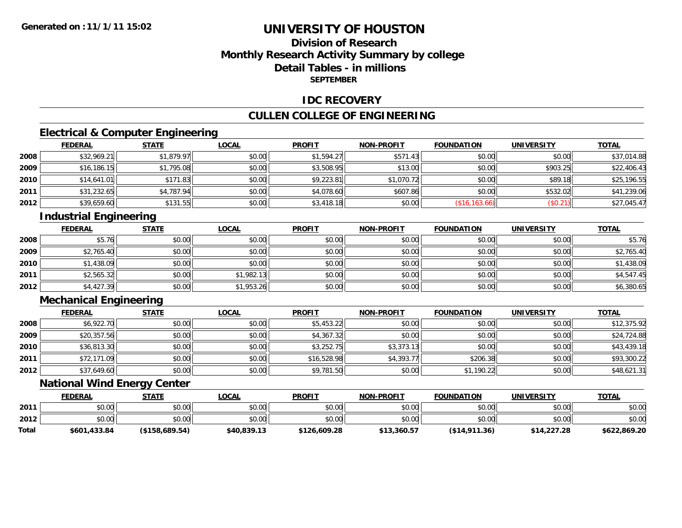## **Division of ResearchMonthly Research Activity Summary by college Detail Tables - in millionsSEPTEMBER**

#### **IDC RECOVERY**

#### **CULLEN COLLEGE OF ENGINEERING**

# **Electrical & Computer Engineering**

|      | <b>FEDERAL</b> | <b>STATE</b> | <b>LOCAL</b> | <b>PROFIT</b> | <b>NON-PROFIT</b> | <b>FOUNDATION</b> | <b>UNIVERSITY</b> | <b>TOTAL</b> |
|------|----------------|--------------|--------------|---------------|-------------------|-------------------|-------------------|--------------|
| 2008 | \$32,969.21    | \$1,879.97   | \$0.00       | \$1,594.27    | \$571.43          | \$0.00            | \$0.00            | \$37,014.88  |
| 2009 | \$16,186.15    | \$1,795.08   | \$0.00       | \$3,508.95    | \$13.00           | \$0.00            | \$903.25          | \$22,406.43  |
| 2010 | \$14,641.01    | \$171.83     | \$0.00       | \$9,223.81    | \$1,070.72        | \$0.00            | \$89.18           | \$25,196.55  |
| 2011 | \$31,232.65    | \$4,787.94   | \$0.00       | \$4,078.60    | \$607.86          | \$0.00            | \$532.02          | \$41,239.06  |
| 2012 | \$39,659.60    | \$131.55     | \$0.00       | \$3,418.18    | \$0.00            | (\$16, 163.66)    | (S0.21)           | \$27,045.47  |

# **Industrial Engineering**

|      | <u>FEDERAL</u> | <b>STATE</b> | <b>LOCAL</b> | <b>PROFIT</b> | <b>NON-PROFIT</b> | <b>FOUNDATION</b> | <b>UNIVERSITY</b> | <b>TOTAL</b> |
|------|----------------|--------------|--------------|---------------|-------------------|-------------------|-------------------|--------------|
| 2008 | \$5.76         | \$0.00       | \$0.00       | \$0.00        | \$0.00            | \$0.00            | \$0.00            | \$5.76       |
| 2009 | \$2,765.40     | \$0.00       | \$0.00       | \$0.00        | \$0.00            | \$0.00            | \$0.00            | \$2,765.40   |
| 2010 | \$1,438.09     | \$0.00       | \$0.00       | \$0.00        | \$0.00            | \$0.00            | \$0.00            | \$1,438.09   |
| 2011 | \$2,565.32     | \$0.00       | \$1,982.13   | \$0.00        | \$0.00            | \$0.00            | \$0.00            | \$4,547.45   |
| 2012 | \$4,427.39     | \$0.00       | \$1,953.26   | \$0.00        | \$0.00            | \$0.00            | \$0.00            | \$6,380.65   |

# **Mechanical Engineering**

|      | <b>FEDERAL</b> | <b>STATE</b> | <b>LOCAL</b> | <b>PROFIT</b> | <b>NON-PROFIT</b> | <b>FOUNDATION</b> | <b>UNIVERSITY</b> | <b>TOTAL</b> |
|------|----------------|--------------|--------------|---------------|-------------------|-------------------|-------------------|--------------|
| 2008 | \$6,922.70     | \$0.00       | \$0.00       | \$5,453.22    | \$0.00            | \$0.00            | \$0.00            | \$12,375.92  |
| 2009 | \$20,357.56    | \$0.00       | \$0.00       | \$4,367.32    | \$0.00            | \$0.00            | \$0.00            | \$24,724.88  |
| 2010 | \$36,813.30    | \$0.00       | \$0.00       | \$3,252.75    | \$3,373.13        | \$0.00            | \$0.00            | \$43,439.18  |
| 2011 | \$72,171.09    | \$0.00       | \$0.00       | \$16,528.98   | \$4,393.77        | \$206.38          | \$0.00            | \$93,300.22  |
| 2012 | \$37,649.60    | \$0.00       | \$0.00       | \$9,781.50    | \$0.00            | \$1,190.22        | \$0.00            | \$48,621.31  |

#### **National Wind Energy Center**

|       | <b>FEDERAL</b> | <u>STATE</u>   | <u>LOCAL</u> | <b>PROFIT</b> | <b>NON-PROFIT</b> | <b>FOUNDATION</b> | <b>UNIVERSITY</b> | <b>TOTAL</b> |
|-------|----------------|----------------|--------------|---------------|-------------------|-------------------|-------------------|--------------|
| 2011  | \$0.00         | \$0.00         | \$0.00       | \$0.00        | \$0.00            | \$0.00            | \$0.00            | \$0.00       |
| 2012  | \$0.00         | \$0.00         | \$0.00       | \$0.00        | \$0.00            | \$0.00            | \$0.00            | \$0.00       |
| Total | \$601,433.84   | (\$158,689.54) | \$40,839.13  | \$126,609.28  | \$13,360.57       | ( \$14, 911.36)   | \$14,227.28       | \$622,869.20 |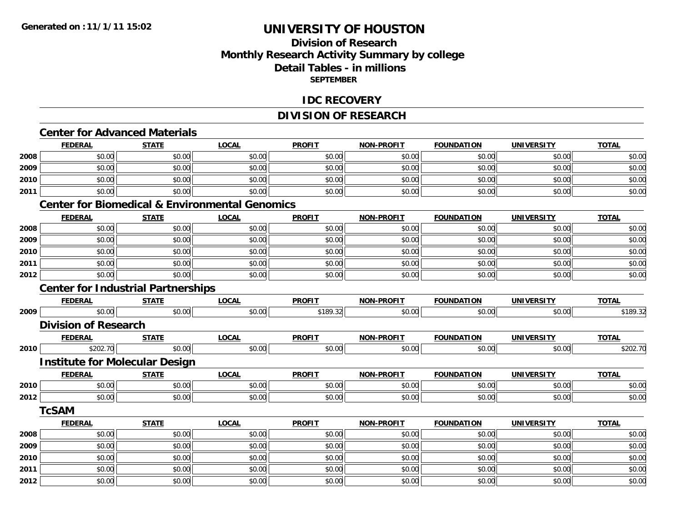## **Division of ResearchMonthly Research Activity Summary by college Detail Tables - in millions SEPTEMBER**

#### **IDC RECOVERY**

#### **DIVISION OF RESEARCH**

# **Center for Advanced Materials**

|      | <b>FEDERAL</b>                                            | <b>STATE</b> | <b>LOCAL</b> | <b>PROFIT</b> | <b>NON-PROFIT</b> | <b>FOUNDATION</b> | <b>UNIVERSITY</b> | <b>TOTAL</b> |
|------|-----------------------------------------------------------|--------------|--------------|---------------|-------------------|-------------------|-------------------|--------------|
| 2008 | \$0.00                                                    | \$0.00       | \$0.00       | \$0.00        | \$0.00            | \$0.00            | \$0.00            | \$0.00       |
| 2009 | \$0.00                                                    | \$0.00       | \$0.00       | \$0.00        | \$0.00            | \$0.00            | \$0.00            | \$0.00       |
| 2010 | \$0.00                                                    | \$0.00       | \$0.00       | \$0.00        | \$0.00            | \$0.00            | \$0.00            | \$0.00       |
| 2011 | \$0.00                                                    | \$0.00       | \$0.00       | \$0.00        | \$0.00            | \$0.00            | \$0.00            | \$0.00       |
|      | <b>Center for Biomedical &amp; Environmental Genomics</b> |              |              |               |                   |                   |                   |              |
|      | <b>FEDERAL</b>                                            | <b>STATE</b> | <b>LOCAL</b> | <b>PROFIT</b> | <b>NON-PROFIT</b> | <b>FOUNDATION</b> | <b>UNIVERSITY</b> | <b>TOTAL</b> |
| 2008 | \$0.00                                                    | \$0.00       | \$0.00       | \$0.00        | \$0.00            | \$0.00            | \$0.00            | \$0.00       |
| 2009 | \$0.00                                                    | \$0.00       | \$0.00       | \$0.00        | \$0.00            | \$0.00            | \$0.00            | \$0.00       |
| 2010 | \$0.00                                                    | \$0.00       | \$0.00       | \$0.00        | \$0.00            | \$0.00            | \$0.00            | \$0.00       |
| 2011 | \$0.00                                                    | \$0.00       | \$0.00       | \$0.00        | \$0.00            | \$0.00            | \$0.00            | \$0.00       |
| 2012 | \$0.00                                                    | \$0.00       | \$0.00       | \$0.00        | \$0.00            | \$0.00            | \$0.00            | \$0.00       |
|      | <b>Center for Industrial Partnerships</b>                 |              |              |               |                   |                   |                   |              |
|      | <b>FEDERAL</b>                                            | <b>STATE</b> | <b>LOCAL</b> | <b>PROFIT</b> | <b>NON-PROFIT</b> | <b>FOUNDATION</b> | <b>UNIVERSITY</b> | <b>TOTAL</b> |
| 2009 | \$0.00                                                    | \$0.00       | \$0.00       | \$189.32      | \$0.00            | \$0.00            | \$0.00            | \$189.32     |
|      | <b>Division of Research</b>                               |              |              |               |                   |                   |                   |              |
|      | <b>FEDERAL</b>                                            | <b>STATE</b> | <b>LOCAL</b> | <b>PROFIT</b> | <b>NON-PROFIT</b> | <b>FOUNDATION</b> | <b>UNIVERSITY</b> | <b>TOTAL</b> |
| 2010 | \$202.70                                                  | \$0.00       | \$0.00       | \$0.00        | \$0.00            | \$0.00            | \$0.00            | \$202.70     |
|      | <b>Institute for Molecular Design</b>                     |              |              |               |                   |                   |                   |              |
|      | <b>FEDERAL</b>                                            | <b>STATE</b> | <b>LOCAL</b> | <b>PROFIT</b> | <b>NON-PROFIT</b> | <b>FOUNDATION</b> | <b>UNIVERSITY</b> | <b>TOTAL</b> |
| 2010 | \$0.00                                                    | \$0.00       | \$0.00       | \$0.00        | \$0.00            | \$0.00            | \$0.00            | \$0.00       |
| 2012 | \$0.00                                                    | \$0.00       | \$0.00       | \$0.00        | \$0.00            | \$0.00            | \$0.00            | \$0.00       |
|      | <b>TCSAM</b>                                              |              |              |               |                   |                   |                   |              |
|      | <b>FEDERAL</b>                                            | <b>STATE</b> | <b>LOCAL</b> | <b>PROFIT</b> | <b>NON-PROFIT</b> | <b>FOUNDATION</b> | <b>UNIVERSITY</b> | <b>TOTAL</b> |
| 2008 | \$0.00                                                    | \$0.00       | \$0.00       | \$0.00        | \$0.00            | \$0.00            | \$0.00            | \$0.00       |
| 2009 | \$0.00                                                    | \$0.00       | \$0.00       | \$0.00        | \$0.00            | \$0.00            | \$0.00            | \$0.00       |
| 2010 | \$0.00                                                    | \$0.00       | \$0.00       | \$0.00        | \$0.00            | \$0.00            | \$0.00            | \$0.00       |
| 2011 | \$0.00                                                    | \$0.00       | \$0.00       | \$0.00        | \$0.00            | \$0.00            | \$0.00            | \$0.00       |
| 2012 | \$0.00                                                    | \$0.00       | \$0.00       | \$0.00        | \$0.00            | \$0.00            | \$0.00            | \$0.00       |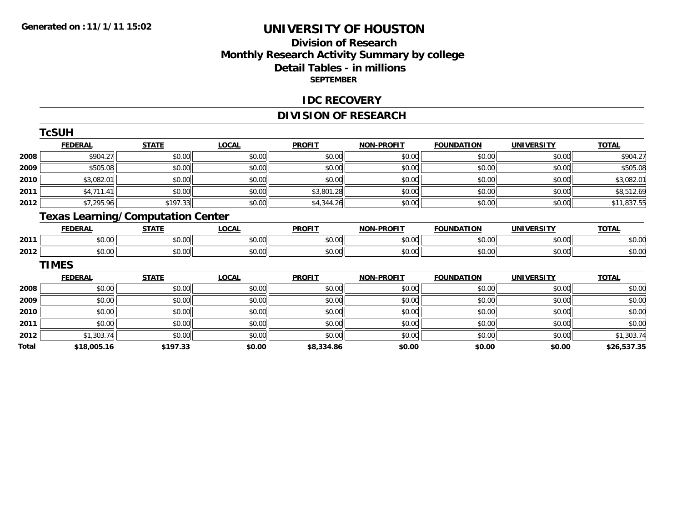## **Division of ResearchMonthly Research Activity Summary by college Detail Tables - in millions SEPTEMBER**

#### **IDC RECOVERY**

# **DIVISION OF RESEARCH**

|              | <b>TcSUH</b>   |                                          |              |               |                   |                   |                   |              |
|--------------|----------------|------------------------------------------|--------------|---------------|-------------------|-------------------|-------------------|--------------|
|              | <b>FEDERAL</b> | <b>STATE</b>                             | <b>LOCAL</b> | <b>PROFIT</b> | <b>NON-PROFIT</b> | <b>FOUNDATION</b> | <b>UNIVERSITY</b> | <b>TOTAL</b> |
| 2008         | \$904.27       | \$0.00                                   | \$0.00       | \$0.00        | \$0.00            | \$0.00            | \$0.00            | \$904.27     |
| 2009         | \$505.08       | \$0.00                                   | \$0.00       | \$0.00        | \$0.00            | \$0.00            | \$0.00            | \$505.08     |
| 2010         | \$3,082.01     | \$0.00                                   | \$0.00       | \$0.00        | \$0.00            | \$0.00            | \$0.00            | \$3,082.01   |
| 2011         | \$4,711.41     | \$0.00                                   | \$0.00       | \$3,801.28    | \$0.00            | \$0.00            | \$0.00            | \$8,512.69   |
| 2012         | \$7,295.96     | \$197.33                                 | \$0.00       | \$4,344.26    | \$0.00            | \$0.00            | \$0.00            | \$11,837.55  |
|              |                | <b>Texas Learning/Computation Center</b> |              |               |                   |                   |                   |              |
|              | <b>FEDERAL</b> | <b>STATE</b>                             | <b>LOCAL</b> | <b>PROFIT</b> | <b>NON-PROFIT</b> | <b>FOUNDATION</b> | <b>UNIVERSITY</b> | <b>TOTAL</b> |
| 2011         | \$0.00         | \$0.00                                   | \$0.00       | \$0.00        | \$0.00            | \$0.00            | \$0.00            | \$0.00       |
| 2012         | \$0.00         | \$0.00                                   | \$0.00       | \$0.00        | \$0.00            | \$0.00            | \$0.00            | \$0.00       |
|              | <b>TIMES</b>   |                                          |              |               |                   |                   |                   |              |
|              | <b>FEDERAL</b> | <b>STATE</b>                             | <b>LOCAL</b> | <b>PROFIT</b> | <b>NON-PROFIT</b> | <b>FOUNDATION</b> | <b>UNIVERSITY</b> | <b>TOTAL</b> |
| 2008         | \$0.00         | \$0.00                                   | \$0.00       | \$0.00        | \$0.00            | \$0.00            | \$0.00            | \$0.00       |
| 2009         | \$0.00         | \$0.00                                   | \$0.00       | \$0.00        | \$0.00            | \$0.00            | \$0.00            | \$0.00       |
| 2010         | \$0.00         | \$0.00                                   | \$0.00       | \$0.00        | \$0.00            | \$0.00            | \$0.00            | \$0.00       |
| 2011         | \$0.00         | \$0.00                                   | \$0.00       | \$0.00        | \$0.00            | \$0.00            | \$0.00            | \$0.00       |
| 2012         | \$1,303.74     | \$0.00                                   | \$0.00       | \$0.00        | \$0.00            | \$0.00            | \$0.00            | \$1,303.74   |
| <b>Total</b> | \$18,005.16    | \$197.33                                 | \$0.00       | \$8,334.86    | \$0.00            | \$0.00            | \$0.00            | \$26,537.35  |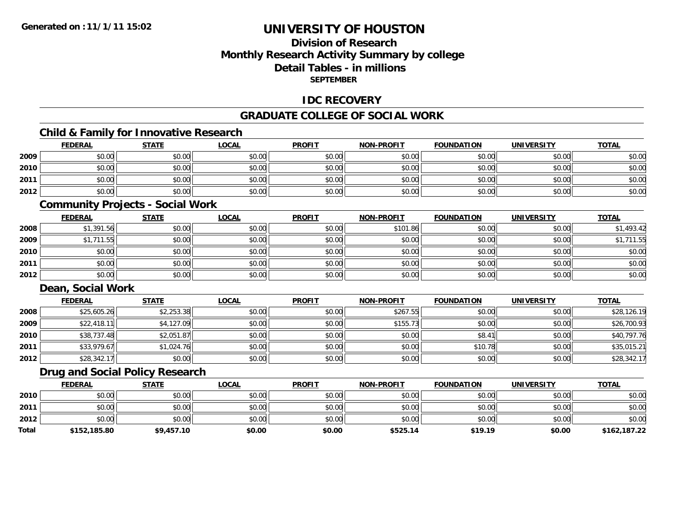## **Division of ResearchMonthly Research Activity Summary by college Detail Tables - in millionsSEPTEMBER**

#### **IDC RECOVERY**

#### **GRADUATE COLLEGE OF SOCIAL WORK**

# **Child & Family for Innovative Research**

|      | <b>FEDERAL</b> | <b>STATE</b> | <b>LOCAL</b> | <b>PROFIT</b> | <b>NON-PROFIT</b> | <b>FOUNDATION</b> | <b>UNIVERSITY</b> | <b>TOTAL</b> |
|------|----------------|--------------|--------------|---------------|-------------------|-------------------|-------------------|--------------|
| 2009 | \$0.00         | \$0.00       | \$0.00       | \$0.00        | \$0.00            | \$0.00            | \$0.00            | \$0.00       |
| 2010 | \$0.00         | \$0.00       | \$0.00       | \$0.00        | \$0.00            | \$0.00            | \$0.00            | \$0.00       |
| 2011 | \$0.00         | \$0.00       | \$0.00       | \$0.00        | \$0.00            | \$0.00            | \$0.00            | \$0.00       |
| 2012 | \$0.00         | \$0.00       | \$0.00       | \$0.00        | \$0.00            | \$0.00            | \$0.00            | \$0.00       |

#### **Community Projects - Social Work**

|      | <u>FEDERAL</u> | <b>STATE</b> | <b>LOCAL</b> | <b>PROFIT</b> | <b>NON-PROFIT</b> | <b>FOUNDATION</b> | <b>UNIVERSITY</b> | <u>TOTAL</u> |
|------|----------------|--------------|--------------|---------------|-------------------|-------------------|-------------------|--------------|
| 2008 | \$1,391.56     | \$0.00       | \$0.00       | \$0.00        | \$101.86          | \$0.00            | \$0.00            | \$1,493.42   |
| 2009 | \$1,711.55     | \$0.00       | \$0.00       | \$0.00        | \$0.00            | \$0.00            | \$0.00            | 711.55       |
| 2010 | \$0.00         | \$0.00       | \$0.00       | \$0.00        | \$0.00            | \$0.00            | \$0.00            | \$0.00       |
| 2011 | \$0.00         | \$0.00       | \$0.00       | \$0.00        | \$0.00            | \$0.00            | \$0.00            | \$0.00       |
| 2012 | \$0.00         | \$0.00       | \$0.00       | \$0.00        | \$0.00            | \$0.00            | \$0.00            | \$0.00       |

## **Dean, Social Work**

|      | <b>FEDERAL</b> | <b>STATE</b> | <b>LOCAL</b> | <b>PROFIT</b> | <b>NON-PROFIT</b> | <b>FOUNDATION</b> | <b>UNIVERSITY</b> | <b>TOTAL</b> |
|------|----------------|--------------|--------------|---------------|-------------------|-------------------|-------------------|--------------|
| 2008 | \$25,605.26    | \$2,253.38   | \$0.00       | \$0.00        | \$267.55          | \$0.00            | \$0.00            | \$28,126.19  |
| 2009 | \$22,418.11    | \$4,127.09   | \$0.00       | \$0.00        | \$155.73          | \$0.00            | \$0.00            | \$26,700.93  |
| 2010 | \$38,737.48    | \$2,051.87   | \$0.00       | \$0.00        | \$0.00            | \$8.41            | \$0.00            | \$40,797.76  |
| 2011 | \$33,979.67    | \$1,024.76   | \$0.00       | \$0.00        | \$0.00            | \$10.78           | \$0.00            | \$35,015.21  |
| 2012 | \$28,342.17    | \$0.00       | \$0.00       | \$0.00        | \$0.00            | \$0.00            | \$0.00            | \$28,342.17  |

## **Drug and Social Policy Research**

|              | <b>FEDERAL</b> | <b>STATE</b> | LOCAL  | <b>PROFIT</b> | <b>NON-PROFIT</b> | <b>FOUNDATION</b> | <b>UNIVERSITY</b> | <b>TOTAL</b> |
|--------------|----------------|--------------|--------|---------------|-------------------|-------------------|-------------------|--------------|
| 2010         | \$0.00         | \$0.00       | \$0.00 | \$0.00        | \$0.00            | \$0.00            | \$0.00            | \$0.00       |
| 2011         | \$0.00         | \$0.00       | \$0.00 | \$0.00        | \$0.00            | \$0.00            | \$0.00            | \$0.00       |
| 2012         | \$0.00         | \$0.00       | \$0.00 | \$0.00        | \$0.00            | \$0.00            | \$0.00            | \$0.00       |
| <b>Total</b> | \$152,185.80   | \$9,457.10   | \$0.00 | \$0.00        | \$525.14          | \$19.19           | \$0.00            | \$162,187.22 |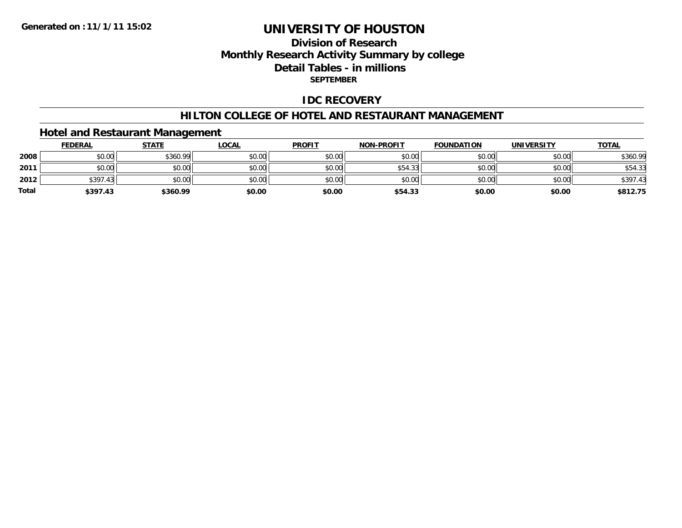## **Division of ResearchMonthly Research Activity Summary by college Detail Tables - in millions SEPTEMBER**

## **IDC RECOVERY**

#### **HILTON COLLEGE OF HOTEL AND RESTAURANT MANAGEMENT**

## **Hotel and Restaurant Management**

|              | <b>FEDERAL</b> | <b>STATE</b> | <b>LOCAL</b> | <b>PROFIT</b> | <b>NON-PROFIT</b> | <b>FOUNDATION</b> | <b>UNIVERSITY</b> | <b>TOTAL</b> |
|--------------|----------------|--------------|--------------|---------------|-------------------|-------------------|-------------------|--------------|
| 2008         | \$0.00         | \$360.99     | \$0.00       | \$0.00        | \$0.00            | \$0.00            | \$0.00            | \$360.99     |
| 2011         | \$0.00         | \$0.00       | \$0.00       | \$0.00        | \$54.33           | \$0.00            | \$0.00            | \$54.33      |
| 2012         | \$397.43       | \$0.00       | \$0.00       | \$0.00        | \$0.00            | \$0.00            | \$0.00            | \$397.43     |
| <b>Total</b> | \$397.43       | \$360.99     | \$0.00       | \$0.00        | \$54.33           | \$0.00            | \$0.00            | \$812.75     |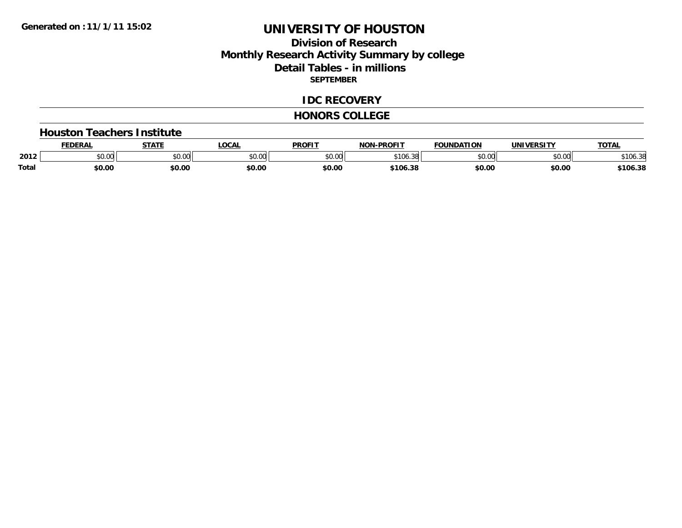## **Division of ResearchMonthly Research Activity Summary by college Detail Tables - in millions SEPTEMBER**

#### **IDC RECOVERY**

#### **HONORS COLLEGE**

#### **Houston Teachers Institute**

|              | <b>FEDERAL</b> | <b>STATE</b> | <b>LOCAL</b>  | <b>PROFIT</b> | <b>-PROFIT</b><br>NON- | <b>FOUNDATION</b> | <b>IINTVEDCTTV</b>                  | <b>TOTAL</b> |
|--------------|----------------|--------------|---------------|---------------|------------------------|-------------------|-------------------------------------|--------------|
| 2012         | \$0.00         | \$0.00       | 0000<br>PU.UU | 0000<br>pu.uu | \$106<br>.38           | ልስ ሰሰ<br>טט.טע    | $\uparrow$ $\land$ $\land$<br>DU.U¢ | \$106.3      |
| <b>Total</b> | \$0.00         | \$0.00       | \$0.00        | \$0.00        | \$106.38               | \$0.00            | \$0.00                              | \$106.38     |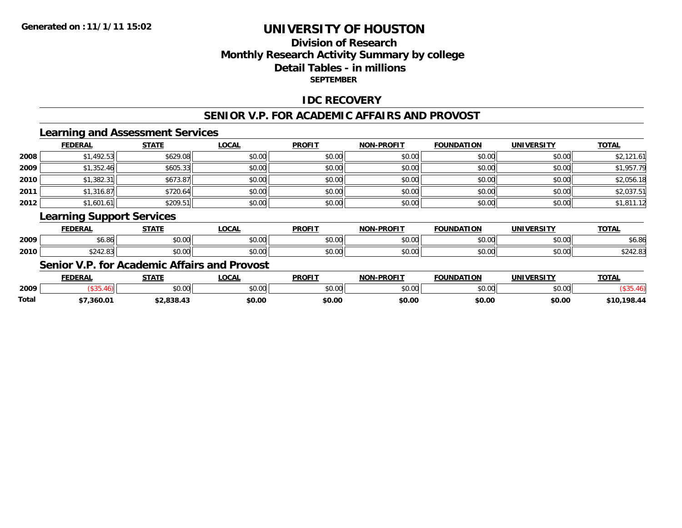## **Division of ResearchMonthly Research Activity Summary by college Detail Tables - in millionsSEPTEMBER**

#### **IDC RECOVERY**

# **SENIOR V.P. FOR ACADEMIC AFFAIRS AND PROVOST**

## **Learning and Assessment Services**

|      | <b>FEDERAL</b> | <b>STATE</b> | <b>LOCAL</b> | <b>PROFIT</b> | <b>NON-PROFIT</b> | <b>FOUNDATION</b> | <b>UNIVERSITY</b> | <b>TOTAL</b> |
|------|----------------|--------------|--------------|---------------|-------------------|-------------------|-------------------|--------------|
| 2008 | \$1,492.53     | \$629.08     | \$0.00       | \$0.00        | \$0.00            | \$0.00            | \$0.00            | \$2,121.61   |
| 2009 | \$1,352.46     | \$605.33     | \$0.00       | \$0.00        | \$0.00            | \$0.00            | \$0.00            | \$1,957.79   |
| 2010 | \$1,382.31     | \$673.87     | \$0.00       | \$0.00        | \$0.00            | \$0.00            | \$0.00            | \$2,056.18   |
| 2011 | \$1,316.87     | \$720.64     | \$0.00       | \$0.00        | \$0.00            | \$0.00            | \$0.00            | \$2,037.51   |
| 2012 | \$1,601.61     | \$209.51     | \$0.00       | \$0.00        | \$0.00            | \$0.00            | \$0.00            | \$1,811.12   |

# **Learning Support Services**

|      | <b>EEDEDA</b><br>- UCN.                                | <b>CTATE</b>           | <b>OCAL</b>   | <b>PROFIT</b> | -PROFIT<br><b>NON</b>             | <b>FOUNDATION</b> | LINITY/FBCTTY      | $-2$                                                              |
|------|--------------------------------------------------------|------------------------|---------------|---------------|-----------------------------------|-------------------|--------------------|-------------------------------------------------------------------|
| 2009 | ו ז<br>טט.טע                                           | $\sim$ $\sim$<br>JU.UU | 0.00<br>DU.UU | \$0.00        | $\triangle$ $\triangle$<br>טע, טע | $\cdots$          | $\cdots$<br>JU.UU  | O <sub>L</sub><br>50.80                                           |
| 2010 | $\begin{array}{c} \hline \end{array}$<br>,,<br>PLTL.UJ | ልስ ስስ<br>vu.vu         | \$0.00        | \$0.00        | 0.00<br>pu.uu                     | $\cdots$<br>vu.uu | $\sim$ 00<br>vv.vv | $\uparrow$ $\uparrow$ $\uparrow$ $\uparrow$ $\uparrow$ $\uparrow$ |

## **Senior V.P. for Academic Affairs and Provost**

|       | <b>FEDERAL</b> | STATE         | C <sub>0</sub>         | <b>PROFIT</b>  | -PROFTT<br><b>NIONI</b> | <b>FOUNDATION</b>  | <b>IINTVERSITY</b> | <b>TAT</b><br>-UIA. |
|-------|----------------|---------------|------------------------|----------------|-------------------------|--------------------|--------------------|---------------------|
| 2009  |                | 0.00<br>pu.uu | $\sim$ $\sim$<br>vv.vv | 40.00<br>JU.UU | 0000<br>,u.uu           | $\sim$ 00<br>JU.UU | $\sim$ 00<br>J∪.∪⊌ |                     |
| Total | 360.01         |               | \$0.00                 | \$0.00         | \$0.00                  | \$0.00             | \$0.00             | 198.44              |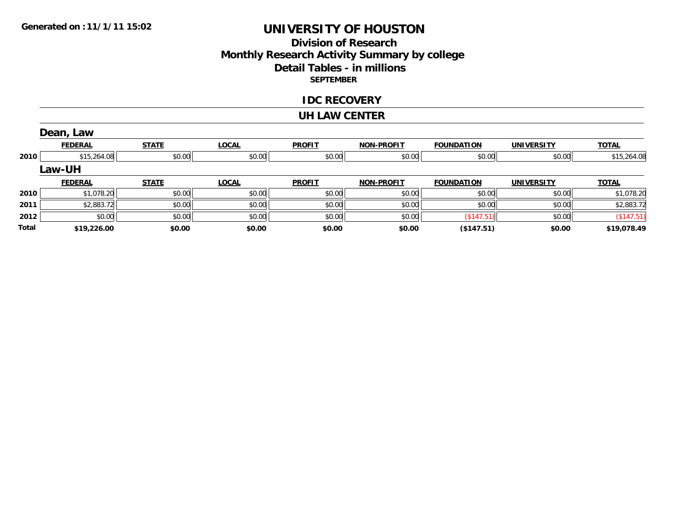#### **Division of Research Monthly Research Activity Summary by college Detail Tables - in millions SEPTEMBER**

#### **IDC RECOVERY**

#### **UH LAW CENTER**

|       | Dean, Law      |              |              |               |                   |                   |                   |              |
|-------|----------------|--------------|--------------|---------------|-------------------|-------------------|-------------------|--------------|
|       | <b>FEDERAL</b> | <b>STATE</b> | <b>LOCAL</b> | <b>PROFIT</b> | <b>NON-PROFIT</b> | <b>FOUNDATION</b> | <b>UNIVERSITY</b> | <b>TOTAL</b> |
| 2010  | \$15,264.08    | \$0.00       | \$0.00       | \$0.00        | \$0.00            | \$0.00            | \$0.00            | \$15,264.08  |
|       | <b>Law-UH</b>  |              |              |               |                   |                   |                   |              |
|       | <b>FEDERAL</b> | <b>STATE</b> | <b>LOCAL</b> | <b>PROFIT</b> | <b>NON-PROFIT</b> | <b>FOUNDATION</b> | <b>UNIVERSITY</b> | <b>TOTAL</b> |
| 2010  | \$1,078.20     | \$0.00       | \$0.00       | \$0.00        | \$0.00            | \$0.00            | \$0.00            | \$1,078.20   |
| 2011  | \$2,883.72     | \$0.00       | \$0.00       | \$0.00        | \$0.00            | \$0.00            | \$0.00            | \$2,883.72   |
| 2012  | \$0.00         | \$0.00       | \$0.00       | \$0.00        | \$0.00            | (\$147.51)        | \$0.00            | (\$147.51)   |
| Total | \$19,226.00    | \$0.00       | \$0.00       | \$0.00        | \$0.00            | ( \$147.51)       | \$0.00            | \$19,078.49  |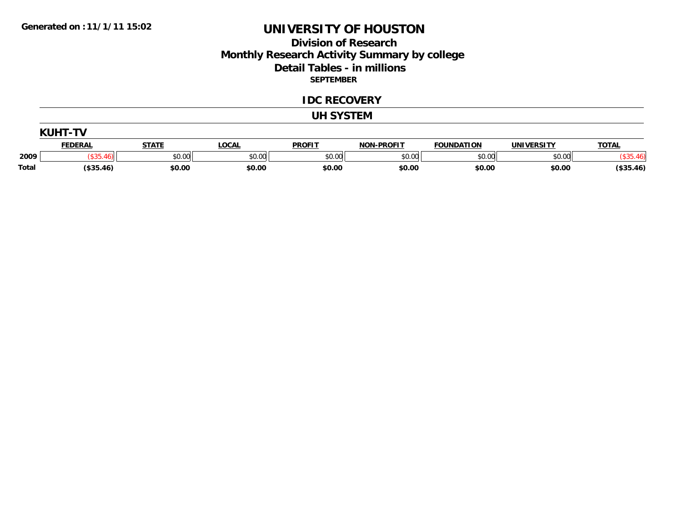#### **Division of Research Monthly Research Activity Summary by college Detail Tables - in millions SEPTEMBER**

#### **IDC RECOVERY**

#### **UH SYSTEM**

|              | <b>KUHT-TV</b> |              |              |               |                   |                   |                   |              |  |  |  |
|--------------|----------------|--------------|--------------|---------------|-------------------|-------------------|-------------------|--------------|--|--|--|
|              | <b>FEDERAL</b> | <b>STATE</b> | <b>LOCAL</b> | <b>PROFIT</b> | <b>NON-PROFIT</b> | <b>FOUNDATION</b> | <b>UNIVERSITY</b> | <b>TOTAL</b> |  |  |  |
| 2009         |                | \$0.00       | \$0.00       | \$0.00        | \$0.00            | \$0.00            | \$0.00            |              |  |  |  |
| <b>Total</b> | $($ \$35.46)   | \$0.00       | \$0.00       | \$0.00        | \$0.00            | \$0.00            | \$0.00            | $(*35.46)$   |  |  |  |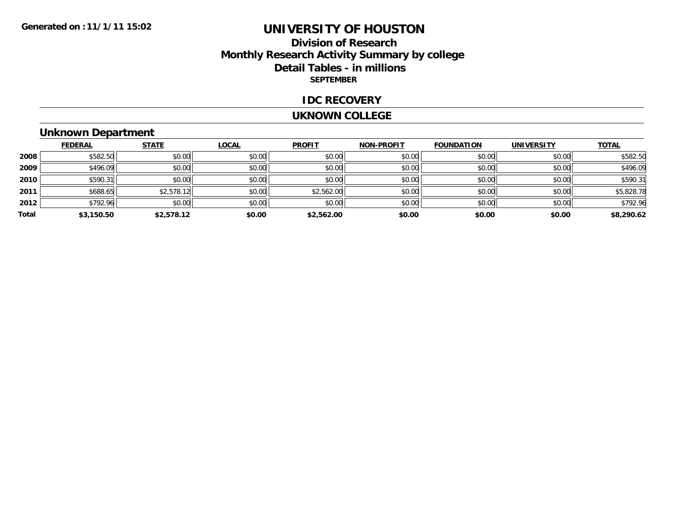## **Division of ResearchMonthly Research Activity Summary by college Detail Tables - in millions SEPTEMBER**

#### **IDC RECOVERY**

#### **UKNOWN COLLEGE**

# **Unknown Department**

|       | <b>FEDERAL</b> | <b>STATE</b> | <b>LOCAL</b> | <b>PROFIT</b> | <b>NON-PROFIT</b> | <b>FOUNDATION</b> | <b>UNIVERSITY</b> | <b>TOTAL</b> |
|-------|----------------|--------------|--------------|---------------|-------------------|-------------------|-------------------|--------------|
| 2008  | \$582.50       | \$0.00       | \$0.00       | \$0.00        | \$0.00            | \$0.00            | \$0.00            | \$582.50     |
| 2009  | \$496.09       | \$0.00       | \$0.00       | \$0.00        | \$0.00            | \$0.00            | \$0.00            | \$496.09     |
| 2010  | \$590.31       | \$0.00       | \$0.00       | \$0.00        | \$0.00            | \$0.00            | \$0.00            | \$590.31     |
| 2011  | \$688.65       | \$2,578.12   | \$0.00       | \$2,562.00    | \$0.00            | \$0.00            | \$0.00            | \$5,828.78   |
| 2012  | \$792.96       | \$0.00       | \$0.00       | \$0.00        | \$0.00            | \$0.00            | \$0.00            | \$792.96     |
| Total | \$3,150.50     | \$2,578.12   | \$0.00       | \$2,562.00    | \$0.00            | \$0.00            | \$0.00            | \$8,290.62   |